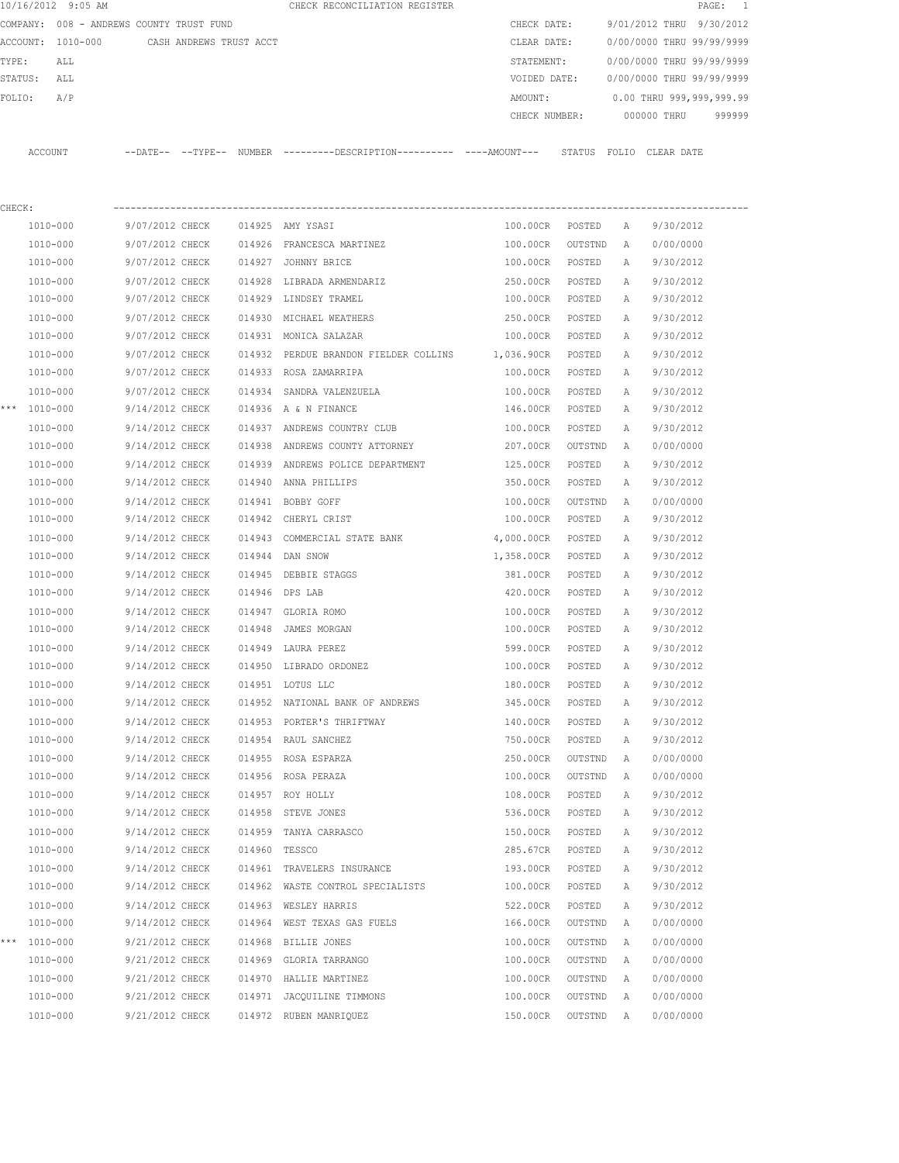| 10/16/2012 9:05 AM |                                          |        | CHECK RECONCILIATION REGISTER                                                                |               |         |              | PAGE:                     | 1         |
|--------------------|------------------------------------------|--------|----------------------------------------------------------------------------------------------|---------------|---------|--------------|---------------------------|-----------|
|                    | COMPANY: 008 - ANDREWS COUNTY TRUST FUND |        |                                                                                              | CHECK DATE:   |         |              | 9/01/2012 THRU            | 9/30/2012 |
| ACCOUNT: 1010-000  | CASH ANDREWS TRUST ACCT                  |        |                                                                                              | CLEAR DATE:   |         |              | 0/00/0000 THRU 99/99/9999 |           |
| TYPE:<br>ALL       |                                          |        |                                                                                              | STATEMENT:    |         |              | 0/00/0000 THRU 99/99/9999 |           |
| ALL<br>STATUS:     |                                          |        |                                                                                              | VOIDED DATE:  |         |              | 0/00/0000 THRU 99/99/9999 |           |
| A/P<br>FOLIO:      |                                          |        |                                                                                              | AMOUNT:       |         |              | 0.00 THRU 999,999,999.99  |           |
|                    |                                          |        |                                                                                              | CHECK NUMBER: |         |              | 000000 THRU               | 999999    |
| ACCOUNT            |                                          |        | --DATE-- --TYPE-- NUMBER ---------DESCRIPTION---------- ----AMOUNT--- STATUS FOLIO CLEARDATE |               |         |              |                           |           |
|                    |                                          |        |                                                                                              |               |         |              |                           |           |
| CHECK:             |                                          |        |                                                                                              |               |         |              |                           |           |
| 1010-000           | 9/07/2012 CHECK                          |        | 014925 AMY YSASI                                                                             | 100.00CR      | POSTED  | A            | 9/30/2012                 |           |
| 1010-000           | 9/07/2012 CHECK                          |        | 014926 FRANCESCA MARTINEZ                                                                    | 100.00CR      | OUTSTND | A            | 0/00/0000                 |           |
| $1010 - 000$       | 9/07/2012 CHECK                          |        | 014927 JOHNNY BRICE                                                                          | 100.00CR      | POSTED  | A            | 9/30/2012                 |           |
| 1010-000           | 9/07/2012 CHECK                          | 014928 | LIBRADA ARMENDARIZ                                                                           | 250.00CR      | POSTED  | A            | 9/30/2012                 |           |
| 1010-000           | 9/07/2012 CHECK                          |        | 014929 LINDSEY TRAMEL                                                                        | 100.00CR      | POSTED  | A            | 9/30/2012                 |           |
| 1010-000           | 9/07/2012 CHECK                          | 014930 | MICHAEL WEATHERS                                                                             | 250.00CR      | POSTED  | Α            | 9/30/2012                 |           |
| 1010-000           | 9/07/2012 CHECK                          |        | 014931 MONICA SALAZAR                                                                        | 100.00CR      | POSTED  | Α            | 9/30/2012                 |           |
| 1010-000           | 9/07/2012 CHECK                          |        | 014932 PERDUE BRANDON FIELDER COLLINS 1,036.90CR                                             |               | POSTED  | Α            | 9/30/2012                 |           |
| 1010-000           | 9/07/2012 CHECK                          |        | 014933 ROSA ZAMARRIPA                                                                        | 100.00CR      | POSTED  | A            | 9/30/2012                 |           |
| $1010 - 000$       | 9/07/2012 CHECK                          |        | 014934 SANDRA VALENZUELA                                                                     | 100.00CR      | POSTED  | Α            | 9/30/2012                 |           |
| *** 1010-000       | 9/14/2012 CHECK                          |        | 014936 A & N FINANCE                                                                         | 146.00CR      | POSTED  | A            | 9/30/2012                 |           |
| 1010-000           | 9/14/2012 CHECK                          |        | 014937 ANDREWS COUNTRY CLUB                                                                  | 100.00CR      | POSTED  | Α            | 9/30/2012                 |           |
| 1010-000           | 9/14/2012 CHECK                          | 014938 | ANDREWS COUNTY ATTORNEY                                                                      | 207.00CR      | OUTSTND | Α            | 0/00/0000                 |           |
| 1010-000           | 9/14/2012 CHECK                          |        | 014939 ANDREWS POLICE DEPARTMENT                                                             | 125.00CR      | POSTED  | Α            | 9/30/2012                 |           |
| 1010-000           | 9/14/2012 CHECK                          |        | 014940 ANNA PHILLIPS                                                                         | 350.00CR      | POSTED  | Α            | 9/30/2012                 |           |
| 1010-000           | 9/14/2012 CHECK                          |        | 014941 BOBBY GOFF                                                                            | 100.00CR      | OUTSTND | A            | 0/00/0000                 |           |
| 1010-000           | 9/14/2012 CHECK                          | 014942 | CHERYL CRIST                                                                                 | 100.00CR      | POSTED  | A            | 9/30/2012                 |           |
| 1010-000           | 9/14/2012 CHECK                          | 014943 | COMMERCIAL STATE BANK                                                                        | 4,000.00CR    | POSTED  | Α            | 9/30/2012                 |           |
| 1010-000           | 9/14/2012 CHECK                          | 014944 | DAN SNOW                                                                                     | 1,358.00CR    | POSTED  | Α            | 9/30/2012                 |           |
| 1010-000           | 9/14/2012 CHECK                          | 014945 | DEBBIE STAGGS                                                                                | 381.00CR      | POSTED  | Α            | 9/30/2012                 |           |
| 1010-000           | 9/14/2012 CHECK                          |        | 014946 DPS LAB                                                                               | 420.00CR      | POSTED  | Α            | 9/30/2012                 |           |
| 1010-000           | 9/14/2012 CHECK                          | 014947 | GLORIA ROMO                                                                                  | 100.00CR      | POSTED  | А            | 9/30/2012                 |           |
| 1010-000           | 9/14/2012 CHECK                          | 014948 | JAMES MORGAN                                                                                 | 100.00CR      | POSTED  | A            | 9/30/2012                 |           |
| 1010-000           | 9/14/2012 CHECK                          |        | 014949 LAURA PEREZ                                                                           | 599.00CR      | POSTED  | $\mathbb{A}$ | 9/30/2012                 |           |
| 1010-000           | 9/14/2012 CHECK                          |        | 014950 LIBRADO ORDONEZ                                                                       | 100.00CR      | POSTED  | Α            | 9/30/2012                 |           |
| $1010 - 000$       | 9/14/2012 CHECK                          |        | 014951 LOTUS LLC                                                                             | 180.00CR      | POSTED  | Α            | 9/30/2012                 |           |
| 1010-000           | 9/14/2012 CHECK                          |        | 014952 NATIONAL BANK OF ANDREWS                                                              | 345.00CR      | POSTED  | Α            | 9/30/2012                 |           |
| 1010-000           | 9/14/2012 CHECK                          |        | 014953 PORTER'S THRIFTWAY                                                                    | 140.00CR      | POSTED  | Α            | 9/30/2012                 |           |
| $1010 - 000$       | 9/14/2012 CHECK                          |        | 014954 RAUL SANCHEZ                                                                          | 750.00CR      | POSTED  | Α            | 9/30/2012                 |           |
| 1010-000           | 9/14/2012 CHECK                          |        | 014955 ROSA ESPARZA                                                                          | 250.00CR      | OUTSTND | Α            | 0/00/0000                 |           |
| 1010-000           | 9/14/2012 CHECK                          |        | 014956 ROSA PERAZA                                                                           | 100.00CR      | OUTSTND | Α            | 0/00/0000                 |           |
| 1010-000           | 9/14/2012 CHECK                          |        | 014957 ROY HOLLY                                                                             | 108.00CR      | POSTED  | Α            | 9/30/2012                 |           |
| 1010-000           | 9/14/2012 CHECK                          |        | 014958 STEVE JONES                                                                           | 536.00CR      | POSTED  | Α            | 9/30/2012                 |           |
| 1010-000           | 9/14/2012 CHECK                          | 014959 | TANYA CARRASCO                                                                               | 150.00CR      | POSTED  | Α            | 9/30/2012                 |           |
| 1010-000           | 9/14/2012 CHECK                          |        | 014960 TESSCO                                                                                | 285.67CR      | POSTED  | Α            | 9/30/2012                 |           |
| 1010-000           | 9/14/2012 CHECK                          |        | 014961 TRAVELERS INSURANCE                                                                   | 193.00CR      | POSTED  | Α            | 9/30/2012                 |           |
| 1010-000           | 9/14/2012 CHECK                          |        | 014962 WASTE CONTROL SPECIALISTS                                                             | 100.00CR      | POSTED  | Α            | 9/30/2012                 |           |
| 1010-000           | 9/14/2012 CHECK                          |        | 014963 WESLEY HARRIS                                                                         | 522.00CR      | POSTED  | Α            | 9/30/2012                 |           |
| 1010-000           | 9/14/2012 CHECK                          |        | 014964 WEST TEXAS GAS FUELS                                                                  | 166.00CR      | OUTSTND | Α            | 0/00/0000                 |           |
| *** 1010-000       | 9/21/2012 CHECK                          |        | 014968 BILLIE JONES                                                                          | 100.00CR      | OUTSTND | Α            | 0/00/0000                 |           |
| 1010-000           | 9/21/2012 CHECK                          |        | 014969 GLORIA TARRANGO                                                                       | 100.00CR      | OUTSTND | Α            | 0/00/0000                 |           |
| 1010-000           | 9/21/2012 CHECK                          |        | 014970 HALLIE MARTINEZ                                                                       | 100.00CR      | OUTSTND | Α            | 0/00/0000                 |           |
| 1010-000           | 9/21/2012 CHECK                          |        | 014971 JACQUILINE TIMMONS                                                                    | 100.00CR      | OUTSTND | Α            | 0/00/0000                 |           |
| 1010-000           | 9/21/2012 CHECK                          |        | 014972 RUBEN MANRIQUEZ                                                                       | 150.00CR      | OUTSTND | Α            | 0/00/0000                 |           |
|                    |                                          |        |                                                                                              |               |         |              |                           |           |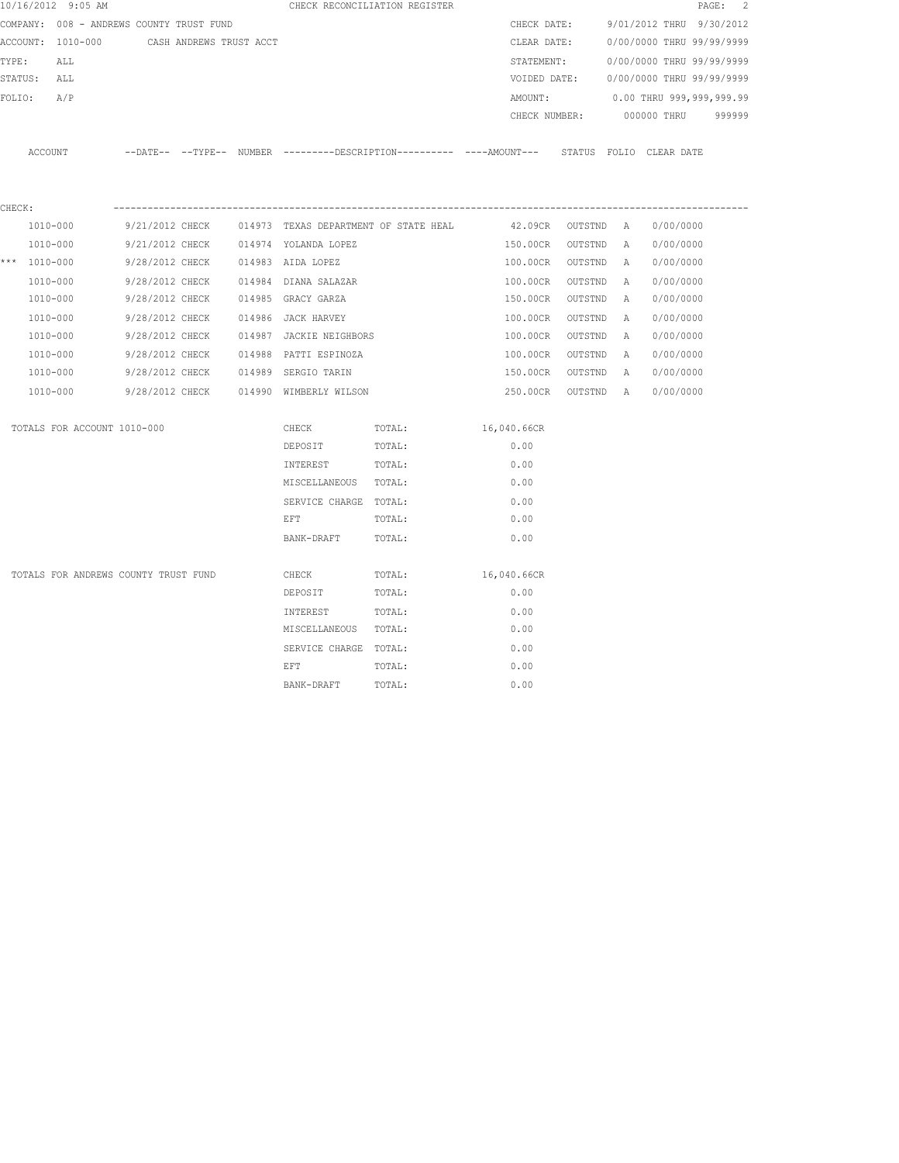|        | 10/16/2012 9:05 AM                        |  |                                                                                                                 | CHECK RECONCILIATION REGISTER                                                                       |                    |  |                                        | PAGE: 2 |
|--------|-------------------------------------------|--|-----------------------------------------------------------------------------------------------------------------|-----------------------------------------------------------------------------------------------------|--------------------|--|----------------------------------------|---------|
|        | COMPANY: 008 - ANDREWS COUNTY TRUST FUND  |  |                                                                                                                 |                                                                                                     |                    |  | CHECK DATE: 9/01/2012 THRU 9/30/2012   |         |
|        | ACCOUNT: 1010-000 CASH ANDREWS TRUST ACCT |  |                                                                                                                 |                                                                                                     |                    |  | CLEAR DATE: 0/00/0000 THRU 99/99/9999  |         |
|        | TYPE:<br>ALL                              |  |                                                                                                                 |                                                                                                     |                    |  | STATEMENT: 0/00/0000 THRU 99/99/9999   |         |
|        | STATUS: ALL                               |  |                                                                                                                 |                                                                                                     |                    |  | VOIDED DATE: 0/00/0000 THRU 99/99/9999 |         |
|        | FOLIO: A/P                                |  |                                                                                                                 |                                                                                                     |                    |  | AMOUNT: 0.00 THRU 999,999,999.99       |         |
|        |                                           |  |                                                                                                                 |                                                                                                     |                    |  | CHECK NUMBER: 000000 THRU 999999       |         |
|        |                                           |  |                                                                                                                 | ACCOUNT --DATE-- --TYPE-- NUMBER --------DESCRIPTION---------- ---AMOUNT--- STATUS FOLIO CLEAR DATE |                    |  |                                        |         |
| CHECK: |                                           |  |                                                                                                                 |                                                                                                     |                    |  |                                        |         |
|        | 1010-000                                  |  |                                                                                                                 | $9/21/2012$ CHECK 014973 TEXAS DEPARTMENT OF STATE HEAL $42.09$ CR OUTSTND A 0/00/0000              |                    |  |                                        |         |
|        | 1010-000                                  |  | 9/21/2012 CHECK 014974 YOLANDA LOPEZ                                                                            |                                                                                                     | 150.00CR OUTSTND A |  | 0/00/0000                              |         |
|        | *** 1010-000                              |  | 9/28/2012 CHECK 014983 AIDA LOPEZ                                                                               |                                                                                                     | 100.00CR OUTSTND A |  | 0/00/0000                              |         |
|        | 1010-000                                  |  | 9/28/2012 CHECK 014984 DIANA SALAZAR                                                                            |                                                                                                     | 100.00CR OUTSTND A |  | 0/00/0000                              |         |
|        | 1010-000                                  |  |                                                                                                                 |                                                                                                     | 150.00CR OUTSTND A |  | 0/00/0000                              |         |
|        | 1010-000                                  |  | 9/28/2012 CHECK 014986 JACK HARVEY                                                                              |                                                                                                     | 100.00CR OUTSTND A |  | 0/00/0000                              |         |
|        | 1010-000                                  |  | 9/28/2012 CHECK 014987 JACKIE NEIGHBORS                                                                         |                                                                                                     | 100.00CR OUTSTND A |  | 0/00/0000                              |         |
|        | 1010-000                                  |  | 9/28/2012 CHECK 014988 PATTI ESPINOZA                                                                           |                                                                                                     | 100.00CR OUTSTND A |  | 0/00/0000                              |         |
|        | 1010-000                                  |  | 9/28/2012 CHECK 014989 SERGIO TARIN                                                                             |                                                                                                     |                    |  | 150.00CR OUTSTND A 0/00/0000           |         |
|        | 1010-000                                  |  | 9/28/2012 CHECK 014990 WIMBERLY WILSON                                                                          |                                                                                                     |                    |  | 250.00CR OUTSTND A 0/00/0000           |         |
|        | TOTALS FOR ACCOUNT 1010-000               |  |                                                                                                                 | CHECK TOTAL: 16,040.66CR                                                                            |                    |  |                                        |         |
|        |                                           |  | DEPOSIT                                                                                                         | TOTAL:                                                                                              | 0.00               |  |                                        |         |
|        |                                           |  | INTEREST TOTAL:                                                                                                 |                                                                                                     | 0.00               |  |                                        |         |
|        |                                           |  | MISCELLANEOUS TOTAL:                                                                                            |                                                                                                     | 0.00               |  |                                        |         |
|        |                                           |  | SERVICE CHARGE TOTAL:                                                                                           |                                                                                                     | 0.00               |  |                                        |         |
|        |                                           |  | EFT FOR THE RESIDENCE OF A STRIKE AND THE RESIDENCE OF A STRIKE OF A STRIKE OF A STRIKE OF A STRIKE OF A STRIKE | TOTAL:                                                                                              | 0.00               |  |                                        |         |
|        |                                           |  | BANK-DRAFT                                                                                                      | TOTAL:                                                                                              | 0.00               |  |                                        |         |
|        | TOTALS FOR ANDREWS COUNTY TRUST FUND      |  | CHECK                                                                                                           | TOTAL:                                                                                              | 16,040.66CR        |  |                                        |         |
|        |                                           |  | DEPOSIT                                                                                                         | TOTAL:                                                                                              | 0.00               |  |                                        |         |
|        |                                           |  | INTEREST                                                                                                        | TOTAL:                                                                                              | 0.00               |  |                                        |         |
|        |                                           |  | MISCELLANEOUS TOTAL:                                                                                            |                                                                                                     | 0.00               |  |                                        |         |
|        |                                           |  | SERVICE CHARGE TOTAL:                                                                                           |                                                                                                     | 0.00               |  |                                        |         |
|        |                                           |  | <b>EFT</b>                                                                                                      | TOTAL:                                                                                              | 0.00               |  |                                        |         |
|        |                                           |  | BANK-DRAFT                                                                                                      | TOTAL:                                                                                              | 0.00               |  |                                        |         |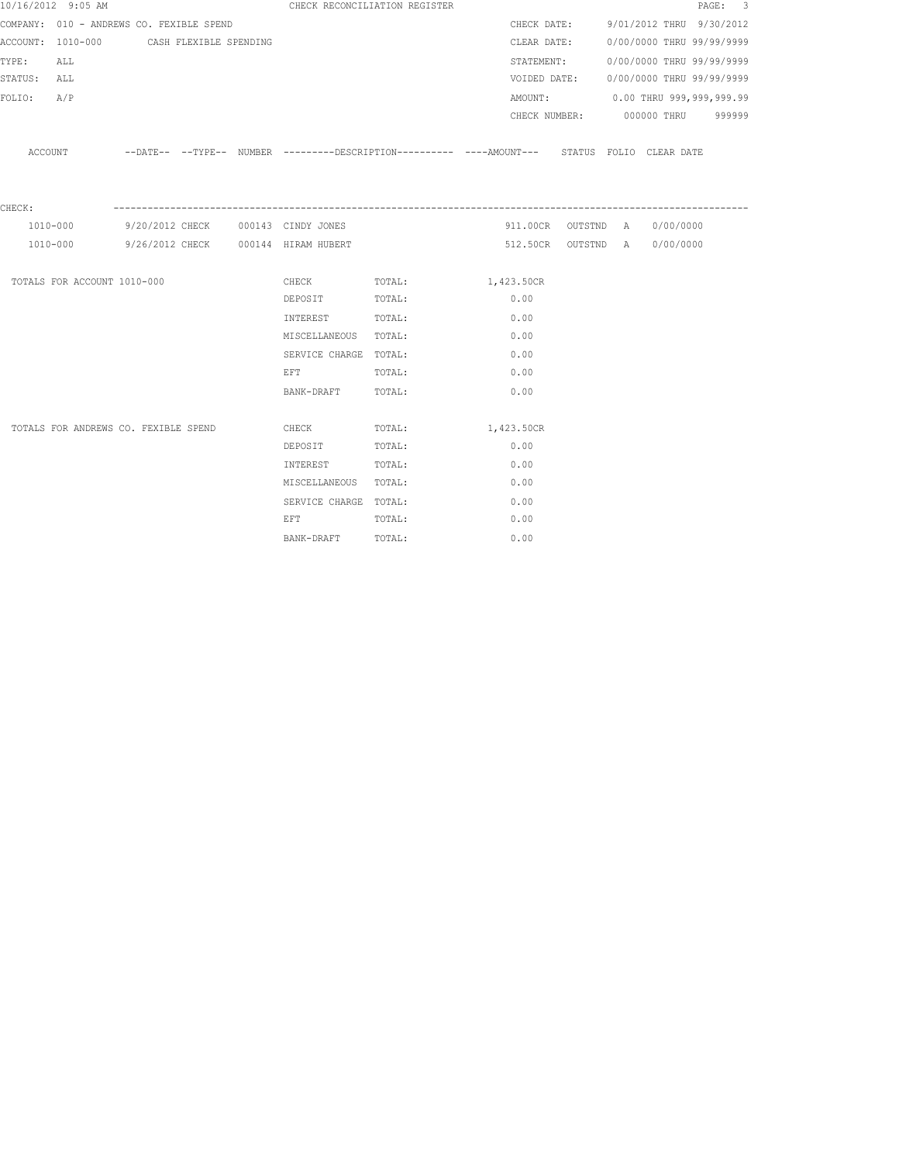|             | 10/16/2012 9:05 AM                       |                        |  |                                                                                                                | CHECK RECONCILIATION REGISTER                                                               |            |              |                                      | PAGE: 3 |  |
|-------------|------------------------------------------|------------------------|--|----------------------------------------------------------------------------------------------------------------|---------------------------------------------------------------------------------------------|------------|--------------|--------------------------------------|---------|--|
|             | COMPANY: 010 - ANDREWS CO. FEXIBLE SPEND |                        |  |                                                                                                                |                                                                                             |            |              | CHECK DATE: 9/01/2012 THRU 9/30/2012 |         |  |
|             | ACCOUNT: 1010-000                        | CASH FLEXIBLE SPENDING |  |                                                                                                                |                                                                                             |            | CLEAR DATE:  | 0/00/0000 THRU 99/99/9999            |         |  |
| TYPE:       | ALL                                      |                        |  |                                                                                                                |                                                                                             |            | STATEMENT:   | 0/00/0000 THRU 99/99/9999            |         |  |
| STATUS: ALL |                                          |                        |  |                                                                                                                |                                                                                             |            | VOIDED DATE: | 0/00/0000 THRU 99/99/9999            |         |  |
| FOLIO:      | A/P                                      |                        |  |                                                                                                                |                                                                                             |            |              | AMOUNT: 0.00 THRU 999,999,999.99     |         |  |
|             |                                          |                        |  |                                                                                                                |                                                                                             |            |              | CHECK NUMBER: 000000 THRU 999999     |         |  |
|             |                                          |                        |  |                                                                                                                |                                                                                             |            |              |                                      |         |  |
|             | ACCOUNT                                  |                        |  |                                                                                                                | --DATE-- --TYPE-- NUMBER --------DESCRIPTION---------- ---AMOUNT--- STATUS FOLIO CLEAR DATE |            |              |                                      |         |  |
|             |                                          |                        |  |                                                                                                                |                                                                                             |            |              |                                      |         |  |
|             |                                          |                        |  |                                                                                                                |                                                                                             |            |              |                                      |         |  |
| CHECK:      | 1010-000                                 |                        |  | 9/20/2012 CHECK 000143 CINDY JONES                                                                             |                                                                                             |            |              | 911.00CR OUTSTND A 0/00/0000         |         |  |
|             |                                          |                        |  | 1010-000 9/26/2012 CHECK 000144 HIRAM HUBERT                                                                   |                                                                                             |            |              | 512.50CR OUTSTND A 0/00/0000         |         |  |
|             |                                          |                        |  |                                                                                                                |                                                                                             |            |              |                                      |         |  |
|             | TOTALS FOR ACCOUNT 1010-000              |                        |  |                                                                                                                | CHECK TOTAL: 1,423.50CR                                                                     |            |              |                                      |         |  |
|             |                                          |                        |  | DEPOSIT                                                                                                        | TOTAL:                                                                                      | 0.00       |              |                                      |         |  |
|             |                                          |                        |  | INTEREST TOTAL:                                                                                                |                                                                                             | 0.00       |              |                                      |         |  |
|             |                                          |                        |  | MISCELLANEOUS TOTAL:                                                                                           |                                                                                             | 0.00       |              |                                      |         |  |
|             |                                          |                        |  | SERVICE CHARGE TOTAL:                                                                                          |                                                                                             | 0.00       |              |                                      |         |  |
|             |                                          |                        |  | EFT TOTAL:                                                                                                     |                                                                                             | 0.00       |              |                                      |         |  |
|             |                                          |                        |  | BANK-DRAFT TOTAL:                                                                                              |                                                                                             | 0.00       |              |                                      |         |  |
|             |                                          |                        |  |                                                                                                                |                                                                                             |            |              |                                      |         |  |
|             | TOTALS FOR ANDREWS CO. FEXIBLE SPEND     |                        |  | CHECK                                                                                                          | TOTAL:                                                                                      | 1,423.50CR |              |                                      |         |  |
|             |                                          |                        |  | DEPOSIT                                                                                                        | TOTAL:                                                                                      | 0.00       |              |                                      |         |  |
|             |                                          |                        |  | INTEREST                                                                                                       | TOTAL:                                                                                      | 0.00       |              |                                      |         |  |
|             |                                          |                        |  | MISCELLANEOUS TOTAL:                                                                                           |                                                                                             | 0.00       |              |                                      |         |  |
|             |                                          |                        |  | SERVICE CHARGE TOTAL:                                                                                          |                                                                                             | 0.00       |              |                                      |         |  |
|             |                                          |                        |  | EFT FOR THE STATE OF THE STATE OF THE STATE OF THE STATE OF THE STATE OF THE STATE OF THE STATE OF THE STATE O | TOTAL:                                                                                      | 0.00       |              |                                      |         |  |
|             |                                          |                        |  | BANK-DRAFT TOTAL:                                                                                              |                                                                                             | 0.00       |              |                                      |         |  |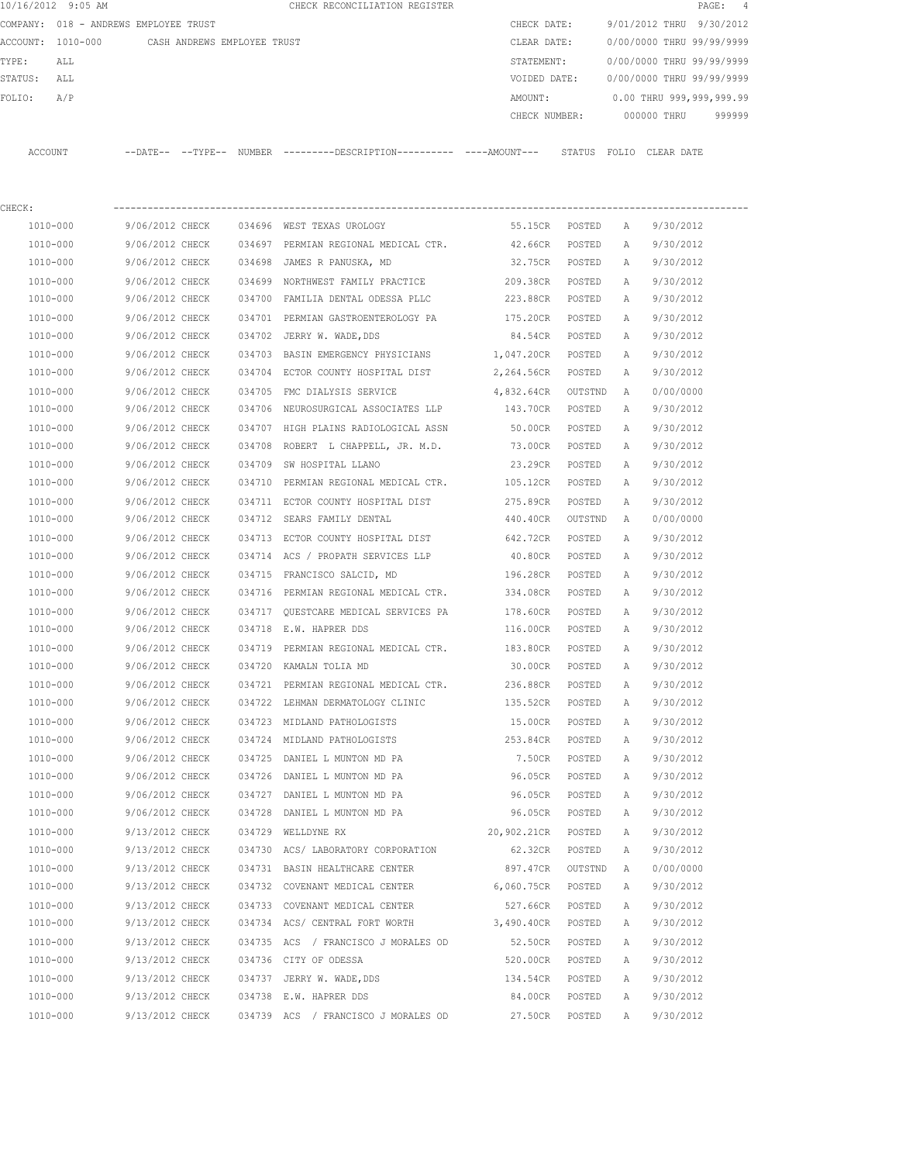|          | 10/16/2012 9:05 AM |                                       |               | CHECK RECONCILIATION REGISTER                |  |               |        |                           |             | PAGE: 4                  |  |
|----------|--------------------|---------------------------------------|---------------|----------------------------------------------|--|---------------|--------|---------------------------|-------------|--------------------------|--|
|          |                    | COMPANY: 018 - ANDREWS EMPLOYEE TRUST |               |                                              |  | CHECK DATE:   |        | 9/01/2012 THRU 9/30/2012  |             |                          |  |
| ACCOUNT: | 1010-000           | CASH ANDREWS EMPLOYEE TRUST           |               |                                              |  | CLEAR DATE:   |        | 0/00/0000 THRU 99/99/9999 |             |                          |  |
| TYPE:    | ALL                |                                       |               |                                              |  | STATEMENT:    |        | 0/00/0000 THRU 99/99/9999 |             |                          |  |
| STATUS:  | ALL                |                                       |               |                                              |  | VOIDED DATE:  |        | 0/00/0000 THRU 99/99/9999 |             |                          |  |
| FOLIO:   | A/P                |                                       |               |                                              |  | AMOUNT:       |        |                           |             | 0.00 THRU 999,999,999.99 |  |
|          |                    |                                       |               |                                              |  | CHECK NUMBER: |        |                           | 000000 THRU | 999999                   |  |
|          |                    |                                       |               |                                              |  |               |        |                           |             |                          |  |
| ACCOUNT  |                    | $--$ DATE $- --$ TYPE $--$            | <b>NUMBER</b> | ---------DESCRIPTION---------- ----AMOUNT--- |  |               | STATUS | FOLIO                     | CLEAR DATE  |                          |  |
|          |                    |                                       |               |                                              |  |               |        |                           |             |                          |  |

| CHECK:   |                 |        |                                               |                |         |              |           |
|----------|-----------------|--------|-----------------------------------------------|----------------|---------|--------------|-----------|
| 1010-000 | 9/06/2012 CHECK |        | 034696 WEST TEXAS UROLOGY                     | 55.15CR POSTED |         | A            | 9/30/2012 |
| 1010-000 | 9/06/2012 CHECK |        | 034697 PERMIAN REGIONAL MEDICAL CTR. 42.66CR  |                | POSTED  | Α            | 9/30/2012 |
| 1010-000 | 9/06/2012 CHECK | 034698 | JAMES R PANUSKA, MD                           | 32.75CR        | POSTED  | A            | 9/30/2012 |
| 1010-000 | 9/06/2012 CHECK |        | 034699 NORTHWEST FAMILY PRACTICE 209.38CR     |                | POSTED  | Α            | 9/30/2012 |
| 1010-000 | 9/06/2012 CHECK |        | 034700 FAMILIA DENTAL ODESSA PLLC             | 223.88CR       | POSTED  | Α            | 9/30/2012 |
| 1010-000 | 9/06/2012 CHECK |        | 034701 PERMIAN GASTROENTEROLOGY PA            | 175.20CR       | POSTED  | A            | 9/30/2012 |
| 1010-000 | 9/06/2012 CHECK |        | 034702 JERRY W. WADE, DDS                     | 84.54CR        | POSTED  | $\mathbb{A}$ | 9/30/2012 |
| 1010-000 | 9/06/2012 CHECK |        | 034703 BASIN EMERGENCY PHYSICIANS 1,047.20CR  |                | POSTED  | Α            | 9/30/2012 |
| 1010-000 | 9/06/2012 CHECK |        | 034704 ECTOR COUNTY HOSPITAL DIST             | 2,264.56CR     | POSTED  | Α            | 9/30/2012 |
| 1010-000 | 9/06/2012 CHECK |        | 034705 FMC DIALYSIS SERVICE 4,832.64CR        |                | OUTSTND | A            | 0/00/0000 |
| 1010-000 | 9/06/2012 CHECK |        | 034706 NEUROSURGICAL ASSOCIATES LLP 143.70CR  |                | POSTED  | Α            | 9/30/2012 |
| 1010-000 | 9/06/2012 CHECK |        | 034707 HIGH PLAINS RADIOLOGICAL ASSN 50.00CR  |                | POSTED  | Α            | 9/30/2012 |
| 1010-000 | 9/06/2012 CHECK |        | 034708 ROBERT L CHAPPELL, JR. M.D. 73.00CR    |                | POSTED  | Α            | 9/30/2012 |
| 1010-000 | 9/06/2012 CHECK | 034709 | SW HOSPITAL LLANO                             | 23.29CR        | POSTED  | Α            | 9/30/2012 |
| 1010-000 | 9/06/2012 CHECK |        | 034710 PERMIAN REGIONAL MEDICAL CTR. 105.12CR |                | POSTED  | Α            | 9/30/2012 |
| 1010-000 | 9/06/2012 CHECK | 034711 | ECTOR COUNTY HOSPITAL DIST                    | 275.89CR       | POSTED  | Α            | 9/30/2012 |
| 1010-000 | 9/06/2012 CHECK | 034712 | SEARS FAMILY DENTAL                           | 440.40CR       | OUTSTND | A            | 0/00/0000 |
| 1010-000 | 9/06/2012 CHECK | 034713 | ECTOR COUNTY HOSPITAL DIST                    | 642.72CR       | POSTED  | A            | 9/30/2012 |
| 1010-000 | 9/06/2012 CHECK |        | 034714 ACS / PROPATH SERVICES LLP             | 40.80CR        | POSTED  | Α            | 9/30/2012 |
| 1010-000 | 9/06/2012 CHECK |        | 034715 FRANCISCO SALCID, MD                   | 196.28CR       | POSTED  | Α            | 9/30/2012 |
| 1010-000 | 9/06/2012 CHECK |        | 034716 PERMIAN REGIONAL MEDICAL CTR.          | 334.08CR       | POSTED  | Α            | 9/30/2012 |
| 1010-000 | 9/06/2012 CHECK |        | 034717 QUESTCARE MEDICAL SERVICES PA 178.60CR |                | POSTED  | Α            | 9/30/2012 |
| 1010-000 | 9/06/2012 CHECK |        | 034718 E.W. HAPRER DDS                        | 116.00CR       | POSTED  | Α            | 9/30/2012 |
| 1010-000 | 9/06/2012 CHECK |        | 034719 PERMIAN REGIONAL MEDICAL CTR. 183.80CR |                | POSTED  | Α            | 9/30/2012 |
| 1010-000 | 9/06/2012 CHECK |        | 034720 KAMALN TOLIA MD                        | 30.00CR        | POSTED  | Α            | 9/30/2012 |
| 1010-000 | 9/06/2012 CHECK |        | 034721 PERMIAN REGIONAL MEDICAL CTR. 236.88CR |                | POSTED  | Α            | 9/30/2012 |
| 1010-000 | 9/06/2012 CHECK |        | 034722 LEHMAN DERMATOLOGY CLINIC 135.52CR     |                | POSTED  | Α            | 9/30/2012 |
| 1010-000 | 9/06/2012 CHECK |        | 034723 MIDLAND PATHOLOGISTS                   | 15.00CR        | POSTED  | Α            | 9/30/2012 |
| 1010-000 | 9/06/2012 CHECK |        | 034724 MIDLAND PATHOLOGISTS                   | 253.84CR       | POSTED  | Α            | 9/30/2012 |
| 1010-000 | 9/06/2012 CHECK |        | 034725 DANIEL L MUNTON MD PA                  | 7.50CR         | POSTED  | A            | 9/30/2012 |
| 1010-000 | 9/06/2012 CHECK |        | 034726 DANIEL L MUNTON MD PA                  | 96.05CR        | POSTED  | A            | 9/30/2012 |
| 1010-000 | 9/06/2012 CHECK |        | 034727 DANIEL L MUNTON MD PA                  | 96.05CR        | POSTED  | Α            | 9/30/2012 |
| 1010-000 | 9/06/2012 CHECK |        | 034728 DANIEL L MUNTON MD PA                  | 96.05CR POSTED |         | Α            | 9/30/2012 |
| 1010-000 | 9/13/2012 CHECK |        | 034729 WELLDYNE RX                            | 20,902.21CR    | POSTED  | Α            | 9/30/2012 |
| 1010-000 | 9/13/2012 CHECK |        | 034730 ACS/ LABORATORY CORPORATION            | 62.32CR        | POSTED  | Α            | 9/30/2012 |
| 1010-000 | 9/13/2012 CHECK |        | 034731 BASIN HEALTHCARE CENTER                | 897.47CR       | OUTSTND | A            | 0/00/0000 |
| 1010-000 | 9/13/2012 CHECK |        | 034732 COVENANT MEDICAL CENTER                | 6,060.75CR     | POSTED  | Α            | 9/30/2012 |
| 1010-000 | 9/13/2012 CHECK |        | 034733 COVENANT MEDICAL CENTER                | 527.66CR       | POSTED  | Α            | 9/30/2012 |
| 1010-000 | 9/13/2012 CHECK |        | 034734 ACS/ CENTRAL FORT WORTH                | 3,490.40CR     | POSTED  | Α            | 9/30/2012 |
| 1010-000 | 9/13/2012 CHECK |        | 034735 ACS / FRANCISCO J MORALES OD           | 52.50CR        | POSTED  | Α            | 9/30/2012 |
| 1010-000 | 9/13/2012 CHECK |        | 034736 CITY OF ODESSA                         | 520.00CR       | POSTED  | Α            | 9/30/2012 |
| 1010-000 | 9/13/2012 CHECK |        | 034737 JERRY W. WADE, DDS                     | 134.54CR       | POSTED  | Α            | 9/30/2012 |
| 1010-000 | 9/13/2012 CHECK |        | 034738 E.W. HAPRER DDS                        | 84.00CR        | POSTED  | Α            | 9/30/2012 |
| 1010-000 | 9/13/2012 CHECK |        | 034739 ACS / FRANCISCO J MORALES OD           | 27.50CR        | POSTED  | Α            | 9/30/2012 |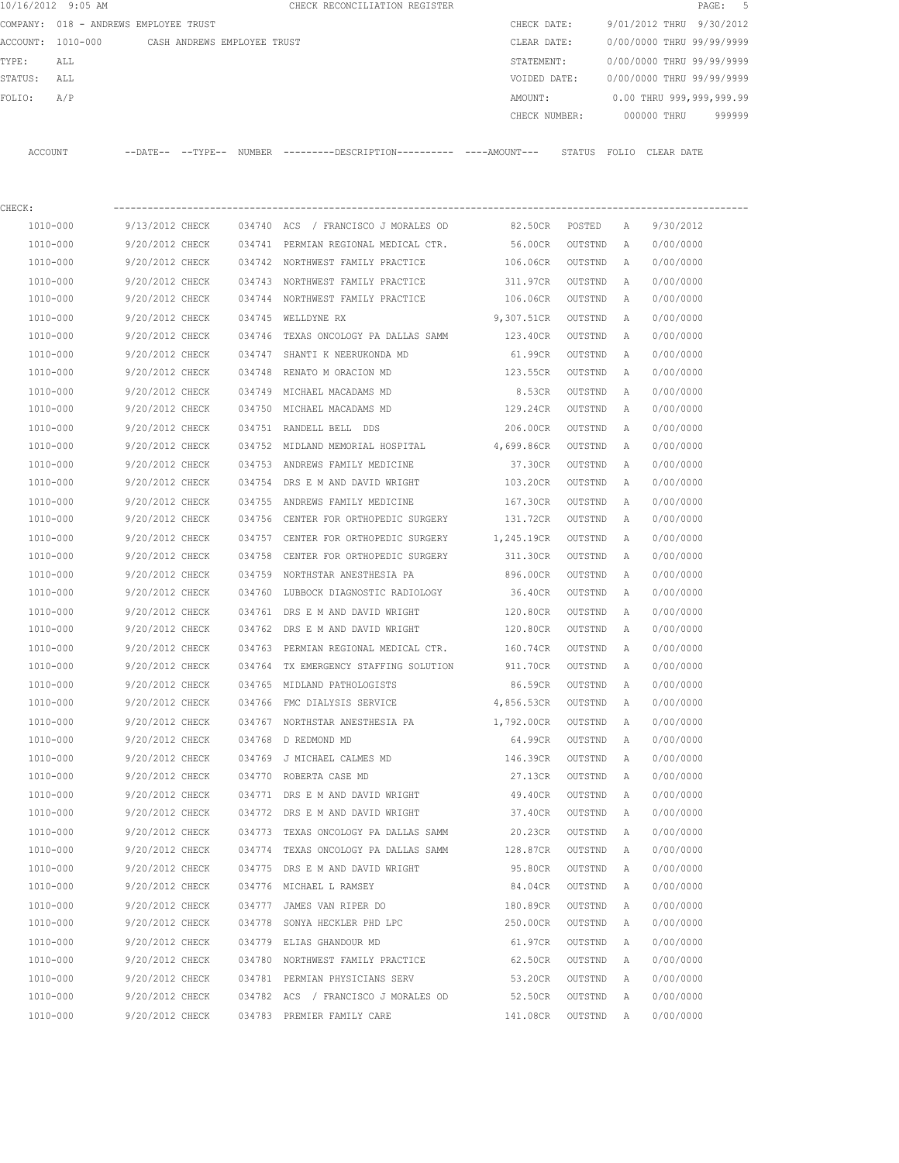| 10/16/2012 9:05 AM |                                       |        | CHECK RECONCILIATION REGISTER                                                                 |               |         |              | PAGE:                       | 5      |
|--------------------|---------------------------------------|--------|-----------------------------------------------------------------------------------------------|---------------|---------|--------------|-----------------------------|--------|
|                    | COMPANY: 018 - ANDREWS EMPLOYEE TRUST |        |                                                                                               | CHECK DATE:   |         |              | 9/01/2012 THRU<br>9/30/2012 |        |
| ACCOUNT: 1010-000  | CASH ANDREWS EMPLOYEE TRUST           |        |                                                                                               | CLEAR DATE:   |         |              | 0/00/0000 THRU 99/99/9999   |        |
| TYPE:<br>ALL       |                                       |        |                                                                                               | STATEMENT:    |         |              | 0/00/0000 THRU 99/99/9999   |        |
| STATUS:<br>ALL     |                                       |        |                                                                                               | VOIDED DATE:  |         |              | 0/00/0000 THRU 99/99/9999   |        |
| FOLIO:<br>A/P      |                                       |        |                                                                                               | AMOUNT:       |         |              | 0.00 THRU 999,999,999.99    |        |
|                    |                                       |        |                                                                                               | CHECK NUMBER: |         |              | 000000 THRU                 | 999999 |
| ACCOUNT            |                                       |        | --DATE-- --TYPE-- NUMBER ---------DESCRIPTION---------- ----AMOUNT--- STATUS FOLIO CLEAR DATE |               |         |              |                             |        |
| CHECK:             |                                       |        |                                                                                               |               |         |              |                             |        |
| 1010-000           | 9/13/2012 CHECK                       |        | 034740 ACS / FRANCISCO J MORALES OD                                                           | 82.50CR       | POSTED  | Α            | 9/30/2012                   |        |
| 1010-000           | 9/20/2012 CHECK                       |        | 034741 PERMIAN REGIONAL MEDICAL CTR.                                                          | 56.00CR       | OUTSTND | Α            | 0/00/0000                   |        |
| 1010-000           | 9/20/2012 CHECK                       |        | 034742 NORTHWEST FAMILY PRACTICE                                                              | 106.06CR      | OUTSTND | Α            | 0/00/0000                   |        |
| 1010-000           | 9/20/2012 CHECK                       |        | 034743 NORTHWEST FAMILY PRACTICE                                                              | 311.97CR      | OUTSTND | Α            | 0/00/0000                   |        |
| 1010-000           | 9/20/2012 CHECK                       |        | 034744 NORTHWEST FAMILY PRACTICE                                                              | 106.06CR      | OUTSTND | Α            | 0/00/0000                   |        |
| 1010-000           | 9/20/2012 CHECK                       |        | 034745 WELLDYNE RX                                                                            | 9,307.51CR    | OUTSTND | Α            | 0/00/0000                   |        |
| 1010-000           | 9/20/2012 CHECK                       |        | 034746 TEXAS ONCOLOGY PA DALLAS SAMM                                                          | 123.40CR      | OUTSTND | Α            | 0/00/0000                   |        |
| 1010-000           | 9/20/2012 CHECK                       | 034747 | SHANTI K NEERUKONDA MD                                                                        | 61.99CR       | OUTSTND | Α            | 0/00/0000                   |        |
| 1010-000           | 9/20/2012 CHECK                       | 034748 | RENATO M ORACION MD                                                                           | 123.55CR      | OUTSTND | Α            | 0/00/0000                   |        |
| 1010-000           | 9/20/2012 CHECK                       |        | 034749 MICHAEL MACADAMS MD                                                                    | 8.53CR        | OUTSTND | Α            | 0/00/0000                   |        |
| 1010-000           | 9/20/2012 CHECK                       |        | 034750 MICHAEL MACADAMS MD                                                                    | 129.24CR      | OUTSTND | Α            | 0/00/0000                   |        |
| 1010-000           | 9/20/2012 CHECK                       |        | 034751 RANDELL BELL DDS                                                                       | 206.00CR      | OUTSTND | Α            | 0/00/0000                   |        |
| 1010-000           | 9/20/2012 CHECK                       |        | 034752 MIDLAND MEMORIAL HOSPITAL                                                              | 4,699.86CR    | OUTSTND | А            | 0/00/0000                   |        |
| 1010-000           | 9/20/2012 CHECK                       |        | 034753 ANDREWS FAMILY MEDICINE                                                                | 37.30CR       | OUTSTND | Α            | 0/00/0000                   |        |
| 1010-000           | 9/20/2012 CHECK                       | 034754 | DRS E M AND DAVID WRIGHT                                                                      | 103.20CR      | OUTSTND | Α            | 0/00/0000                   |        |
| 1010-000           | 9/20/2012 CHECK                       |        | 034755 ANDREWS FAMILY MEDICINE                                                                | 167.30CR      | OUTSTND | Α            | 0/00/0000                   |        |
| 1010-000           | 9/20/2012 CHECK                       |        | 034756 CENTER FOR ORTHOPEDIC SURGERY                                                          | 131.72CR      | OUTSTND | Α            | 0/00/0000                   |        |
| 1010-000           | 9/20/2012 CHECK                       |        | 034757 CENTER FOR ORTHOPEDIC SURGERY                                                          | 1,245.19CR    | OUTSTND | Α            | 0/00/0000                   |        |
| 1010-000           | 9/20/2012 CHECK                       | 034758 | CENTER FOR ORTHOPEDIC SURGERY                                                                 | 311.30CR      | OUTSTND | Α            | 0/00/0000                   |        |
| 1010-000           | 9/20/2012 CHECK                       | 034759 | NORTHSTAR ANESTHESIA PA                                                                       | 896.00CR      | OUTSTND | Α            | 0/00/0000                   |        |
| 1010-000           | 9/20/2012 CHECK                       | 034760 | LUBBOCK DIAGNOSTIC RADIOLOGY                                                                  | 36.40CR       | OUTSTND | Α            | 0/00/0000                   |        |
| 1010-000           | 9/20/2012 CHECK                       |        | 034761 DRS E M AND DAVID WRIGHT                                                               | 120.80CR      | OUTSTND | Α            | 0/00/0000                   |        |
| 1010-000           | 9/20/2012 CHECK                       |        | 034762 DRS E M AND DAVID WRIGHT                                                               | 120.80CR      | OUTSTND | Α            | 0/00/0000                   |        |
| 1010-000           | 9/20/2012 CHECK                       |        | 034763 PERMIAN REGIONAL MEDICAL CTR.                                                          | 160.74CR      | OUTSTND | $\mathbb{A}$ | 0/00/0000                   |        |
| 1010-000           | 9/20/2012 CHECK                       |        | 034764 TX EMERGENCY STAFFING SOLUTION                                                         | 911.70CR      | OUTSTND | Α            | 0/00/0000                   |        |
| 1010-000           | 9/20/2012 CHECK                       |        | 034765 MIDLAND PATHOLOGISTS                                                                   | 86.59CR       | OUTSTND | Α            | 0/00/0000                   |        |
| 1010-000           | 9/20/2012 CHECK                       |        | 034766 FMC DIALYSIS SERVICE                                                                   | 4,856.53CR    | OUTSTND | Α            | 0/00/0000                   |        |
| 1010-000           | 9/20/2012 CHECK                       |        | 034767 NORTHSTAR ANESTHESIA PA                                                                | 1,792.00CR    | OUTSTND | Α            | 0/00/0000                   |        |
| 1010-000           | 9/20/2012 CHECK                       |        | 034768 D REDMOND MD                                                                           | 64.99CR       | OUTSTND | Α            | 0/00/0000                   |        |
| 1010-000           | 9/20/2012 CHECK                       |        | 034769 J MICHAEL CALMES MD                                                                    | 146.39CR      | OUTSTND | Α            | 0/00/0000                   |        |
| 1010-000           | 9/20/2012 CHECK                       |        | 034770 ROBERTA CASE MD                                                                        | 27.13CR       | OUTSTND | Α            | 0/00/0000                   |        |
| 1010-000           | 9/20/2012 CHECK                       |        | 034771 DRS E M AND DAVID WRIGHT                                                               | 49.40CR       | OUTSTND | Α            | 0/00/0000                   |        |
| 1010-000           | 9/20/2012 CHECK                       |        | 034772 DRS E M AND DAVID WRIGHT                                                               | 37.40CR       | OUTSTND | Α            | 0/00/0000                   |        |
| 1010-000           | 9/20/2012 CHECK                       |        | 034773 TEXAS ONCOLOGY PA DALLAS SAMM                                                          | 20.23CR       | OUTSTND | Α            | 0/00/0000                   |        |
| $1010 - 000$       | 9/20/2012 CHECK                       |        | 034774 TEXAS ONCOLOGY PA DALLAS SAMM                                                          | 128.87CR      | OUTSTND | Α            | 0/00/0000                   |        |
| 1010-000           | 9/20/2012 CHECK                       | 034775 | DRS E M AND DAVID WRIGHT                                                                      | 95.80CR       | OUTSTND | Α            | 0/00/0000                   |        |
| 1010-000           | 9/20/2012 CHECK                       |        | 034776 MICHAEL L RAMSEY                                                                       | 84.04CR       | OUTSTND | Α            | 0/00/0000                   |        |
| 1010-000           | 9/20/2012 CHECK                       | 034777 | JAMES VAN RIPER DO                                                                            | 180.89CR      | OUTSTND | Α            | 0/00/0000                   |        |
| 1010-000           | 9/20/2012 CHECK                       | 034778 | SONYA HECKLER PHD LPC                                                                         | 250.00CR      | OUTSTND | Α            | 0/00/0000                   |        |
| 1010-000           | 9/20/2012 CHECK                       |        | 034779 ELIAS GHANDOUR MD                                                                      | 61.97CR       | OUTSTND | Α            | 0/00/0000                   |        |
| 1010-000           | 9/20/2012 CHECK                       |        | 034780 NORTHWEST FAMILY PRACTICE                                                              | 62.50CR       | OUTSTND | Α            | 0/00/0000                   |        |
| 1010-000           | 9/20/2012 CHECK                       |        | 034781 PERMIAN PHYSICIANS SERV                                                                | 53.20CR       | OUTSTND | Α            | 0/00/0000                   |        |
| 1010-000           | 9/20/2012 CHECK                       |        | 034782 ACS / FRANCISCO J MORALES OD                                                           | 52.50CR       | OUTSTND | Α            | 0/00/0000                   |        |
| 1010-000           | 9/20/2012 CHECK                       |        | 034783 PREMIER FAMILY CARE                                                                    | 141.08CR      | OUTSTND | Α            | 0/00/0000                   |        |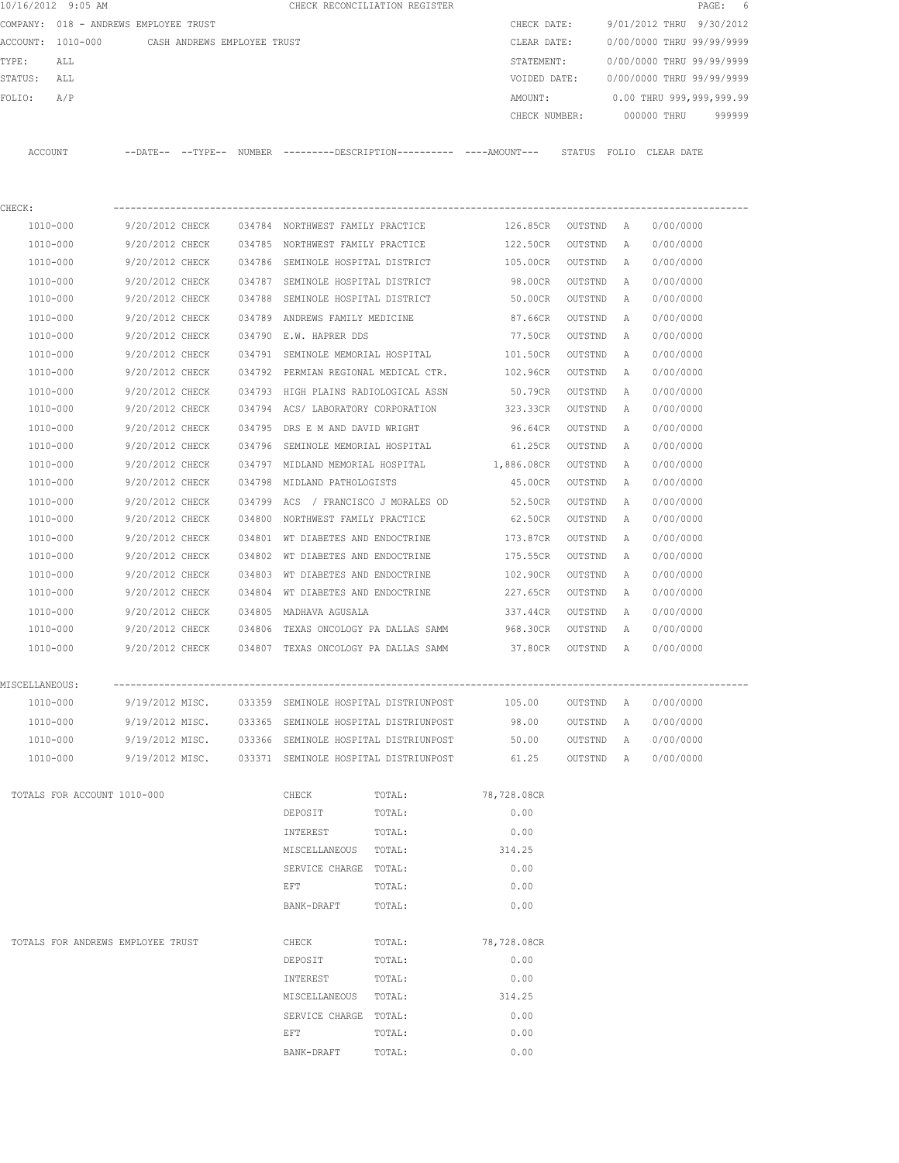|                | 10/16/2012 9:05 AM                            |                 |  |                                                       | CHECK RECONCILIATION REGISTER                                                               |                    |           |              | PAGE:                     | - 6    |
|----------------|-----------------------------------------------|-----------------|--|-------------------------------------------------------|---------------------------------------------------------------------------------------------|--------------------|-----------|--------------|---------------------------|--------|
|                | COMPANY: 018 - ANDREWS EMPLOYEE TRUST         |                 |  |                                                       |                                                                                             | CHECK DATE:        |           |              | 9/01/2012 THRU 9/30/2012  |        |
|                | ACCOUNT: 1010-000 CASH ANDREWS EMPLOYEE TRUST |                 |  |                                                       |                                                                                             | CLEAR DATE:        |           |              | 0/00/0000 THRU 99/99/9999 |        |
| TYPE:          | ALL                                           |                 |  |                                                       |                                                                                             | STATEMENT:         |           |              | 0/00/0000 THRU 99/99/9999 |        |
| STATUS: ALL    |                                               |                 |  |                                                       |                                                                                             | VOIDED DATE:       |           |              | 0/00/0000 THRU 99/99/9999 |        |
| FOLIO:         | A/P                                           |                 |  |                                                       |                                                                                             | AMOUNT:            |           |              | 0.00 THRU 999,999,999.99  |        |
|                |                                               |                 |  |                                                       |                                                                                             | CHECK NUMBER:      |           |              | 000000 THRU               | 999999 |
|                | ACCOUNT                                       |                 |  |                                                       | --DATE-- --TYPE-- NUMBER --------DESCRIPTION--------- ----AMOUNT--- STATUS FOLIO CLEAR-DATE |                    |           |              |                           |        |
|                |                                               |                 |  |                                                       |                                                                                             |                    |           |              |                           |        |
| CHECK:         |                                               |                 |  |                                                       |                                                                                             |                    |           |              |                           |        |
|                | 1010-000                                      |                 |  |                                                       | 9/20/2012 CHECK 034784 NORTHWEST FAMILY PRACTICE                                            | 126.85CR OUTSTND A |           |              | 0/00/0000                 |        |
|                | 1010-000                                      |                 |  |                                                       | 9/20/2012 CHECK 034785 NORTHWEST FAMILY PRACTICE                                            | 122.50CR           | OUTSTND   | A            | 0/00/0000                 |        |
|                | 1010-000                                      | 9/20/2012 CHECK |  |                                                       | 034786 SEMINOLE HOSPITAL DISTRICT                                                           | 105.00CR           | OUTSTND   | Α            | 0/00/0000                 |        |
|                | 1010-000                                      | 9/20/2012 CHECK |  | 034787 SEMINOLE HOSPITAL DISTRICT                     |                                                                                             | 98.00CR            | OUTSTND   | A            | 0/00/0000                 |        |
|                | 1010-000                                      | 9/20/2012 CHECK |  | 034788 SEMINOLE HOSPITAL DISTRICT                     |                                                                                             | 50.00CR            | OUTSTND   | A            | 0/00/0000                 |        |
|                | 1010-000                                      | 9/20/2012 CHECK |  | 034789 ANDREWS FAMILY MEDICINE                        |                                                                                             | 87.66CR            | OUTSTND   | A            | 0/00/0000                 |        |
|                | 1010-000                                      | 9/20/2012 CHECK |  | 034790 E.W. HAPRER DDS                                |                                                                                             | 77.50CR            | OUTSTND   | A            | 0/00/0000                 |        |
|                | 1010-000                                      | 9/20/2012 CHECK |  | 034791 SEMINOLE MEMORIAL HOSPITAL                     |                                                                                             | 101.50CR           | OUTSTND   | A            | 0/00/0000                 |        |
|                | 1010-000                                      | 9/20/2012 CHECK |  |                                                       | 034792 PERMIAN REGIONAL MEDICAL CTR.                                                        | 102.96CR           | OUTSTND   | A            | 0/00/0000                 |        |
|                | 1010-000                                      | 9/20/2012 CHECK |  | 034793 HIGH PLAINS RADIOLOGICAL ASSN                  |                                                                                             | 50.79CR            | OUTSTND   | A            | 0/00/0000                 |        |
|                | 1010-000                                      | 9/20/2012 CHECK |  |                                                       | 034794 ACS/ LABORATORY CORPORATION                                                          | 323.33CR           | OUTSTND   | Α            | 0/00/0000                 |        |
|                | 1010-000                                      | 9/20/2012 CHECK |  | 034795 DRS E M AND DAVID WRIGHT                       |                                                                                             | 96.64CR            | OUTSTND   | A            | 0/00/0000                 |        |
|                | 1010-000                                      | 9/20/2012 CHECK |  |                                                       | 034796 SEMINOLE MEMORIAL HOSPITAL                                                           | 61.25CR            | OUTSTND   | Α            | 0/00/0000                 |        |
|                | 1010-000                                      | 9/20/2012 CHECK |  |                                                       | 034797 MIDLAND MEMORIAL HOSPITAL                                                            | 1,886.08CR         | OUTSTND   | Α            | 0/00/0000                 |        |
|                | 1010-000                                      | 9/20/2012 CHECK |  | 034798 MIDLAND PATHOLOGISTS                           |                                                                                             | 45.00CR            | OUTSTND   | Α            | 0/00/0000                 |        |
|                | 1010-000                                      | 9/20/2012 CHECK |  | 034799 ACS / FRANCISCO J MORALES OD                   |                                                                                             | 52.50CR            | OUTSTND   | Α            | 0/00/0000                 |        |
|                | 1010-000                                      | 9/20/2012 CHECK |  | 034800 NORTHWEST FAMILY PRACTICE                      |                                                                                             | 62.50CR            | OUTSTND   | Α            | 0/00/0000                 |        |
|                | 1010-000                                      | 9/20/2012 CHECK |  | 034801 WT DIABETES AND ENDOCTRINE                     |                                                                                             | 173.87CR           | OUTSTND   | A            | 0/00/0000                 |        |
|                | 1010-000                                      | 9/20/2012 CHECK |  | 034802 WT DIABETES AND ENDOCTRINE                     |                                                                                             | 175.55CR           | OUTSTND   | $\mathbb{A}$ | 0/00/0000                 |        |
|                |                                               |                 |  |                                                       |                                                                                             |                    |           |              |                           |        |
|                | 1010-000                                      | 9/20/2012 CHECK |  | 034803 WT DIABETES AND ENDOCTRINE                     |                                                                                             | 102.90CR           | OUTSTND   | A            | 0/00/0000                 |        |
|                | 1010-000                                      | 9/20/2012 CHECK |  |                                                       | 034804 WT DIABETES AND ENDOCTRINE                                                           | 227.65CR           | OUTSTND   | A            | 0/00/0000                 |        |
|                | 1010-000                                      | 9/20/2012 CHECK |  | 034805 MADHAVA AGUSALA                                |                                                                                             | 337.44CR           | OUTSTND   | A            | 0/00/0000                 |        |
|                | 1010-000                                      | 9/20/2012 CHECK |  |                                                       | 034806 TEXAS ONCOLOGY PA DALLAS SAMM 968.30CR                                               |                    | OUTSTND   | A            | 0/00/0000                 |        |
|                | 1010-000                                      | 9/20/2012 CHECK |  | 034807 TEXAS ONCOLOGY PA DALLAS SAMM                  |                                                                                             | 37.80CR            | OUTSTND   | A            | 0/00/0000                 |        |
| MISCELLANEOUS: |                                               |                 |  |                                                       |                                                                                             |                    |           |              |                           |        |
|                | 1010-000                                      | 9/19/2012 MISC. |  |                                                       | 033359 SEMINOLE HOSPITAL DISTRIUNPOST                                                       | 105.00             | OUTSTND   | A            | 0/00/0000                 |        |
|                | 1010-000                                      |                 |  | 9/19/2012 MISC. 033365 SEMINOLE HOSPITAL DISTRIUNPOST |                                                                                             | 98.00              | OUTSTND A |              | 0/00/0000                 |        |
|                | 1010-000                                      |                 |  | 9/19/2012 MISC. 033366 SEMINOLE HOSPITAL DISTRIUNPOST |                                                                                             | 50.00              | OUTSTND A |              | 0/00/0000                 |        |
|                | 1010-000                                      |                 |  |                                                       | 9/19/2012 MISC. 033371 SEMINOLE HOSPITAL DISTRIUNPOST                                       | 61.25              | OUTSTND A |              | 0/00/0000                 |        |
|                | TOTALS FOR ACCOUNT 1010-000                   |                 |  | CHECK                                                 | TOTAL:                                                                                      | 78,728.08CR        |           |              |                           |        |
|                |                                               |                 |  | DEPOSIT                                               | TOTAL:                                                                                      | 0.00               |           |              |                           |        |
|                |                                               |                 |  | INTEREST                                              | TOTAL:                                                                                      | 0.00               |           |              |                           |        |
|                |                                               |                 |  | MISCELLANEOUS TOTAL:                                  |                                                                                             | 314.25             |           |              |                           |        |
|                |                                               |                 |  | SERVICE CHARGE TOTAL:                                 |                                                                                             | 0.00               |           |              |                           |        |
|                |                                               |                 |  | EFT                                                   | TOTAL:                                                                                      | 0.00               |           |              |                           |        |
|                |                                               |                 |  | BANK-DRAFT                                            | TOTAL:                                                                                      | 0.00               |           |              |                           |        |
|                |                                               |                 |  |                                                       |                                                                                             |                    |           |              |                           |        |
|                | TOTALS FOR ANDREWS EMPLOYEE TRUST             |                 |  | CHECK                                                 | TOTAL:                                                                                      | 78,728.08CR        |           |              |                           |        |
|                |                                               |                 |  | DEPOSIT                                               | TOTAL:                                                                                      | 0.00               |           |              |                           |        |
|                |                                               |                 |  | INTEREST                                              | TOTAL:                                                                                      | 0.00               |           |              |                           |        |
|                |                                               |                 |  | MISCELLANEOUS TOTAL:                                  |                                                                                             | 314.25             |           |              |                           |        |
|                |                                               |                 |  | SERVICE CHARGE TOTAL:                                 |                                                                                             | 0.00               |           |              |                           |        |
|                |                                               |                 |  | EFT                                                   | TOTAL:                                                                                      | 0.00               |           |              |                           |        |
|                |                                               |                 |  | BANK-DRAFT                                            | TOTAL:                                                                                      | 0.00               |           |              |                           |        |
|                |                                               |                 |  |                                                       |                                                                                             |                    |           |              |                           |        |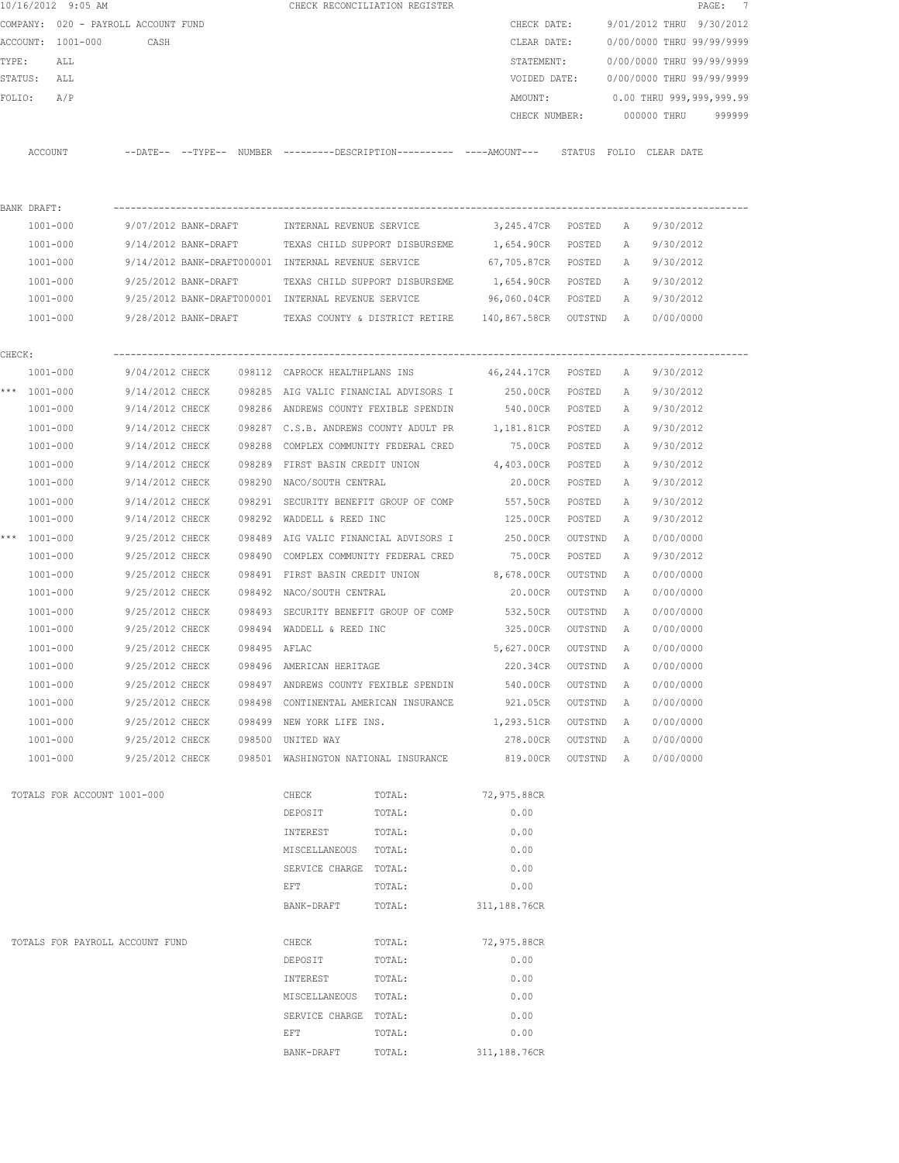|        | 10/16/2012 9:05 AM                  |                      |              |                                                     | CHECK RECONCILIATION REGISTER                                                                |                    |           |              |                           | PAGE: 7 |
|--------|-------------------------------------|----------------------|--------------|-----------------------------------------------------|----------------------------------------------------------------------------------------------|--------------------|-----------|--------------|---------------------------|---------|
|        | COMPANY: 020 - PAYROLL ACCOUNT FUND |                      |              |                                                     |                                                                                              | CHECK DATE:        |           |              | 9/01/2012 THRU 9/30/2012  |         |
|        | ACCOUNT: 1001-000                   | CASH                 |              |                                                     |                                                                                              | CLEAR DATE:        |           |              | 0/00/0000 THRU 99/99/9999 |         |
| TYPE:  | ALL                                 |                      |              |                                                     |                                                                                              | STATEMENT:         |           |              | 0/00/0000 THRU 99/99/9999 |         |
|        | STATUS: ALL                         |                      |              |                                                     |                                                                                              | VOIDED DATE:       |           |              | 0/00/0000 THRU 99/99/9999 |         |
| FOLIO: | A/P                                 |                      |              |                                                     |                                                                                              | AMOUNT:            |           |              | 0.00 THRU 999,999,999.99  |         |
|        |                                     |                      |              |                                                     |                                                                                              | CHECK NUMBER:      |           |              | 000000 THRU               | 999999  |
|        |                                     |                      |              |                                                     |                                                                                              |                    |           |              |                           |         |
|        | ACCOUNT                             |                      |              |                                                     | --DATE-- --TYPE-- NUMBER --------DESCRIPTION---------- ----AMOUNT--- STATUS FOLIO CLEAR DATE |                    |           |              |                           |         |
|        |                                     |                      |              |                                                     |                                                                                              |                    |           |              |                           |         |
|        |                                     |                      |              |                                                     |                                                                                              |                    |           |              |                           |         |
|        | BANK DRAFT:                         |                      |              |                                                     |                                                                                              |                    |           |              |                           |         |
|        | 1001-000                            | 9/07/2012 BANK-DRAFT |              | INTERNAL REVENUE SERVICE                            |                                                                                              | 3,245.47CR POSTED  |           | A            | 9/30/2012                 |         |
|        | 1001-000                            |                      |              |                                                     | 9/14/2012 BANK-DRAFT TEXAS CHILD SUPPORT DISBURSEME 1,654.90CR                               |                    | POSTED    | A            | 9/30/2012                 |         |
|        | 1001-000                            |                      |              | 9/14/2012 BANK-DRAFT000001 INTERNAL REVENUE SERVICE |                                                                                              | 67,705.87CR POSTED |           | A            | 9/30/2012                 |         |
|        | 1001-000                            | 9/25/2012 BANK-DRAFT |              |                                                     | TEXAS CHILD SUPPORT DISBURSEME                                                               | 1,654.90CR POSTED  |           | A            | 9/30/2012                 |         |
|        | 1001-000                            |                      |              | 9/25/2012 BANK-DRAFT000001 INTERNAL REVENUE SERVICE |                                                                                              | 96,060.04CR POSTED |           | A            | 9/30/2012                 |         |
|        | 1001-000                            |                      |              |                                                     | 9/28/2012 BANK-DRAFT TEXAS COUNTY & DISTRICT RETIRE 140,867.58CR OUTSTND A                   |                    |           |              | 0/00/0000                 |         |
|        |                                     |                      |              |                                                     |                                                                                              |                    |           |              |                           |         |
| CHECK: | 1001-000                            |                      |              |                                                     | 9/04/2012 CHECK 098112 CAPROCK HEALTHPLANS INS 46,244.17CR POSTED                            |                    |           | A            | 9/30/2012                 |         |
|        | *** 1001-000                        |                      |              |                                                     | 9/14/2012 CHECK 098285 AIG VALIC FINANCIAL ADVISORS I                                        | 250.00CR POSTED    |           | Α            | 9/30/2012                 |         |
|        | 1001-000                            |                      |              |                                                     | 9/14/2012 CHECK 098286 ANDREWS COUNTY FEXIBLE SPENDIN 540.00CR POSTED                        |                    |           | A            | 9/30/2012                 |         |
|        | 1001-000                            | 9/14/2012 CHECK      |              |                                                     | 098287 C.S.B. ANDREWS COUNTY ADULT PR 1,181.81CR                                             |                    | POSTED    | $\mathbb{A}$ | 9/30/2012                 |         |
|        | 1001-000                            | 9/14/2012 CHECK      |              |                                                     | 098288 COMPLEX COMMUNITY FEDERAL CRED 75.00CR                                                |                    | POSTED    | Α            | 9/30/2012                 |         |
|        | 1001-000                            | 9/14/2012 CHECK      |              |                                                     | 098289 FIRST BASIN CREDIT UNION                                                              | 4,403.00CR         | POSTED    | Α            | 9/30/2012                 |         |
|        | 1001-000                            | 9/14/2012 CHECK      |              | 098290 NACO/SOUTH CENTRAL                           |                                                                                              | 20.00CR            | POSTED    | A            | 9/30/2012                 |         |
|        | 1001-000                            | 9/14/2012 CHECK      |              |                                                     | 098291 SECURITY BENEFIT GROUP OF COMP                                                        | 557.50CR           | POSTED    | Α            | 9/30/2012                 |         |
|        | 1001-000                            | 9/14/2012 CHECK      |              | 098292 WADDELL & REED INC                           |                                                                                              | 125.00CR           | POSTED    | A            | 9/30/2012                 |         |
|        | *** 1001-000                        | 9/25/2012 CHECK      |              |                                                     | 098489 AIG VALIC FINANCIAL ADVISORS I                                                        | 250.00CR           | OUTSTND   | A            | 0/00/0000                 |         |
|        | 1001-000                            | 9/25/2012 CHECK      |              | 098490 COMPLEX COMMUNITY FEDERAL CRED               |                                                                                              | 75.00CR            | POSTED    | Α            | 9/30/2012                 |         |
|        | 1001-000                            | 9/25/2012 CHECK      |              | 098491 FIRST BASIN CREDIT UNION                     |                                                                                              | 8,678.00CR         | OUTSTND   | A            | 0/00/0000                 |         |
|        | 1001-000                            | 9/25/2012 CHECK      |              | 098492 NACO/SOUTH CENTRAL                           |                                                                                              | 20.00CR            | OUTSTND   | A            | 0/00/0000                 |         |
|        | $1001 - 000$                        | 9/25/2012 CHECK      |              |                                                     | 098493 SECURITY BENEFIT GROUP OF COMP 532.50CR                                               |                    | OUTSTND   | A            | 0/00/0000                 |         |
|        | 1001-000                            | 9/25/2012 CHECK      |              | 098494 WADDELL & REED INC                           |                                                                                              | 325.00CR           | OUTSTND   | A            | 0/00/0000                 |         |
|        | 1001-000                            | 9/25/2012 CHECK      | 098495 AFLAC |                                                     |                                                                                              | 5,627.00CR         | OUTSTND   | A            | 0/00/0000                 |         |
|        | 1001-000                            | 9/25/2012 CHECK      |              | 098496 AMERICAN HERITAGE                            |                                                                                              | 220.34CR           | OUTSTND   | A            | 0/00/0000                 |         |
|        | $1001 - 000$                        | 9/25/2012 CHECK      |              |                                                     | 098497 ANDREWS COUNTY FEXIBLE SPENDIN                                                        | 540.00CR           | OUTSTND   | A            | 0/00/0000                 |         |
|        | $1001 - 000$                        | 9/25/2012 CHECK      |              |                                                     | 098498 CONTINENTAL AMERICAN INSURANCE                                                        | 921.05CR           | OUTSTND   | Α            | 0/00/0000                 |         |
|        | $1001 - 000$                        | 9/25/2012 CHECK      |              | 098499 NEW YORK LIFE INS.                           |                                                                                              | 1,293.51CR         | OUTSTND   | Α            | 0/00/0000                 |         |
|        | $1001 - 000$                        | 9/25/2012 CHECK      |              | 098500 UNITED WAY                                   |                                                                                              | 278.00CR           | OUTSTND   | A            | 0/00/0000                 |         |
|        | 1001-000                            | 9/25/2012 CHECK      |              |                                                     | 098501 WASHINGTON NATIONAL INSURANCE                                                         | 819.00CR           | OUTSTND A |              | 0/00/0000                 |         |
|        |                                     |                      |              |                                                     |                                                                                              |                    |           |              |                           |         |
|        | TOTALS FOR ACCOUNT 1001-000         |                      |              | CHECK                                               | TOTAL:                                                                                       | 72,975.88CR        |           |              |                           |         |
|        |                                     |                      |              | DEPOSIT                                             | TOTAL:                                                                                       | 0.00               |           |              |                           |         |
|        |                                     |                      |              | INTEREST                                            | TOTAL:                                                                                       | 0.00               |           |              |                           |         |
|        |                                     |                      |              | MISCELLANEOUS                                       | TOTAL:                                                                                       | 0.00               |           |              |                           |         |
|        |                                     |                      |              | SERVICE CHARGE TOTAL:                               |                                                                                              | 0.00               |           |              |                           |         |
|        |                                     |                      |              | EFT                                                 | TOTAL:                                                                                       | 0.00               |           |              |                           |         |
|        |                                     |                      |              | BANK-DRAFT                                          | TOTAL:                                                                                       | 311,188.76CR       |           |              |                           |         |
|        | TOTALS FOR PAYROLL ACCOUNT FUND     |                      |              | CHECK                                               | TOTAL:                                                                                       | 72,975.88CR        |           |              |                           |         |
|        |                                     |                      |              | DEPOSIT                                             | TOTAL:                                                                                       | 0.00               |           |              |                           |         |
|        |                                     |                      |              | INTEREST                                            | TOTAL:                                                                                       | 0.00               |           |              |                           |         |
|        |                                     |                      |              | MISCELLANEOUS TOTAL:                                |                                                                                              | 0.00               |           |              |                           |         |
|        |                                     |                      |              | SERVICE CHARGE TOTAL:                               |                                                                                              | 0.00               |           |              |                           |         |
|        |                                     |                      |              | EFT                                                 | TOTAL:                                                                                       | 0.00               |           |              |                           |         |
|        |                                     |                      |              | BANK-DRAFT                                          | TOTAL:                                                                                       | 311,188.76CR       |           |              |                           |         |
|        |                                     |                      |              |                                                     |                                                                                              |                    |           |              |                           |         |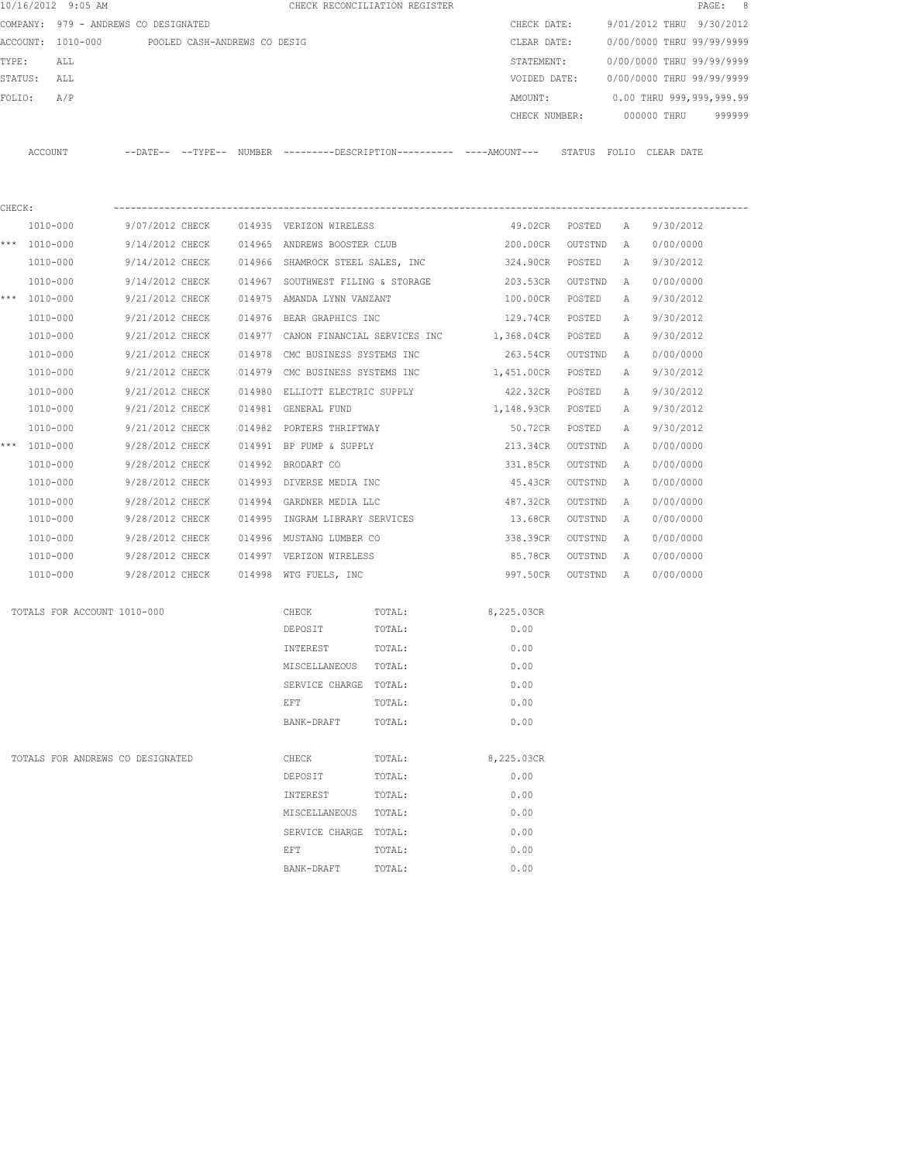|        | 10/16/2012 9:05 AM                   |                              |        |                                     | CHECK RECONCILIATION REGISTER |                                                                                            |                |              |                           | 8<br>PAGE: |
|--------|--------------------------------------|------------------------------|--------|-------------------------------------|-------------------------------|--------------------------------------------------------------------------------------------|----------------|--------------|---------------------------|------------|
|        | COMPANY: 979 - ANDREWS CO DESIGNATED |                              |        |                                     |                               | CHECK DATE:                                                                                |                |              | 9/01/2012 THRU            | 9/30/2012  |
|        | ACCOUNT: 1010-000                    | POOLED CASH-ANDREWS CO DESIG |        |                                     |                               | CLEAR DATE:                                                                                |                |              | 0/00/0000 THRU 99/99/9999 |            |
| TYPE:  | ALL                                  |                              |        |                                     |                               | STATEMENT:                                                                                 |                |              | 0/00/0000 THRU 99/99/9999 |            |
|        | STATUS:<br>ALL                       |                              |        |                                     |                               | VOIDED DATE:                                                                               |                |              | 0/00/0000 THRU 99/99/9999 |            |
| FOLIO: | A/P                                  |                              |        |                                     |                               | AMOUNT:                                                                                    |                |              | 0.00 THRU 999,999,999.99  |            |
|        |                                      |                              |        |                                     |                               | CHECK NUMBER:                                                                              |                |              | 000000 THRU               | 999999     |
|        | ACCOUNT                              |                              |        |                                     |                               | --DATE-- --TYPE-- NUMBER --------DESCRIPTION--------- ----AMOUNT--- STATUS FOLIO CLEARDATE |                |              |                           |            |
|        |                                      |                              |        |                                     |                               |                                                                                            |                |              |                           |            |
| CHECK: |                                      |                              |        |                                     |                               |                                                                                            |                |              |                           |            |
|        | 1010-000                             | 9/07/2012 CHECK              |        | 014935 VERIZON WIRELESS             |                               |                                                                                            | 49.02CR POSTED | A            | 9/30/2012                 |            |
|        | *** 1010-000                         | 9/14/2012 CHECK              |        | 014965 ANDREWS BOOSTER CLUB         |                               | 200.00CR                                                                                   | OUTSTND        | A            | 0/00/0000                 |            |
|        | 1010-000                             | 9/14/2012 CHECK              |        | 014966 SHAMROCK STEEL SALES, INC    |                               | 324.90CR                                                                                   | POSTED         | A            | 9/30/2012                 |            |
|        | 1010-000                             | 9/14/2012 CHECK              |        | 014967 SOUTHWEST FILING & STORAGE   |                               | 203.53CR                                                                                   | OUTSTND        | A            | 0/00/0000                 |            |
|        | *** 1010-000                         | 9/21/2012 CHECK              |        | 014975 AMANDA LYNN VANZANT          |                               | 100.00CR POSTED                                                                            |                | Α            | 9/30/2012                 |            |
|        | 1010-000                             | 9/21/2012 CHECK              |        | 014976 BEAR GRAPHICS INC            |                               | 129.74CR POSTED                                                                            |                | $\mathbb{A}$ | 9/30/2012                 |            |
|        | 1010-000                             | 9/21/2012 CHECK              |        | 014977 CANON FINANCIAL SERVICES INC |                               | 1,368.04CR POSTED                                                                          |                | A            | 9/30/2012                 |            |
|        | 1010-000                             | 9/21/2012 CHECK              | 014978 | CMC BUSINESS SYSTEMS INC            |                               | 263.54CR OUTSTND                                                                           |                | A            | 0/00/0000                 |            |
|        | 1010-000                             | 9/21/2012 CHECK              |        | 014979 CMC BUSINESS SYSTEMS INC     |                               | 1,451.00CR POSTED                                                                          |                | A            | 9/30/2012                 |            |
|        | 1010-000                             | 9/21/2012 CHECK              | 014980 | ELLIOTT ELECTRIC SUPPLY             |                               | 422.32CR                                                                                   | POSTED         | Α            | 9/30/2012                 |            |
|        | 1010-000                             | 9/21/2012 CHECK              |        | 014981 GENERAL FUND                 |                               | 1,148.93CR POSTED                                                                          |                | Α            | 9/30/2012                 |            |
|        | 1010-000                             | 9/21/2012 CHECK              |        | 014982 PORTERS THRIFTWAY            |                               | 50.72CR                                                                                    | POSTED         | Α            | 9/30/2012                 |            |
|        | *** 1010-000                         | 9/28/2012 CHECK              |        | 014991 BP PUMP & SUPPLY             |                               | 213.34CR                                                                                   | OUTSTND        | Α            | 0/00/0000                 |            |
|        | 1010-000                             | 9/28/2012 CHECK              |        | 014992 BRODART CO                   |                               | 331.85CR                                                                                   | OUTSTND        | A            | 0/00/0000                 |            |
|        | 1010-000                             | 9/28/2012 CHECK              |        | 014993 DIVERSE MEDIA INC            |                               | 45.43CR                                                                                    | OUTSTND        | A            | 0/00/0000                 |            |
|        | 1010-000                             | 9/28/2012 CHECK              |        | 014994 GARDNER MEDIA LLC            |                               | 487.32CR                                                                                   | OUTSTND        | Α            | 0/00/0000                 |            |
|        | 1010-000                             | 9/28/2012 CHECK              |        | 014995 INGRAM LIBRARY SERVICES      |                               | 13.68CR                                                                                    | OUTSTND        | A            | 0/00/0000                 |            |
|        | 1010-000                             | 9/28/2012 CHECK              |        | 014996 MUSTANG LUMBER CO            |                               | 338.39CR                                                                                   | OUTSTND        | Α            | 0/00/0000                 |            |
|        | 1010-000                             | 9/28/2012 CHECK              |        | 014997 VERIZON WIRELESS             |                               | 85.78CR                                                                                    | OUTSTND        | A            | 0/00/0000                 |            |
|        | 1010-000                             | 9/28/2012 CHECK              |        | 014998 WTG FUELS, INC               |                               | 997.50CR                                                                                   | OUTSTND        | A            | 0/00/0000                 |            |
|        |                                      |                              |        |                                     |                               |                                                                                            |                |              |                           |            |
|        | TOTALS FOR ACCOUNT 1010-000          |                              |        | CHECK                               | TOTAL:                        | 8,225.03CR                                                                                 |                |              |                           |            |
|        |                                      |                              |        | DEPOSIT                             | TOTAL:                        | 0.00                                                                                       |                |              |                           |            |
|        |                                      |                              |        | INTEREST                            | TOTAL:                        | 0.00                                                                                       |                |              |                           |            |
|        |                                      |                              |        | MISCELLANEOUS                       | TOTAL:                        | 0.00                                                                                       |                |              |                           |            |
|        |                                      |                              |        | SERVICE CHARGE                      | TOTAL:                        | 0.00                                                                                       |                |              |                           |            |
|        |                                      |                              |        | EFT                                 | TOTAL:                        | 0.00                                                                                       |                |              |                           |            |
|        |                                      |                              |        | BANK-DRAFT                          | TOTAL:                        | 0.00                                                                                       |                |              |                           |            |
|        | TOTALS FOR ANDREWS CO DESIGNATED     |                              |        | CHECK                               | TOTAL:                        | 8,225.03CR                                                                                 |                |              |                           |            |
|        |                                      |                              |        | DEPOSIT                             | TOTAL:                        | 0.00                                                                                       |                |              |                           |            |
|        |                                      |                              |        | INTEREST                            | TOTAL:                        | 0.00                                                                                       |                |              |                           |            |
|        |                                      |                              |        | MISCELLANEOUS                       | TOTAL:                        | 0.00                                                                                       |                |              |                           |            |
|        |                                      |                              |        | SERVICE CHARGE TOTAL:               |                               | 0.00                                                                                       |                |              |                           |            |
|        |                                      |                              |        | EFT                                 | TOTAL:                        | 0.00                                                                                       |                |              |                           |            |
|        |                                      |                              |        | BANK-DRAFT                          | TOTAL:                        | 0.00                                                                                       |                |              |                           |            |
|        |                                      |                              |        |                                     |                               |                                                                                            |                |              |                           |            |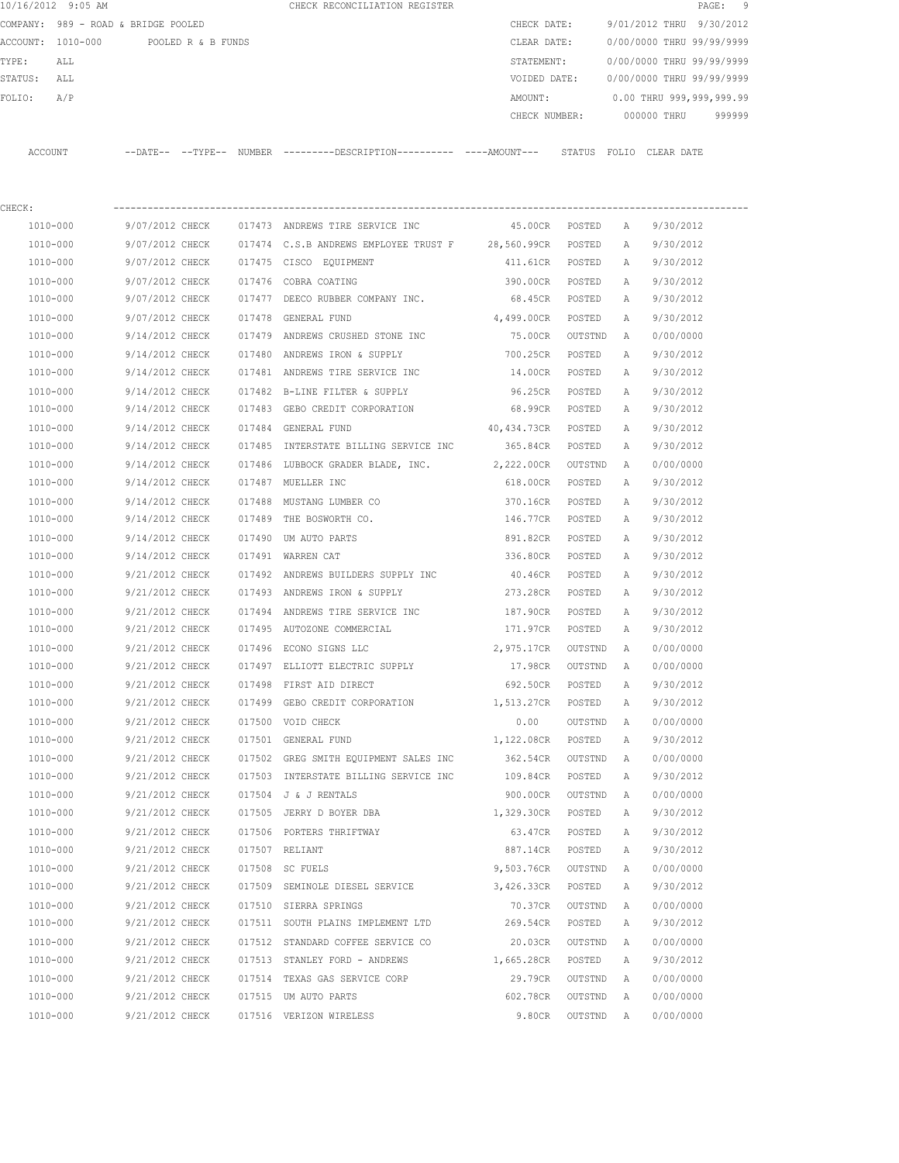|             | 10/16/2012 9:05 AM                   |                 |        | CHECK RECONCILIATION REGISTER                                                               |                    |                             |              | PAGE: 9                                |
|-------------|--------------------------------------|-----------------|--------|---------------------------------------------------------------------------------------------|--------------------|-----------------------------|--------------|----------------------------------------|
|             | COMPANY: 989 - ROAD & BRIDGE POOLED  |                 |        |                                                                                             |                    | CHECK DATE:                 |              | 9/01/2012 THRU 9/30/2012               |
|             | ACCOUNT: 1010-000 POOLED R & B FUNDS |                 |        |                                                                                             |                    | CLEAR DATE:                 |              | 0/00/0000 THRU 99/99/9999              |
| TYPE:       | ALL                                  |                 |        |                                                                                             |                    | STATEMENT:                  |              | 0/00/0000 THRU 99/99/9999              |
| STATUS: ALL |                                      |                 |        |                                                                                             |                    |                             |              | VOIDED DATE: 0/00/0000 THRU 99/99/9999 |
| FOLIO: A/P  |                                      |                 |        |                                                                                             |                    |                             |              | AMOUNT: 0.00 THRU 999,999,999.99       |
|             |                                      |                 |        |                                                                                             |                    |                             |              | CHECK NUMBER: 000000 THRU 999999       |
|             | ACCOUNT                              |                 |        | --DATE-- --TYPE-- NUMBER --------DESCRIPTION---------- ---AMOUNT--- STATUS FOLIO CLEAR-DATE |                    |                             |              |                                        |
|             |                                      |                 |        |                                                                                             |                    |                             |              |                                        |
| CHECK:      |                                      |                 |        |                                                                                             |                    |                             |              |                                        |
|             | 1010-000                             |                 |        | 9/07/2012 CHECK 017473 ANDREWS TIRE SERVICE INC                                             |                    | 45.00CR POSTED A 9/30/2012  |              |                                        |
|             | 1010-000                             |                 |        | 9/07/2012 CHECK 017474 C.S.B ANDREWS EMPLOYEE TRUST F 28,560.99CR POSTED A 9/30/2012        |                    |                             |              |                                        |
|             | 1010-000                             |                 |        | 9/07/2012 CHECK 017475 CISCO EQUIPMENT                                                      |                    | 411.61CR POSTED A 9/30/2012 |              |                                        |
|             | 1010-000                             |                 |        | $9/07/2012$ CHECK $017476$ COBRA COATING                                                    |                    | 390.00CR POSTED             | $\mathbb A$  | 9/30/2012                              |
|             | 1010-000                             |                 |        | 9/07/2012 CHECK 017477 DEECO RUBBER COMPANY INC.                                            |                    | 68.45CR POSTED              | A            | 9/30/2012                              |
|             | 1010-000                             |                 |        | 9/07/2012 CHECK 017478 GENERAL FUND                                                         | 4,499.00CR POSTED  |                             | A            | 9/30/2012                              |
|             | 1010-000                             |                 |        | 9/14/2012 CHECK 017479 ANDREWS CRUSHED STONE INC 75.00CR OUTSTND                            |                    |                             | $\mathbb{A}$ | 0/00/0000                              |
|             | 1010-000                             |                 |        | $9/14/2012$ CHECK $017480$ ANDREWS IRON & SUPPLY                                            |                    | 700.25CR POSTED             | $\mathbb{A}$ | 9/30/2012                              |
|             | 1010-000                             |                 |        | 9/14/2012 CHECK 017481 ANDREWS TIRE SERVICE INC                                             |                    | 14.00CR POSTED              | A            | 9/30/2012                              |
|             | 1010-000                             |                 |        | 9/14/2012 CHECK 017482 B-LINE FILTER & SUPPLY                                               |                    | 96.25CR POSTED              | A            | 9/30/2012                              |
|             | 1010-000                             |                 |        | 9/14/2012 CHECK 017483 GEBO CREDIT CORPORATION                                              |                    | 68.99CR POSTED              | A            | 9/30/2012                              |
|             | 1010-000                             |                 |        | 9/14/2012 CHECK 017484 GENERAL FUND                                                         | 40,434.73CR POSTED |                             |              | A 9/30/2012                            |
|             | 1010-000                             | 9/14/2012 CHECK |        | 017485 INTERSTATE BILLING SERVICE INC                                                       |                    | 365.84CR POSTED             | A            | 9/30/2012                              |
|             | 1010-000                             |                 |        | 9/14/2012 CHECK 017486 LUBBOCK GRADER BLADE, INC. 2,222.00CR OUTSTND A                      |                    |                             |              | 0/00/0000                              |
|             | 1010-000                             |                 |        | 9/14/2012 CHECK 017487 MUELLER INC                                                          |                    | 618.00CR POSTED             | A            | 9/30/2012                              |
|             | 1010-000                             |                 |        | 9/14/2012 CHECK 017488 MUSTANG LUMBER CO                                                    |                    | 370.16CR POSTED             | A            | 9/30/2012                              |
|             | 1010-000                             |                 |        | $9/14/2012$ CHECK 017489 THE BOSWORTH CO.                                                   |                    | 146.77CR POSTED             | A            | 9/30/2012                              |
|             | 1010-000                             |                 |        | 9/14/2012 CHECK 017490 UM AUTO PARTS                                                        |                    | 891.82CR POSTED             | A            | 9/30/2012                              |
|             | 1010-000                             |                 |        | 9/14/2012 CHECK 017491 WARREN CAT                                                           |                    | 336.80CR POSTED             | A            | 9/30/2012                              |
|             | 1010-000                             |                 |        | 9/21/2012 CHECK 017492 ANDREWS BUILDERS SUPPLY INC                                          | 40.46CR            | POSTED                      | A            | 9/30/2012                              |
|             | 1010-000                             |                 |        | 9/21/2012 CHECK 017493 ANDREWS IRON & SUPPLY                                                |                    | 273.28CR POSTED             | A            | 9/30/2012                              |
|             | 1010-000                             |                 |        | 9/21/2012 CHECK 017494 ANDREWS TIRE SERVICE INC                                             |                    | 187.90CR POSTED             | A            | 9/30/2012                              |
|             | 1010-000                             |                 |        | 9/21/2012 CHECK 017495 AUTOZONE COMMERCIAL                                                  |                    | 171.97CR POSTED A 9/30/2012 |              |                                        |
|             | 1010-000                             | 9/21/2012 CHECK |        | 017496 ECONO SIGNS LLC                                                                      |                    | 2,975.17CR OUTSTND A        |              | 0/00/0000                              |
|             | 1010-000                             | 9/21/2012 CHECK |        | 017497 ELLIOTT ELECTRIC SUPPLY                                                              | 17.98CR            | OUTSTND                     | A            | 0/00/0000                              |
|             | 1010-000                             | 9/21/2012 CHECK |        | 017498 FIRST AID DIRECT                                                                     | 692.50CR           | POSTED                      | Α            | 9/30/2012                              |
|             | 1010-000                             | 9/21/2012 CHECK |        | 017499 GEBO CREDIT CORPORATION                                                              | 1,513.27CR         | POSTED                      | Α            | 9/30/2012                              |
|             | $1010 - 000$                         | 9/21/2012 CHECK |        | 017500 VOID CHECK                                                                           | 0.00               | OUTSTND                     | Α            | 0/00/0000                              |
|             | 1010-000                             | 9/21/2012 CHECK |        | 017501 GENERAL FUND                                                                         | 1,122.08CR         | POSTED                      | Α            | 9/30/2012                              |
|             | 1010-000                             | 9/21/2012 CHECK |        | 017502 GREG SMITH EQUIPMENT SALES INC                                                       | 362.54CR           | OUTSTND                     | Α            | 0/00/0000                              |
|             | 1010-000                             | 9/21/2012 CHECK |        | 017503 INTERSTATE BILLING SERVICE INC                                                       | 109.84CR           | POSTED                      | Α            | 9/30/2012                              |
|             | 1010-000                             | 9/21/2012 CHECK | 017504 | J & J RENTALS                                                                               | 900.00CR           | OUTSTND                     | Α            | 0/00/0000                              |
|             | 1010-000                             | 9/21/2012 CHECK |        | 017505 JERRY D BOYER DBA                                                                    | 1,329.30CR         | POSTED                      | Α            | 9/30/2012                              |
|             | 1010-000                             | 9/21/2012 CHECK |        | 017506 PORTERS THRIFTWAY                                                                    | 63.47CR            | POSTED                      | Α            | 9/30/2012                              |
|             | 1010-000                             | 9/21/2012 CHECK |        | 017507 RELIANT                                                                              | 887.14CR           | POSTED                      | Α            | 9/30/2012                              |
|             | 1010-000                             | 9/21/2012 CHECK |        |                                                                                             | 9,503.76CR         |                             |              | 0/00/0000                              |
|             | 1010-000                             | 9/21/2012 CHECK |        | 017508 SC FUELS                                                                             |                    | OUTSTND                     | Α            |                                        |
|             |                                      |                 |        | 017509 SEMINOLE DIESEL SERVICE                                                              | 3,426.33CR         | POSTED                      | Α            | 9/30/2012                              |
|             | 1010-000                             | 9/21/2012 CHECK |        | 017510 SIERRA SPRINGS                                                                       | 70.37CR            | OUTSTND                     | Α            | 0/00/0000                              |
|             | 1010-000                             | 9/21/2012 CHECK |        | 017511 SOUTH PLAINS IMPLEMENT LTD                                                           | 269.54CR           | POSTED                      | Α            | 9/30/2012                              |
|             | 1010-000                             | 9/21/2012 CHECK |        | 017512 STANDARD COFFEE SERVICE CO                                                           | 20.03CR            | OUTSTND                     | Α            | 0/00/0000                              |
|             | 1010-000                             | 9/21/2012 CHECK |        | 017513 STANLEY FORD - ANDREWS                                                               | 1,665.28CR         | POSTED                      | Α            | 9/30/2012                              |
|             | 1010-000                             | 9/21/2012 CHECK |        | 017514 TEXAS GAS SERVICE CORP                                                               | 29.79CR            | OUTSTND                     | $\mathbb{A}$ | 0/00/0000                              |

 1010-000 9/21/2012 CHECK 017515 UM AUTO PARTS 602.78CR OUTSTND A 0/00/0000 1010-000 9/21/2012 CHECK 017516 VERIZON WIRELESS 9.80CR OUTSTND A 0/00/0000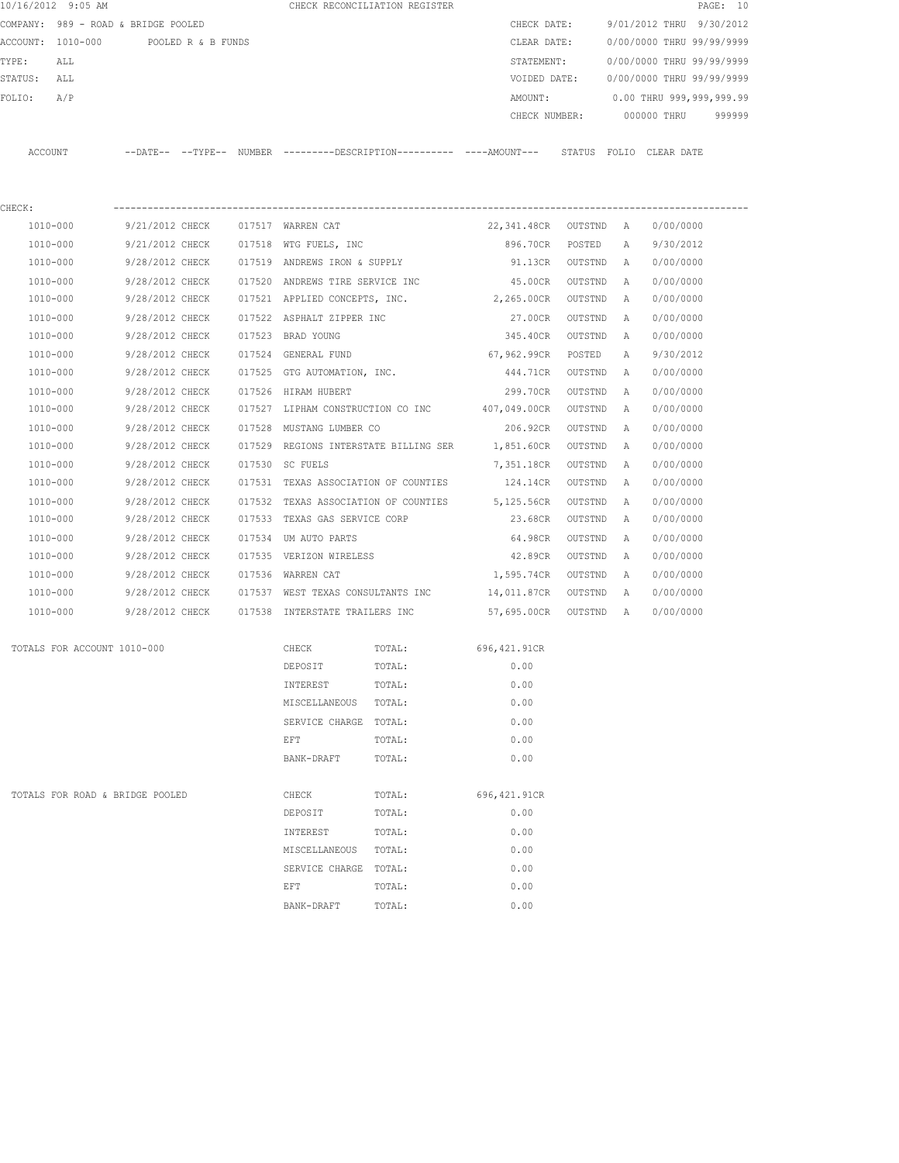|                   | 10/16/2012 9:05 AM                  |                    |  | CHECK RECONCILIATION REGISTER                                         |  |               |                           | PAGE: 10 |        |
|-------------------|-------------------------------------|--------------------|--|-----------------------------------------------------------------------|--|---------------|---------------------------|----------|--------|
|                   | COMPANY: 989 - ROAD & BRIDGE POOLED |                    |  |                                                                       |  | CHECK DATE:   | 9/01/2012 THRU 9/30/2012  |          |        |
| ACCOUNT: 1010-000 |                                     | POOLED R & B FUNDS |  |                                                                       |  | CLEAR DATE:   | 0/00/0000 THRU 99/99/9999 |          |        |
| TYPE:             | ALL                                 |                    |  |                                                                       |  | STATEMENT:    | 0/00/0000 THRU 99/99/9999 |          |        |
| STATUS:           | ALL                                 |                    |  |                                                                       |  | VOIDED DATE:  | 0/00/0000 THRU 99/99/9999 |          |        |
| FOLIO:            | A/P                                 |                    |  |                                                                       |  | AMOUNT:       | 0.00 THRU 999,999,999.99  |          |        |
|                   |                                     |                    |  |                                                                       |  | CHECK NUMBER: | 000000 THRU               |          | 999999 |
| ACCOUNT           |                                     |                    |  | --DATE-- --TYPE-- NUMBER ---------DESCRIPTION---------- ----AMOUNT--- |  | STATUS        | FOLIO CLEAR DATE          |          |        |
| CHECK:            |                                     |                    |  |                                                                       |  |               |                           |          |        |

| 1010-000     | 9/21/2012 CHECK | 017517 | WARREN CAT                     | 22,341.48CR  | OUTSTND | Α            | 0/00/0000 |
|--------------|-----------------|--------|--------------------------------|--------------|---------|--------------|-----------|
| 1010-000     | 9/21/2012 CHECK | 017518 | WTG FUELS, INC                 | 896.70CR     | POSTED  | $\mathbb{A}$ | 9/30/2012 |
| 1010-000     | 9/28/2012 CHECK | 017519 | ANDREWS IRON & SUPPLY          | 91.13CR      | OUTSTND | $\mathbb{A}$ | 0/00/0000 |
| 1010-000     | 9/28/2012 CHECK | 017520 | ANDREWS TIRE SERVICE INC       | 45.00CR      | OUTSTND | Α            | 0/00/0000 |
| 1010-000     | 9/28/2012 CHECK | 017521 | APPLIED CONCEPTS, INC.         | 2,265.00CR   | OUTSTND | $\mathbb{A}$ | 0/00/0000 |
| 1010-000     | 9/28/2012 CHECK | 017522 | ASPHALT ZIPPER INC             | 27.00CR      | OUTSTND | Α            | 0/00/0000 |
| 1010-000     | 9/28/2012 CHECK | 017523 | BRAD YOUNG                     | 345.40CR     | OUTSTND | Α            | 0/00/0000 |
| 1010-000     | 9/28/2012 CHECK | 017524 | GENERAL FUND                   | 67,962.99CR  | POSTED  | Α            | 9/30/2012 |
| 1010-000     | 9/28/2012 CHECK | 017525 | GTG AUTOMATION, INC.           | 444.71CR     | OUTSTND | Α            | 0/00/0000 |
| 1010-000     | 9/28/2012 CHECK | 017526 | HIRAM HUBERT                   | 299.70CR     | OUTSTND | Α            | 0/00/0000 |
| 1010-000     | 9/28/2012 CHECK | 017527 | LIPHAM CONSTRUCTION CO INC     | 407,049.00CR | OUTSTND | $\mathbb{A}$ | 0/00/0000 |
| 1010-000     | 9/28/2012 CHECK | 017528 | MUSTANG LUMBER CO              | 206.92CR     | OUTSTND | $\mathbb{A}$ | 0/00/0000 |
| 1010-000     | 9/28/2012 CHECK | 017529 | REGIONS INTERSTATE BILLING SER | 1,851.60CR   | OUTSTND | Α            | 0/00/0000 |
| 1010-000     | 9/28/2012 CHECK | 017530 | SC FUELS                       | 7,351.18CR   | OUTSTND | $\mathbb{A}$ | 0/00/0000 |
| 1010-000     | 9/28/2012 CHECK | 017531 | TEXAS ASSOCIATION OF COUNTIES  | 124.14CR     | OUTSTND | Α            | 0/00/0000 |
| $1010 - 000$ | 9/28/2012 CHECK | 017532 | TEXAS ASSOCIATION OF COUNTIES  | 5,125.56CR   | OUTSTND | Α            | 0/00/0000 |
| 1010-000     | 9/28/2012 CHECK | 017533 | TEXAS GAS SERVICE CORP         | 23.68CR      | OUTSTND | Α            | 0/00/0000 |
| 1010-000     | 9/28/2012 CHECK | 017534 | UM AUTO PARTS                  | 64.98CR      | OUTSTND | Α            | 0/00/0000 |
| 1010-000     | 9/28/2012 CHECK | 017535 | VERIZON WIRELESS               | 42.89CR      | OUTSTND | $\mathbb{A}$ | 0/00/0000 |
| 1010-000     | 9/28/2012 CHECK | 017536 | <b>WARREN CAT</b>              | 1,595.74CR   | OUTSTND | Α            | 0/00/0000 |
| 1010-000     | 9/28/2012 CHECK | 017537 | WEST TEXAS CONSULTANTS INC     | 14,011.87CR  | OUTSTND | $\mathbb{A}$ | 0/00/0000 |
| 1010-000     | 9/28/2012 CHECK | 017538 | INTERSTATE TRAILERS INC        | 57,695.00CR  | OUTSTND | Α            | 0/00/0000 |

| TOTALS FOR ACCOUNT 1010-000     | CHECK          | TOTAL: | 696,421.91CR  |
|---------------------------------|----------------|--------|---------------|
|                                 | DEPOSIT        | TOTAL: | 0.00          |
|                                 | INTEREST       | TOTAL: | 0.00          |
|                                 | MISCELLANEOUS  | TOTAL: | 0.00          |
|                                 | SERVICE CHARGE | TOTAL: | 0.00          |
|                                 | EFT            | TOTAL: | 0.00          |
|                                 | BANK-DRAFT     | TOTAL: | 0.00          |
|                                 |                |        |               |
| TOTALS FOR ROAD & BRIDGE POOLED | CHECK          | TOTAL: | 696, 421.91CR |
|                                 | DEPOSIT        | TOTAL: | 0.00          |
|                                 | INTEREST       | TOTAL: | 0.00          |
|                                 | MISCELLANEOUS  | TOTAL: | 0.00          |
|                                 | SERVICE CHARGE | TOTAL: | 0.00          |
|                                 | EFT            | TOTAL: | 0.00          |
|                                 | BANK-DRAFT     | TOTAL: | 0.00          |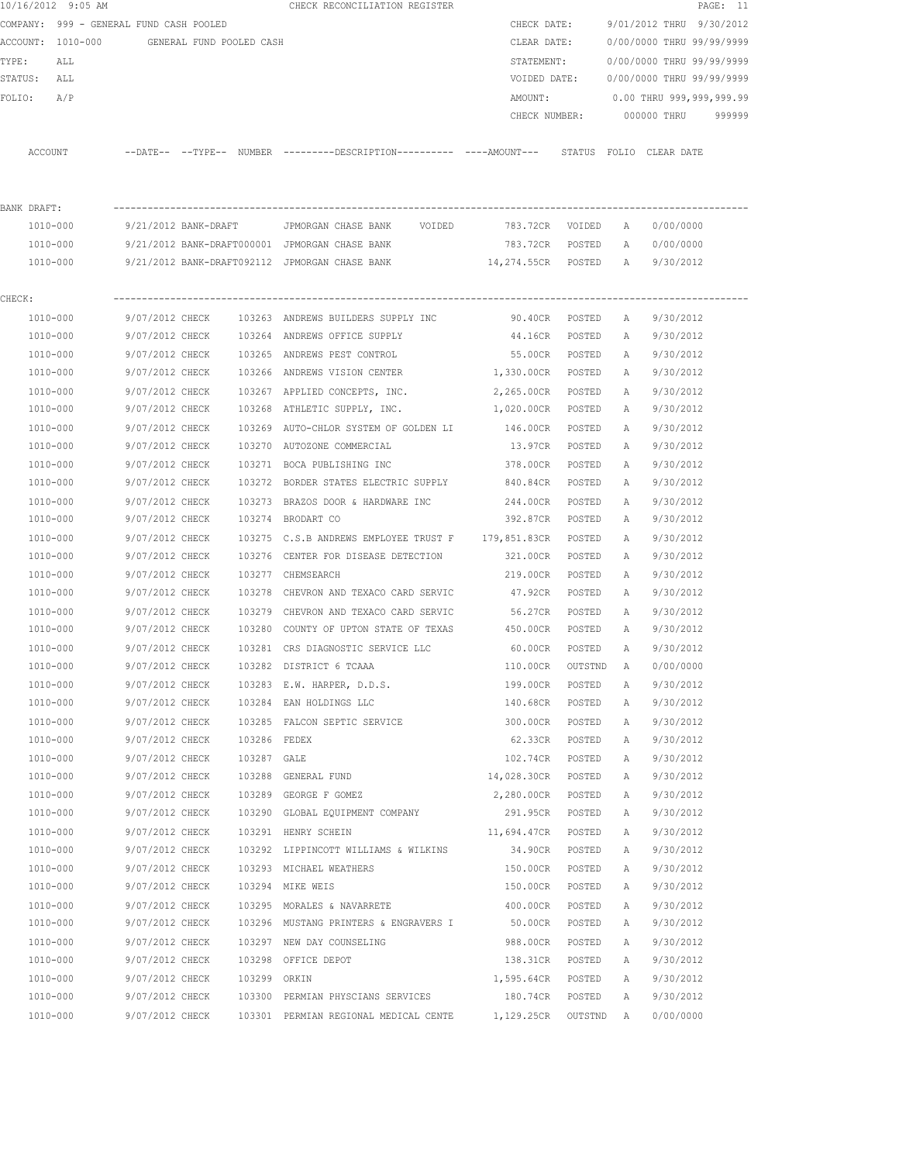|             | 10/16/2012 9:05 AM                         |                 |              | CHECK RECONCILIATION REGISTER                                                                      |                      |             |              |                                       | PAGE: 11 |
|-------------|--------------------------------------------|-----------------|--------------|----------------------------------------------------------------------------------------------------|----------------------|-------------|--------------|---------------------------------------|----------|
|             | COMPANY: 999 - GENERAL FUND CASH POOLED    |                 |              |                                                                                                    |                      | CHECK DATE: |              | 9/01/2012 THRU 9/30/2012              |          |
|             | ACCOUNT: 1010-000 GENERAL FUND POOLED CASH |                 |              |                                                                                                    |                      |             |              | CLEAR DATE: 0/00/0000 THRU 99/99/9999 |          |
| TYPE:       | ALL                                        |                 |              |                                                                                                    | STATEMENT:           |             |              | 0/00/0000 THRU 99/99/9999             |          |
| STATUS: ALL |                                            |                 |              |                                                                                                    | VOIDED DATE:         |             |              | 0/00/0000 THRU 99/99/9999             |          |
| FOLIO:      | A/P                                        |                 |              |                                                                                                    | AMOUNT:              |             |              | 0.00 THRU 999,999,999.99              |          |
|             |                                            |                 |              |                                                                                                    | CHECK NUMBER:        |             |              | 000000 THRU                           | 999999   |
|             | ACCOUNT                                    |                 |              | --DATE-- --TYPE-- NUMBER --------DESCRIPTION---------- ----AMOUNT--- STATUS FOLIO CLEAR-DATE       |                      |             |              |                                       |          |
| BANK DRAFT: |                                            |                 |              |                                                                                                    |                      |             |              |                                       |          |
|             | 1010-000                                   |                 |              | 9/21/2012 BANK-DRAFT         JPMORGAN CHASE BANK      VOIDED             783.72CR    VOIDED      A |                      |             |              | 0/00/0000                             |          |
|             | 1010-000                                   |                 |              | 9/21/2012 BANK-DRAFT000001 JPMORGAN CHASE BANK                                                     | 783.72CR POSTED A    |             |              | 0/00/0000                             |          |
|             | 1010-000                                   |                 |              | 9/21/2012 BANK-DRAFT092112 JPMORGAN CHASE BANK                                                     | 14,274.55CR POSTED A |             |              | 9/30/2012                             |          |
| CHECK:      |                                            |                 |              |                                                                                                    |                      |             |              |                                       |          |
|             | 1010-000                                   |                 |              | 9/07/2012 CHECK 103263 ANDREWS BUILDERS SUPPLY INC                                                 | 90.40cr posted a     |             |              | 9/30/2012                             |          |
|             | 1010-000                                   |                 |              | 9/07/2012 CHECK 103264 ANDREWS OFFICE SUPPLY                                                       | 44.16CR POSTED       |             |              | A 9/30/2012                           |          |
|             | 1010-000                                   | 9/07/2012 CHECK |              | 103265 ANDREWS PEST CONTROL                                                                        | 55.00CR POSTED       |             | <b>A</b>     | 9/30/2012                             |          |
|             | 1010-000                                   | 9/07/2012 CHECK |              | 103266 ANDREWS VISION CENTER                                                                       | 1,330.00CR POSTED    |             | A            | 9/30/2012                             |          |
|             | 1010-000                                   | 9/07/2012 CHECK |              | 103267 APPLIED CONCEPTS, INC.                                                                      | 2,265.00CR POSTED    |             | A            | 9/30/2012                             |          |
|             | 1010-000                                   | 9/07/2012 CHECK |              | 103268 ATHLETIC SUPPLY, INC. 1,020.00CR POSTED                                                     |                      |             | A            | 9/30/2012                             |          |
|             | 1010-000                                   | 9/07/2012 CHECK |              | 103269 AUTO-CHLOR SYSTEM OF GOLDEN LI 146.00CR POSTED                                              |                      |             | A            | 9/30/2012                             |          |
|             | 1010-000                                   | 9/07/2012 CHECK |              | 103270 AUTOZONE COMMERCIAL                                                                         | 13.97CR POSTED       |             | A            | 9/30/2012                             |          |
|             | 1010-000                                   | 9/07/2012 CHECK |              | 103271 BOCA PUBLISHING INC                                                                         | 378.00CR             | POSTED      | A            | 9/30/2012                             |          |
|             | 1010-000                                   | 9/07/2012 CHECK |              | 103272 BORDER STATES ELECTRIC SUPPLY 840.84CR                                                      |                      | POSTED      | A            | 9/30/2012                             |          |
|             | 1010-000                                   | 9/07/2012 CHECK |              | 103273 BRAZOS DOOR & HARDWARE INC                                                                  | 244.00CR POSTED      |             | A            | 9/30/2012                             |          |
|             | 1010-000                                   | 9/07/2012 CHECK |              | 103274 BRODART CO                                                                                  | 392.87CR POSTED      |             | A            | 9/30/2012                             |          |
|             | 1010-000                                   | 9/07/2012 CHECK |              | 103275 C.S.B ANDREWS EMPLOYEE TRUST F 179,851.83CR POSTED                                          |                      |             | A            | 9/30/2012                             |          |
|             | 1010-000                                   | 9/07/2012 CHECK |              | 103276 CENTER FOR DISEASE DETECTION                                                                | 321.00CR POSTED      |             | A            | 9/30/2012                             |          |
|             | 1010-000                                   | 9/07/2012 CHECK |              | 103277 CHEMSEARCH                                                                                  | 219.00CR POSTED      |             | A            | 9/30/2012                             |          |
|             | 1010-000                                   | 9/07/2012 CHECK |              | 103278 CHEVRON AND TEXACO CARD SERVIC                                                              | 47.92CR POSTED       |             | A            | 9/30/2012                             |          |
|             | 1010-000                                   | 9/07/2012 CHECK |              | 103279 CHEVRON AND TEXACO CARD SERVIC 56.27CR POSTED                                               |                      |             | A            | 9/30/2012                             |          |
|             | 1010-000                                   |                 |              | 9/07/2012 CHECK 103280 COUNTY OF UPTON STATE OF TEXAS 450.00CR POSTED                              |                      |             | A            | 9/30/2012                             |          |
|             | 1010-000                                   | 9/07/2012 CHECK |              | 103281 CRS DIAGNOSTIC SERVICE LLC 60.00CR                                                          |                      | POSTED      | A            | 9/30/2012                             |          |
|             | 1010-000                                   | 9/07/2012 CHECK |              | 103282 DISTRICT 6 TCAAA                                                                            | 110.00CR             | OUTSTND     | $\mathbf{A}$ | 0/00/0000                             |          |
|             | 1010-000                                   | 9/07/2012 CHECK |              | 103283 E.W. HARPER, D.D.S.                                                                         | 199.00CR             | POSTED      | Α            | 9/30/2012                             |          |
|             | 1010-000                                   | 9/07/2012 CHECK |              | 103284 EAN HOLDINGS LLC                                                                            | 140.68CR             | POSTED      | Α            | 9/30/2012                             |          |
|             | 1010-000                                   | 9/07/2012 CHECK |              | 103285 FALCON SEPTIC SERVICE                                                                       | 300.00CR             | POSTED      | Α            | 9/30/2012                             |          |
|             | 1010-000                                   | 9/07/2012 CHECK | 103286 FEDEX |                                                                                                    | 62.33CR              | POSTED      | Α            | 9/30/2012                             |          |
|             | 1010-000                                   | 9/07/2012 CHECK | 103287 GALE  |                                                                                                    | 102.74CR             | POSTED      | Α            | 9/30/2012                             |          |
|             | 1010-000                                   | 9/07/2012 CHECK |              | 103288 GENERAL FUND                                                                                | 14,028.30CR POSTED   |             | Α            | 9/30/2012                             |          |
|             | 1010-000                                   | 9/07/2012 CHECK |              | 103289 GEORGE F GOMEZ                                                                              | 2,280.00CR           | POSTED      | Α            | 9/30/2012                             |          |
|             | 1010-000                                   | 9/07/2012 CHECK |              | 103290 GLOBAL EQUIPMENT COMPANY                                                                    | 291.95CR             | POSTED      | Α            | 9/30/2012                             |          |
|             | 1010-000                                   | 9/07/2012 CHECK |              | 103291 HENRY SCHEIN                                                                                | 11,694.47CR          | POSTED      | Α            | 9/30/2012                             |          |
|             | 1010-000                                   | 9/07/2012 CHECK |              | 103292 LIPPINCOTT WILLIAMS & WILKINS                                                               | 34.90CR              | POSTED      | Α            | 9/30/2012                             |          |
|             | 1010-000                                   | 9/07/2012 CHECK |              | 103293 MICHAEL WEATHERS                                                                            | 150.00CR             | POSTED      | Α            | 9/30/2012                             |          |
|             | 1010-000                                   | 9/07/2012 CHECK |              | 103294 MIKE WEIS                                                                                   | 150.00CR             | POSTED      | Α            | 9/30/2012                             |          |
|             | 1010-000                                   | 9/07/2012 CHECK |              | 103295 MORALES & NAVARRETE                                                                         | 400.00CR             | POSTED      | Α            | 9/30/2012                             |          |
|             | 1010-000                                   | 9/07/2012 CHECK |              | 103296 MUSTANG PRINTERS & ENGRAVERS I                                                              | 50.00CR              | POSTED      | Α            | 9/30/2012                             |          |
|             | 1010-000                                   | 9/07/2012 CHECK |              | 103297 NEW DAY COUNSELING                                                                          | 988.00CR             | POSTED      | Α            | 9/30/2012                             |          |
|             | 1010-000                                   | 9/07/2012 CHECK |              | 103298 OFFICE DEPOT                                                                                | 138.31CR             | POSTED      | Α            | 9/30/2012                             |          |
|             | 1010-000                                   | 9/07/2012 CHECK | 103299 ORKIN |                                                                                                    | 1,595.64CR POSTED    |             | Α            | 9/30/2012                             |          |
|             | 1010-000                                   | 9/07/2012 CHECK |              | 103300 PERMIAN PHYSCIANS SERVICES                                                                  | 180.74CR             | POSTED      | Α            | 9/30/2012                             |          |
|             | 1010-000                                   |                 |              | 9/07/2012 CHECK 103301 PERMIAN REGIONAL MEDICAL CENTE 1,129.25CR OUTSTND A                         |                      |             |              | 0/00/0000                             |          |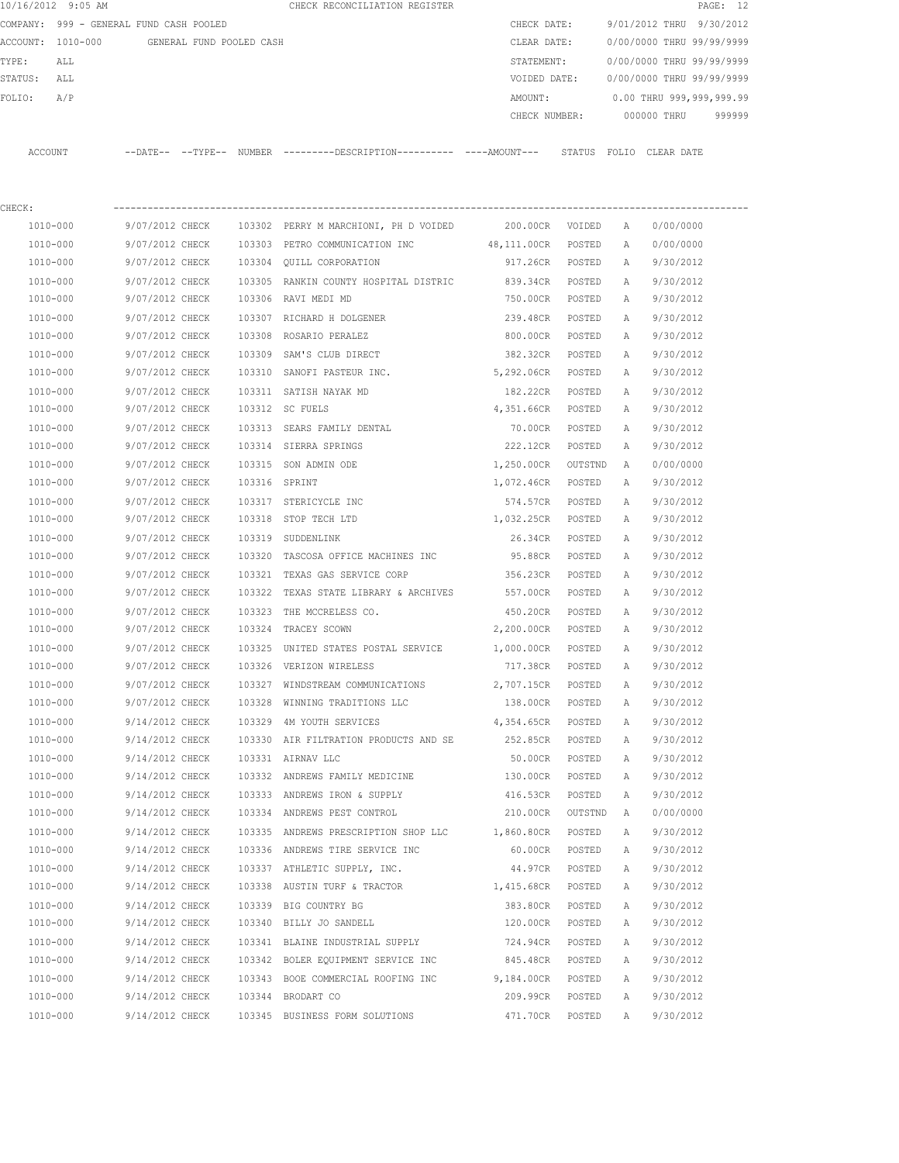| 10/16/2012 9:05 AM                      |                          |        | CHECK RECONCILIATION REGISTER                                                                 |                   |         |              | PAGE: 12                  |
|-----------------------------------------|--------------------------|--------|-----------------------------------------------------------------------------------------------|-------------------|---------|--------------|---------------------------|
| COMPANY: 999 - GENERAL FUND CASH POOLED |                          |        |                                                                                               | CHECK DATE:       |         |              | 9/01/2012 THRU 9/30/2012  |
| ACCOUNT: 1010-000                       | GENERAL FUND POOLED CASH |        |                                                                                               | CLEAR DATE:       |         |              | 0/00/0000 THRU 99/99/9999 |
| TYPE:<br>ALL                            |                          |        |                                                                                               | STATEMENT:        |         |              | 0/00/0000 THRU 99/99/9999 |
| STATUS:<br>ALL                          |                          |        |                                                                                               | VOIDED DATE:      |         |              | 0/00/0000 THRU 99/99/9999 |
| A/P<br>FOLIO:                           |                          |        |                                                                                               | AMOUNT:           |         |              | 0.00 THRU 999,999,999.99  |
|                                         |                          |        |                                                                                               | CHECK NUMBER:     |         |              | 000000 THRU<br>999999     |
|                                         |                          |        |                                                                                               |                   |         |              |                           |
| ACCOUNT                                 |                          |        | --DATE-- --TYPE-- NUMBER ---------DESCRIPTION---------- ----AMOUNT--- STATUS FOLIO CLEAR DATE |                   |         |              |                           |
|                                         |                          |        |                                                                                               |                   |         |              |                           |
| CHECK:                                  |                          |        |                                                                                               |                   |         |              |                           |
| 1010-000                                | 9/07/2012 CHECK          |        | 103302 PERRY M MARCHIONI, PH D VOIDED                                                         | 200.00CR VOIDED   |         | A            | 0/00/0000                 |
| 1010-000                                | 9/07/2012 CHECK          | 103303 | PETRO COMMUNICATION INC                                                                       | 48,111.00CR       | POSTED  | А            | 0/00/0000                 |
| 1010-000                                | 9/07/2012 CHECK          | 103304 | OUILL CORPORATION                                                                             | 917.26CR          | POSTED  | A            | 9/30/2012                 |
| 1010-000                                | 9/07/2012 CHECK          |        | 103305 RANKIN COUNTY HOSPITAL DISTRIC                                                         | 839.34CR          | POSTED  | Α            | 9/30/2012                 |
| 1010-000                                | 9/07/2012 CHECK          |        | 103306 RAVI MEDI MD                                                                           | 750.00CR          | POSTED  | Α            | 9/30/2012                 |
| 1010-000                                | 9/07/2012 CHECK          |        | 103307 RICHARD H DOLGENER                                                                     | 239.48CR          | POSTED  | Α            | 9/30/2012                 |
| 1010-000                                | 9/07/2012 CHECK          | 103308 | ROSARIO PERALEZ                                                                               | 800.00CR          | POSTED  | Α            | 9/30/2012                 |
| 1010-000                                | 9/07/2012 CHECK          | 103309 | SAM'S CLUB DIRECT                                                                             | 382.32CR          | POSTED  | Α            | 9/30/2012                 |
| 1010-000                                | 9/07/2012 CHECK          |        | 103310 SANOFI PASTEUR INC.                                                                    | 5,292.06CR        | POSTED  | Α            | 9/30/2012                 |
| 1010-000                                | 9/07/2012 CHECK          |        | 103311 SATISH NAYAK MD                                                                        | 182.22CR          | POSTED  | Α            | 9/30/2012                 |
| 1010-000                                | 9/07/2012 CHECK          |        | 103312 SC FUELS                                                                               | 4,351.66CR        | POSTED  | Α            | 9/30/2012                 |
| 1010-000                                | 9/07/2012 CHECK          | 103313 | SEARS FAMILY DENTAL                                                                           | 70.00CR           | POSTED  | A            | 9/30/2012                 |
| 1010-000                                | 9/07/2012 CHECK          |        | 103314 SIERRA SPRINGS                                                                         | 222.12CR          | POSTED  | А            | 9/30/2012                 |
| 1010-000                                | 9/07/2012 CHECK          | 103315 | SON ADMIN ODE                                                                                 | 1,250.00CR        | OUTSTND | A            | 0/00/0000                 |
| 1010-000                                | 9/07/2012 CHECK          |        | 103316 SPRINT                                                                                 | 1,072.46CR        | POSTED  | A            | 9/30/2012                 |
| 1010-000                                | 9/07/2012 CHECK          |        | 103317 STERICYCLE INC                                                                         | 574.57CR          | POSTED  | А            | 9/30/2012                 |
| 1010-000                                | 9/07/2012 CHECK          | 103318 | STOP TECH LTD                                                                                 | 1,032.25CR        | POSTED  | А            | 9/30/2012                 |
| 1010-000                                | 9/07/2012 CHECK          | 103319 | SUDDENLINK                                                                                    | 26.34CR           | POSTED  | Α            | 9/30/2012                 |
| 1010-000                                | 9/07/2012 CHECK          | 103320 | TASCOSA OFFICE MACHINES INC                                                                   | 95.88CR           | POSTED  | Α            | 9/30/2012                 |
| 1010-000                                | 9/07/2012 CHECK          | 103321 | TEXAS GAS SERVICE CORP                                                                        | 356.23CR          | POSTED  | Α            | 9/30/2012                 |
| 1010-000                                | 9/07/2012 CHECK          | 103322 | TEXAS STATE LIBRARY & ARCHIVES                                                                | 557.00CR          | POSTED  | Α            | 9/30/2012                 |
| 1010-000                                | 9/07/2012 CHECK          | 103323 | THE MCCRELESS CO.                                                                             | 450.20CR          | POSTED  | Α            | 9/30/2012                 |
| 1010-000                                | 9/07/2012 CHECK          |        | 103324 TRACEY SCOWN                                                                           | 2,200.00CR POSTED |         | Α            | 9/30/2012                 |
| 1010-000                                | 9/07/2012 CHECK          |        | 103325 UNITED STATES POSTAL SERVICE                                                           | 1,000.00CR        | POSTED  | A            | 9/30/2012                 |
| 1010-000                                | 9/07/2012 CHECK          |        | 103326 VERIZON WIRELESS                                                                       | 717.38CR          | POSTED  | Α            | 9/30/2012                 |
| 1010-000                                | 9/07/2012 CHECK          |        | 103327 WINDSTREAM COMMUNICATIONS                                                              | 2,707.15CR        | POSTED  | Α            | 9/30/2012                 |
| 1010-000                                | 9/07/2012 CHECK          |        | 103328 WINNING TRADITIONS LLC                                                                 | 138.00CR          | POSTED  | Α            | 9/30/2012                 |
| $1010 - 000$                            | 9/14/2012 CHECK          |        | 103329 4M YOUTH SERVICES                                                                      | 4,354.65CR        | POSTED  | Α            | 9/30/2012                 |
| 1010-000                                | 9/14/2012 CHECK          |        | 103330 AIR FILTRATION PRODUCTS AND SE 252.85CR                                                |                   | POSTED  | Α            | 9/30/2012                 |
| 1010-000                                | 9/14/2012 CHECK          |        | 103331 AIRNAV LLC                                                                             | 50.00CR           | POSTED  | Α            | 9/30/2012                 |
| 1010-000                                | 9/14/2012 CHECK          |        | 103332 ANDREWS FAMILY MEDICINE                                                                | 130.00CR          | POSTED  | $\mathbb{A}$ | 9/30/2012                 |

 1010-000 9/14/2012 CHECK 103333 ANDREWS IRON & SUPPLY 416.53CR POSTED A 9/30/2012 1010-000 9/14/2012 CHECK 103334 ANDREWS PEST CONTROL 210.00CR OUTSTND A 0/00/0000 1010-000 9/14/2012 CHECK 103335 ANDREWS PRESCRIPTION SHOP LLC 1,860.80CR POSTED A 9/30/2012 1010-000 9/14/2012 CHECK 103336 ANDREWS TIRE SERVICE INC 60.00CR POSTED A 9/30/2012 1010-000 9/14/2012 CHECK 103337 ATHLETIC SUPPLY, INC. 44.97CR POSTED A 9/30/2012 1010-000 9/14/2012 CHECK 103338 AUSTIN TURF & TRACTOR 1,415.68CR POSTED A 9/30/2012 1010-000 9/14/2012 CHECK 103339 BIG COUNTRY BG 383.80CR POSTED A 9/30/2012 1010-000 9/14/2012 CHECK 103340 BILLY JO SANDELL 120.00CR POSTED A 9/30/2012 1010-000 9/14/2012 CHECK 103341 BLAINE INDUSTRIAL SUPPLY 724.94CR POSTED A 9/30/2012 1010-000 9/14/2012 CHECK 103342 BOLER EQUIPMENT SERVICE INC 845.48CR POSTED A 9/30/2012 1010-000 9/14/2012 CHECK 103343 BOOE COMMERCIAL ROOFING INC 9,184.00CR POSTED A 9/30/2012 1010-000 9/14/2012 CHECK 103344 BRODART CO 209.99CR POSTED A 9/30/2012 1010-000 9/14/2012 CHECK 103345 BUSINESS FORM SOLUTIONS 471.70CR POSTED A 9/30/2012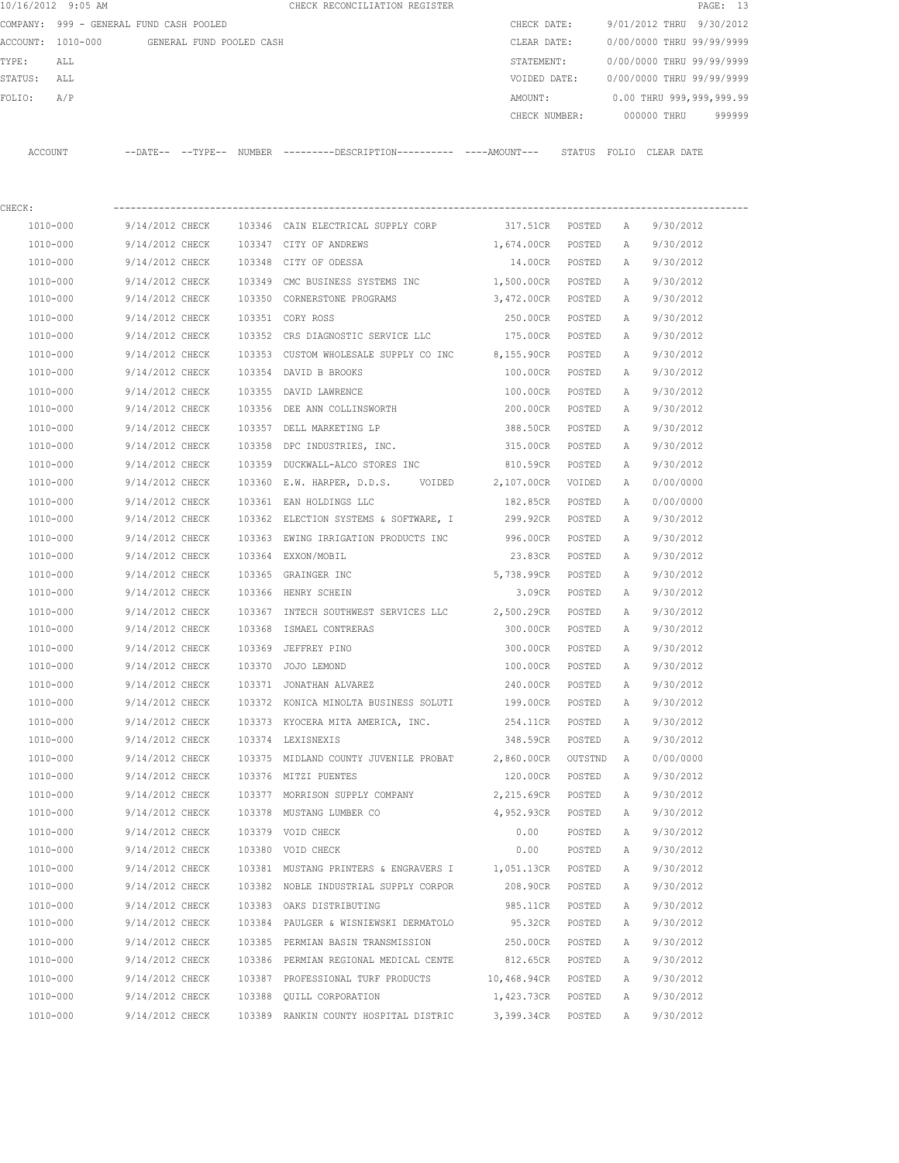|         | 10/16/2012 9:05 AM                      |                 |                          |        | CHECK RECONCILIATION REGISTER                                                                |                    |         |              |                           | PAGE: 13  |
|---------|-----------------------------------------|-----------------|--------------------------|--------|----------------------------------------------------------------------------------------------|--------------------|---------|--------------|---------------------------|-----------|
|         | COMPANY: 999 - GENERAL FUND CASH POOLED |                 |                          |        |                                                                                              | CHECK DATE:        |         |              | 9/01/2012 THRU            | 9/30/2012 |
|         | ACCOUNT: 1010-000                       |                 | GENERAL FUND POOLED CASH |        |                                                                                              | CLEAR DATE:        |         |              | 0/00/0000 THRU 99/99/9999 |           |
| TYPE:   | ALL                                     |                 |                          |        |                                                                                              | STATEMENT:         |         |              | 0/00/0000 THRU 99/99/9999 |           |
| STATUS: | ALL                                     |                 |                          |        |                                                                                              | VOIDED DATE:       |         |              | 0/00/0000 THRU 99/99/9999 |           |
| FOLIO:  | A/P                                     |                 |                          |        |                                                                                              | AMOUNT:            |         |              | 0.00 THRU 999,999,999.99  |           |
|         |                                         |                 |                          |        |                                                                                              | CHECK NUMBER:      |         |              | 000000 THRU               | 999999    |
|         | ACCOUNT                                 |                 |                          |        | --DATE-- --TYPE-- NUMBER ---------DESCRIPTION---------- ----AMOUNT--- STATUS FOLIO CLEARDATE |                    |         |              |                           |           |
| CHECK:  |                                         |                 |                          |        |                                                                                              |                    |         |              |                           |           |
|         | 1010-000                                | 9/14/2012 CHECK |                          |        | 103346 CAIN ELECTRICAL SUPPLY CORP                                                           | 317.51CR POSTED    |         | A            | 9/30/2012                 |           |
|         | 1010-000                                | 9/14/2012 CHECK |                          |        | 103347 CITY OF ANDREWS                                                                       | 1,674.00CR         | POSTED  | A            | 9/30/2012                 |           |
|         | 1010-000                                | 9/14/2012 CHECK |                          |        | 103348 CITY OF ODESSA                                                                        | 14.00CR POSTED     |         | Α            | 9/30/2012                 |           |
|         | 1010-000                                | 9/14/2012 CHECK |                          |        | 103349 CMC BUSINESS SYSTEMS INC                                                              | 1,500.00CR POSTED  |         | Α            | 9/30/2012                 |           |
|         | 1010-000                                | 9/14/2012 CHECK |                          |        | 103350 CORNERSTONE PROGRAMS                                                                  | 3,472.00CR POSTED  |         | A            | 9/30/2012                 |           |
|         | 1010-000                                | 9/14/2012 CHECK |                          |        | 103351 CORY ROSS                                                                             | 250.00CR           | POSTED  | A            | 9/30/2012                 |           |
|         | 1010-000                                | 9/14/2012 CHECK |                          |        | 103352 CRS DIAGNOSTIC SERVICE LLC                                                            | 175.00CR POSTED    |         | A            | 9/30/2012                 |           |
|         | 1010-000                                | 9/14/2012 CHECK |                          |        | 103353 CUSTOM WHOLESALE SUPPLY CO INC 8,155.90CR                                             |                    | POSTED  | $\mathbb{A}$ | 9/30/2012                 |           |
|         | 1010-000                                | 9/14/2012 CHECK |                          |        | 103354 DAVID B BROOKS                                                                        | 100.00CR           | POSTED  | A            | 9/30/2012                 |           |
|         | 1010-000                                | 9/14/2012 CHECK |                          | 103355 | DAVID LAWRENCE                                                                               | 100.00CR           | POSTED  | Α            | 9/30/2012                 |           |
|         | 1010-000                                | 9/14/2012 CHECK |                          |        | 103356 DEE ANN COLLINSWORTH                                                                  | 200.00CR           | POSTED  | A            | 9/30/2012                 |           |
|         | 1010-000                                | 9/14/2012 CHECK |                          | 103357 | DELL MARKETING LP                                                                            | 388.50CR           | POSTED  | А            | 9/30/2012                 |           |
|         | 1010-000                                | 9/14/2012 CHECK |                          | 103358 | DPC INDUSTRIES, INC.                                                                         | 315.00CR           | POSTED  | A            | 9/30/2012                 |           |
|         | 1010-000                                | 9/14/2012 CHECK |                          | 103359 | DUCKWALL-ALCO STORES INC                                                                     | 810.59CR           | POSTED  | Α            | 9/30/2012                 |           |
|         | 1010-000                                | 9/14/2012 CHECK |                          |        | 103360 E.W. HARPER, D.D.S.<br>VOIDED                                                         | 2,107.00CR         | VOIDED  | Α            | 0/00/0000                 |           |
|         | 1010-000                                | 9/14/2012 CHECK |                          |        | 103361 EAN HOLDINGS LLC                                                                      | 182.85CR           | POSTED  | Α            | 0/00/0000                 |           |
|         | 1010-000                                | 9/14/2012 CHECK |                          |        | 103362 ELECTION SYSTEMS & SOFTWARE, I                                                        | 299.92CR           | POSTED  | A            | 9/30/2012                 |           |
|         | 1010-000                                | 9/14/2012 CHECK |                          |        | 103363 EWING IRRIGATION PRODUCTS INC                                                         | 996.00CR           | POSTED  | А            | 9/30/2012                 |           |
|         | 1010-000                                | 9/14/2012 CHECK |                          |        | 103364 EXXON/MOBIL                                                                           | 23.83CR            | POSTED  | Α            | 9/30/2012                 |           |
|         | 1010-000                                | 9/14/2012 CHECK |                          |        | 103365 GRAINGER INC                                                                          | 5,738.99CR         | POSTED  | Α            | 9/30/2012                 |           |
|         | 1010-000                                | 9/14/2012 CHECK |                          |        | 103366 HENRY SCHEIN                                                                          | 3.09CR             | POSTED  | Α            | 9/30/2012                 |           |
|         | 1010-000                                | 9/14/2012 CHECK |                          |        | 103367 INTECH SOUTHWEST SERVICES LLC 2,500.29CR                                              |                    | POSTED  | Α            | 9/30/2012                 |           |
|         | $1010 - 000$                            | 9/14/2012 CHECK |                          |        | 103368 ISMAEL CONTRERAS                                                                      | 300.00CR           | POSTED  | Α            | 9/30/2012                 |           |
|         | 1010-000                                | 9/14/2012 CHECK |                          |        | 103369 JEFFREY PINO                                                                          | 300.00CR           | POSTED  | Α            | 9/30/2012                 |           |
|         | 1010-000                                | 9/14/2012 CHECK |                          |        | 103370 JOJO LEMOND                                                                           | 100.00CR           | POSTED  | А            | 9/30/2012                 |           |
|         | 1010-000                                | 9/14/2012 CHECK |                          |        | 103371 JONATHAN ALVAREZ                                                                      | 240.00CR           | POSTED  | Α            | 9/30/2012                 |           |
|         | 1010-000                                | 9/14/2012 CHECK |                          |        | 103372 KONICA MINOLTA BUSINESS SOLUTI                                                        | 199.00CR           | POSTED  | Α            | 9/30/2012                 |           |
|         | 1010-000                                | 9/14/2012 CHECK |                          |        | 103373 KYOCERA MITA AMERICA, INC.                                                            | 254.11CR           | POSTED  | Α            | 9/30/2012                 |           |
|         | 1010-000                                | 9/14/2012 CHECK |                          |        | 103374 LEXISNEXIS                                                                            | 348.59CR           | POSTED  | Α            | 9/30/2012                 |           |
|         | 1010-000                                | 9/14/2012 CHECK |                          |        | 103375 MIDLAND COUNTY JUVENILE PROBAT                                                        | 2,860.00CR         | OUTSTND | Α            | 0/00/0000                 |           |
|         | 1010-000                                | 9/14/2012 CHECK |                          |        | 103376 MITZI PUENTES                                                                         | 120.00CR           | POSTED  | Α            | 9/30/2012                 |           |
|         | 1010-000                                | 9/14/2012 CHECK |                          |        | 103377 MORRISON SUPPLY COMPANY                                                               | 2,215.69CR         | POSTED  | Α            | 9/30/2012                 |           |
|         | 1010-000                                | 9/14/2012 CHECK |                          |        | 103378 MUSTANG LUMBER CO                                                                     | 4,952.93CR         | POSTED  | Α            | 9/30/2012                 |           |
|         | 1010-000                                | 9/14/2012 CHECK |                          |        | 103379 VOID CHECK                                                                            | 0.00               | POSTED  | Α            | 9/30/2012                 |           |
|         | 1010-000                                | 9/14/2012 CHECK |                          |        | 103380 VOID CHECK                                                                            | 0.00               | POSTED  | Α            | 9/30/2012                 |           |
|         | 1010-000                                | 9/14/2012 CHECK |                          |        | 103381 MUSTANG PRINTERS & ENGRAVERS I                                                        | 1,051.13CR         | POSTED  | Α            | 9/30/2012                 |           |
|         | 1010-000                                | 9/14/2012 CHECK |                          |        | 103382 NOBLE INDUSTRIAL SUPPLY CORPOR                                                        | 208.90CR           | POSTED  | Α            | 9/30/2012                 |           |
|         | 1010-000                                | 9/14/2012 CHECK |                          |        | 103383 OAKS DISTRIBUTING                                                                     | 985.11CR           | POSTED  | Α            | 9/30/2012                 |           |
|         | 1010-000                                | 9/14/2012 CHECK |                          |        | 103384 PAULGER & WISNIEWSKI DERMATOLO                                                        | 95.32CR            | POSTED  | Α            | 9/30/2012                 |           |
|         | 1010-000                                | 9/14/2012 CHECK |                          |        | 103385 PERMIAN BASIN TRANSMISSION                                                            | 250.00CR           | POSTED  | Α            | 9/30/2012                 |           |
|         | 1010-000                                | 9/14/2012 CHECK |                          |        | 103386 PERMIAN REGIONAL MEDICAL CENTE                                                        | 812.65CR           | POSTED  | Α            | 9/30/2012                 |           |
|         | 1010-000                                | 9/14/2012 CHECK |                          |        | 103387 PROFESSIONAL TURF PRODUCTS                                                            | 10,468.94CR POSTED |         | Α            | 9/30/2012                 |           |
|         | 1010-000                                | 9/14/2012 CHECK |                          |        | 103388 QUILL CORPORATION                                                                     | 1,423.73CR         | POSTED  | Α            | 9/30/2012                 |           |
|         | 1010-000                                | 9/14/2012 CHECK |                          |        | 103389 RANKIN COUNTY HOSPITAL DISTRIC 3,399.34CR                                             |                    | POSTED  | Α            | 9/30/2012                 |           |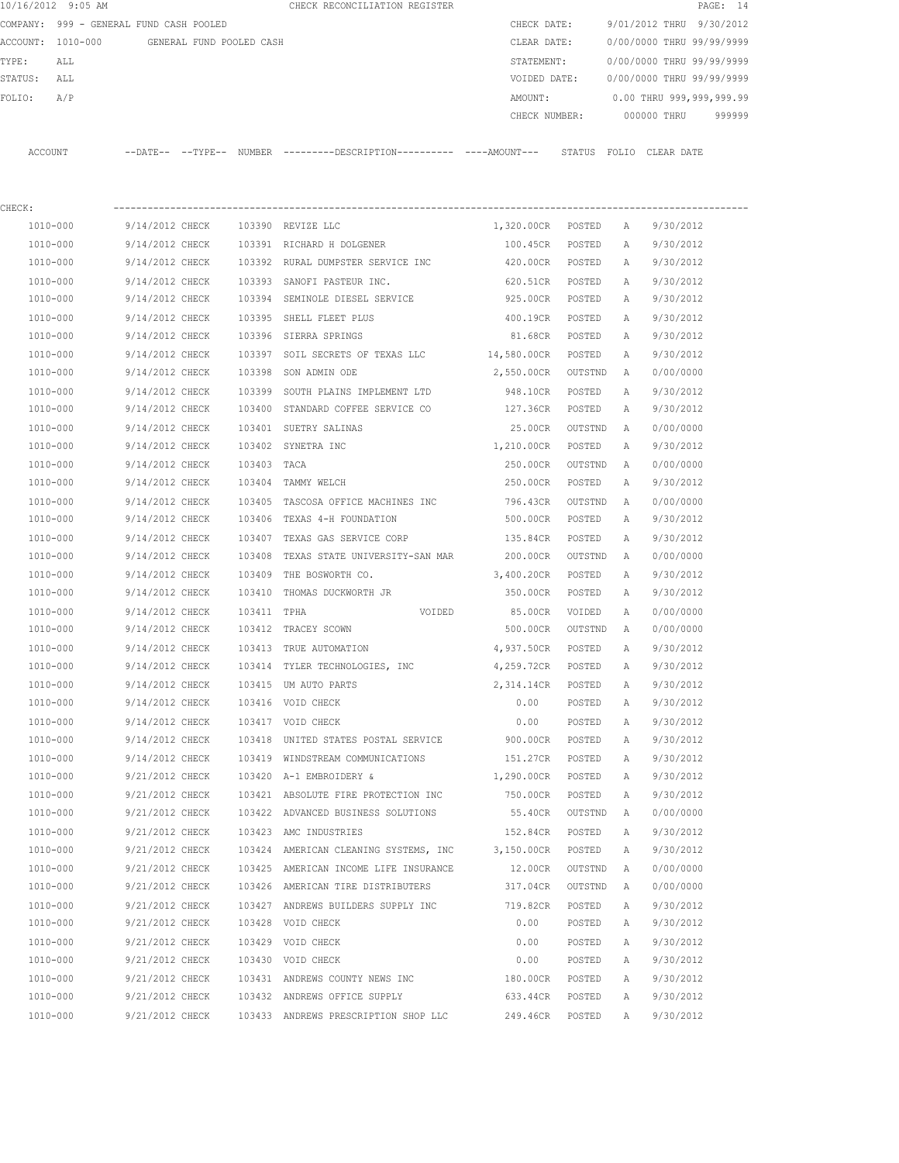|         | 10/16/2012 9:05 AM                      |                          |  | CHECK RECONCILIATION REGISTER                       |               |                         |             | PAGE: 14                  |
|---------|-----------------------------------------|--------------------------|--|-----------------------------------------------------|---------------|-------------------------|-------------|---------------------------|
|         | COMPANY: 999 - GENERAL FUND CASH POOLED |                          |  |                                                     | CHECK DATE:   |                         |             | 9/01/2012 THRU 9/30/2012  |
|         | ACCOUNT: 1010-000                       | GENERAL FUND POOLED CASH |  |                                                     | CLEAR DATE:   |                         |             | 0/00/0000 THRU 99/99/9999 |
| TYPE:   | ALL                                     |                          |  |                                                     | STATEMENT:    |                         |             | 0/00/0000 THRU 99/99/9999 |
| STATUS: | ALL                                     |                          |  |                                                     | VOIDED DATE:  |                         |             | 0/00/0000 THRU 99/99/9999 |
| FOLTO:  | A/P                                     |                          |  |                                                     | AMOUNT:       |                         |             | 0.00 THRU 999,999,999.99  |
|         |                                         |                          |  |                                                     | CHECK NUMBER: |                         | 000000 THRU | 999999                    |
|         |                                         |                          |  |                                                     |               |                         |             |                           |
| ACCOUNT |                                         | $---DATF------TYPF---$   |  | NUMBER ---------DESCRIPTION---------- ----AMOUNT--- |               | STATUS FOLIO CLEAR DATE |             |                           |
|         |                                         |                          |  |                                                     |               |                         |             |                           |

| CHECK:   |                 |             |                                              |                   |         |              |           |
|----------|-----------------|-------------|----------------------------------------------|-------------------|---------|--------------|-----------|
| 1010-000 | 9/14/2012 CHECK |             | 103390 REVIZE LLC                            | 1,320.00CR POSTED |         | A            | 9/30/2012 |
| 1010-000 | 9/14/2012 CHECK |             | 103391 RICHARD H DOLGENER                    | 100.45CR          | POSTED  | Α            | 9/30/2012 |
| 1010-000 | 9/14/2012 CHECK |             | 103392 RURAL DUMPSTER SERVICE INC 420.00CR   |                   | POSTED  | Α            | 9/30/2012 |
| 1010-000 | 9/14/2012 CHECK | 103393      | SANOFI PASTEUR INC.                          | 620.51CR          | POSTED  | Α            | 9/30/2012 |
| 1010-000 | 9/14/2012 CHECK | 103394      | SEMINOLE DIESEL SERVICE 925.00CR             |                   | POSTED  | Α            | 9/30/2012 |
| 1010-000 | 9/14/2012 CHECK | 103395      | SHELL FLEET PLUS                             | 400.19CR          | POSTED  | Α            | 9/30/2012 |
| 1010-000 | 9/14/2012 CHECK |             | 103396 SIERRA SPRINGS                        | 81.68CR           | POSTED  | Α            | 9/30/2012 |
| 1010-000 | 9/14/2012 CHECK |             | 103397 SOIL SECRETS OF TEXAS LLC 14,580.00CR |                   | POSTED  | Α            | 9/30/2012 |
| 1010-000 | 9/14/2012 CHECK |             | 103398 SON ADMIN ODE                         | 2,550.00CR        | OUTSTND | A            | 0/00/0000 |
| 1010-000 | 9/14/2012 CHECK |             | 103399 SOUTH PLAINS IMPLEMENT LTD            | 948.10CR          | POSTED  | А            | 9/30/2012 |
| 1010-000 | 9/14/2012 CHECK |             | 103400 STANDARD COFFEE SERVICE CO 127.36CR   |                   | POSTED  | А            | 9/30/2012 |
| 1010-000 | 9/14/2012 CHECK |             | 103401 SUETRY SALINAS                        | 25.00CR           | OUTSTND | A            | 0/00/0000 |
| 1010-000 | 9/14/2012 CHECK |             | 1,210.00CR<br>103402 SYNETRA INC             |                   | POSTED  | Α            | 9/30/2012 |
| 1010-000 | 9/14/2012 CHECK | 103403 TACA |                                              | 250.00CR          | OUTSTND | A            | 0/00/0000 |
| 1010-000 | 9/14/2012 CHECK |             | 103404 TAMMY WELCH                           | 250.00CR          | POSTED  | Α            | 9/30/2012 |
| 1010-000 | 9/14/2012 CHECK |             | 103405 TASCOSA OFFICE MACHINES INC 796.43CR  |                   | OUTSTND | A            | 0/00/0000 |
| 1010-000 | 9/14/2012 CHECK | 103406      | TEXAS 4-H FOUNDATION                         | 500.00CR          | POSTED  | Α            | 9/30/2012 |
| 1010-000 | 9/14/2012 CHECK | 103407      | TEXAS GAS SERVICE CORP                       | 135.84CR          | POSTED  | Α            | 9/30/2012 |
| 1010-000 | 9/14/2012 CHECK | 103408      | TEXAS STATE UNIVERSITY-SAN MAR               | 200.00CR          | OUTSTND | $\mathbb{A}$ | 0/00/0000 |
| 1010-000 | 9/14/2012 CHECK |             | 103409 THE BOSWORTH CO.                      | 3,400.20CR        | POSTED  | Α            | 9/30/2012 |
| 1010-000 | 9/14/2012 CHECK | 103410      | THOMAS DUCKWORTH JR                          | 350.00CR          | POSTED  | Α            | 9/30/2012 |
| 1010-000 | 9/14/2012 CHECK | 103411 TPHA | VOIDED                                       | 85.00CR           | VOIDED  | Α            | 0/00/0000 |
| 1010-000 | 9/14/2012 CHECK |             | 103412 TRACEY SCOWN                          | 500.00CR          | OUTSTND | A            | 0/00/0000 |
| 1010-000 | 9/14/2012 CHECK |             | 103413 TRUE AUTOMATION                       | 4,937.50CR        | POSTED  | Α            | 9/30/2012 |
| 1010-000 | 9/14/2012 CHECK |             | 103414 TYLER TECHNOLOGIES, INC 4,259.72CR    |                   | POSTED  | Α            | 9/30/2012 |
| 1010-000 | 9/14/2012 CHECK |             | 103415 UM AUTO PARTS                         | 2,314.14CR        | POSTED  | Α            | 9/30/2012 |
| 1010-000 | 9/14/2012 CHECK |             | 103416 VOID CHECK                            | 0.00              | POSTED  | Α            | 9/30/2012 |
| 1010-000 | 9/14/2012 CHECK |             | 103417 VOID CHECK                            | 0.00              | POSTED  | Α            | 9/30/2012 |
| 1010-000 | 9/14/2012 CHECK |             | 103418 UNITED STATES POSTAL SERVICE 900.00CR |                   | POSTED  | Α            | 9/30/2012 |
| 1010-000 | 9/14/2012 CHECK |             | 103419 WINDSTREAM COMMUNICATIONS             | 151.27CR          | POSTED  | Α            | 9/30/2012 |
| 1010-000 | 9/21/2012 CHECK |             | 103420 A-1 EMBROIDERY &                      | 1,290.00CR        | POSTED  | Α            | 9/30/2012 |
| 1010-000 | 9/21/2012 CHECK |             | 103421 ABSOLUTE FIRE PROTECTION INC          | 750.00CR          | POSTED  | Α            | 9/30/2012 |
| 1010-000 | 9/21/2012 CHECK |             | 103422 ADVANCED BUSINESS SOLUTIONS           | 55.40CR           | OUTSTND | A            | 0/00/0000 |
| 1010-000 | 9/21/2012 CHECK |             | 103423 AMC INDUSTRIES                        | 152.84CR          | POSTED  | A            | 9/30/2012 |
| 1010-000 | 9/21/2012 CHECK |             | 103424 AMERICAN CLEANING SYSTEMS, INC        | 3,150.00CR        | POSTED  | Α            | 9/30/2012 |
| 1010-000 | 9/21/2012 CHECK |             | 103425 AMERICAN INCOME LIFE INSURANCE        | 12.00CR           | OUTSTND | A            | 0/00/0000 |
| 1010-000 | 9/21/2012 CHECK |             | 103426 AMERICAN TIRE DISTRIBUTERS            | 317.04CR          | OUTSTND | A            | 0/00/0000 |
| 1010-000 | 9/21/2012 CHECK |             | 103427 ANDREWS BUILDERS SUPPLY INC           | 719.82CR          | POSTED  | Α            | 9/30/2012 |
| 1010-000 | 9/21/2012 CHECK |             | 103428 VOID CHECK                            | 0.00              | POSTED  | Α            | 9/30/2012 |
| 1010-000 | 9/21/2012 CHECK |             | 103429 VOID CHECK                            | 0.00              | POSTED  | Α            | 9/30/2012 |
| 1010-000 | 9/21/2012 CHECK | 103430      | VOID CHECK                                   | 0.00              | POSTED  | Α            | 9/30/2012 |
| 1010-000 | 9/21/2012 CHECK |             | 103431 ANDREWS COUNTY NEWS INC               | 180.00CR          | POSTED  | Α            | 9/30/2012 |
| 1010-000 | 9/21/2012 CHECK |             | 103432 ANDREWS OFFICE SUPPLY                 | 633.44CR          | POSTED  | Α            | 9/30/2012 |
| 1010-000 | 9/21/2012 CHECK |             | 103433 ANDREWS PRESCRIPTION SHOP LLC         | 249.46CR          | POSTED  | Α            | 9/30/2012 |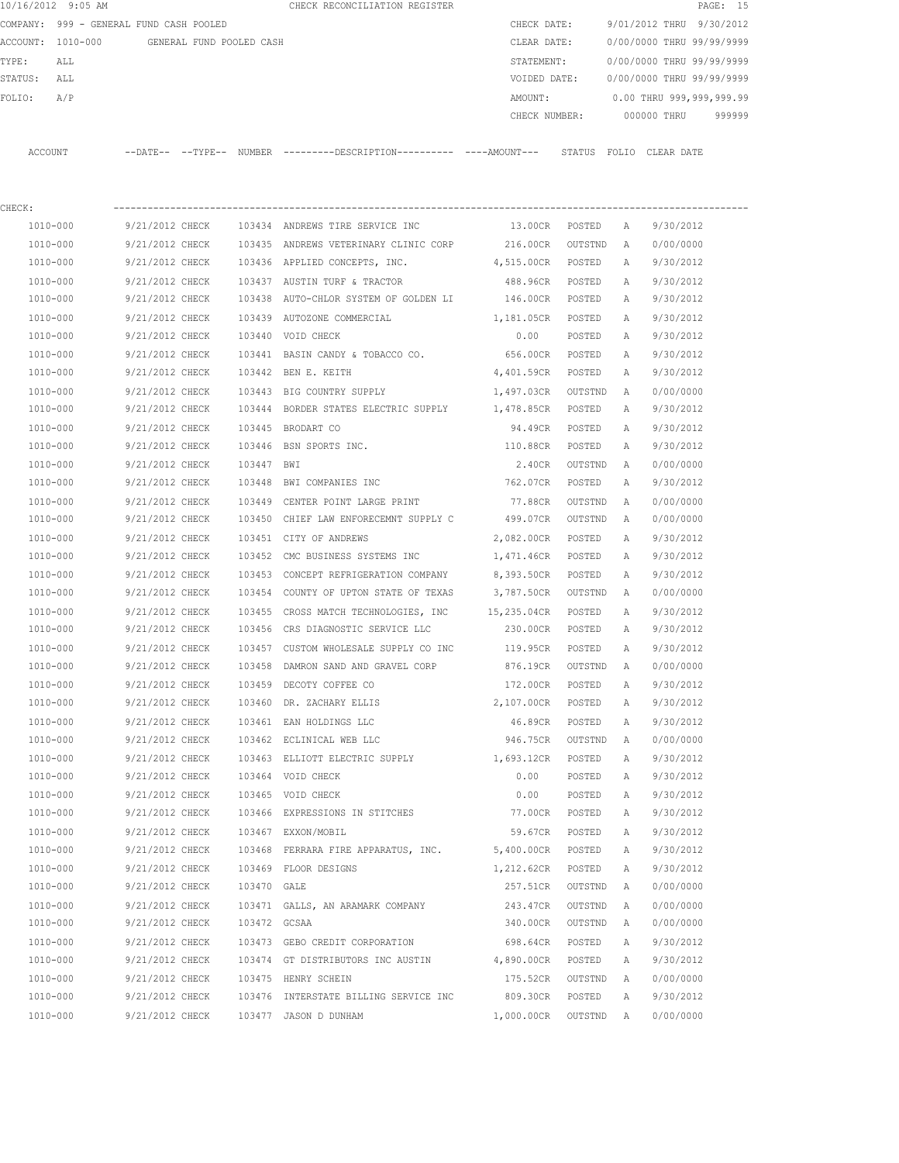|          | 10/16/2012 9:05 AM                      |                   |                          | CHECK RECONCILIATION REGISTER |               |        |                           |             | PAGE: 15 |        |
|----------|-----------------------------------------|-------------------|--------------------------|-------------------------------|---------------|--------|---------------------------|-------------|----------|--------|
|          | COMPANY: 999 - GENERAL FUND CASH POOLED |                   |                          |                               | CHECK DATE:   |        | 9/01/2012 THRU 9/30/2012  |             |          |        |
| ACCOUNT: | 1010-000                                |                   | GENERAL FUND POOLED CASH |                               | CLEAR DATE:   |        | 0/00/0000 THRU 99/99/9999 |             |          |        |
| TYPE:    | ALL                                     |                   |                          |                               | STATEMENT:    |        | 0/00/0000 THRU 99/99/9999 |             |          |        |
| STATUS:  | ALL                                     |                   |                          |                               | VOIDED DATE:  |        | 0/00/0000 THRU 99/99/9999 |             |          |        |
| FOLIO:   | A/P                                     |                   |                          |                               | AMOUNT:       |        | 0.00 THRU 999,999,999.99  |             |          |        |
|          |                                         |                   |                          |                               | CHECK NUMBER: |        |                           | 000000 THRU |          | 999999 |
|          |                                         |                   |                          |                               |               |        |                           |             |          |        |
| ACCOUNT  |                                         | --DATE-- --TYPE-- | NUMBER                   |                               |               | STATUS | FOLIO                     | CLEAR DATE  |          |        |

| CHECK:   |                                   |             |                                                                        |                    |         |   |           |
|----------|-----------------------------------|-------------|------------------------------------------------------------------------|--------------------|---------|---|-----------|
| 1010-000 |                                   |             | 9/21/2012 CHECK 103434 ANDREWS TIRE SERVICE INC                        | 13.00CR POSTED     |         | A | 9/30/2012 |
| 1010-000 | 9/21/2012 CHECK                   |             | 103435 ANDREWS VETERINARY CLINIC CORP 216.00CR                         |                    | OUTSTND | A | 0/00/0000 |
| 1010-000 | 9/21/2012 CHECK                   |             | 103436 APPLIED CONCEPTS, INC.                                          | 4,515.00CR POSTED  |         | A | 9/30/2012 |
| 1010-000 | 9/21/2012 CHECK                   |             | 103437 AUSTIN TURF & TRACTOR                                           | 488.96CR POSTED    |         | A | 9/30/2012 |
| 1010-000 | 9/21/2012 CHECK                   |             | 103438 AUTO-CHLOR SYSTEM OF GOLDEN LI                                  | 146.00CR POSTED    |         | Α | 9/30/2012 |
| 1010-000 | 9/21/2012 CHECK                   |             | 103439 AUTOZONE COMMERCIAL                                             | 1,181.05CR POSTED  |         | A | 9/30/2012 |
| 1010-000 | 9/21/2012 CHECK                   |             | 103440 VOID CHECK                                                      | 0.00               | POSTED  | A | 9/30/2012 |
| 1010-000 | 9/21/2012 CHECK                   |             | 103441 BASIN CANDY & TOBACCO CO.                                       | 656.00CR POSTED    |         | A | 9/30/2012 |
| 1010-000 | 9/21/2012 CHECK                   |             | 103442 BEN E. KEITH                                                    | 4,401.59CR POSTED  |         | A | 9/30/2012 |
| 1010-000 | 9/21/2012 CHECK                   |             | 103443 BIG COUNTRY SUPPLY                                              | 1,497.03CR OUTSTND |         | A | 0/00/0000 |
| 1010-000 |                                   |             | 9/21/2012 CHECK 103444 BORDER STATES ELECTRIC SUPPLY 1,478.85CR POSTED |                    |         | Α | 9/30/2012 |
| 1010-000 | 9/21/2012 CHECK 103445 BRODART CO |             |                                                                        | 94.49CR POSTED     |         | A | 9/30/2012 |
| 1010-000 | 9/21/2012 CHECK                   |             | 103446 BSN SPORTS INC.                                                 | 110.88CR POSTED    |         | Α | 9/30/2012 |
| 1010-000 | 9/21/2012 CHECK                   | 103447 BWI  |                                                                        | 2.40CR             | OUTSTND | A | 0/00/0000 |
| 1010-000 | 9/21/2012 CHECK                   |             | 103448 BWI COMPANIES INC                                               | 762.07CR POSTED    |         | A | 9/30/2012 |
| 1010-000 | 9/21/2012 CHECK                   |             | 103449 CENTER POINT LARGE PRINT                                        | 77.88CR OUTSTND    |         | A | 0/00/0000 |
| 1010-000 | 9/21/2012 CHECK                   |             | 103450 CHIEF LAW ENFORECEMNT SUPPLY C                                  | 499.07CR OUTSTND   |         | A | 0/00/0000 |
| 1010-000 | 9/21/2012 CHECK                   |             | 103451 CITY OF ANDREWS                                                 | 2,082.00CR POSTED  |         | Α | 9/30/2012 |
| 1010-000 | 9/21/2012 CHECK                   |             | 103452 CMC BUSINESS SYSTEMS INC                                        | 1,471.46CR POSTED  |         | A | 9/30/2012 |
| 1010-000 | 9/21/2012 CHECK                   | 103453      | CONCEPT REFRIGERATION COMPANY                                          | 8,393.50CR POSTED  |         | А | 9/30/2012 |
| 1010-000 | 9/21/2012 CHECK                   | 103454      | COUNTY OF UPTON STATE OF TEXAS                                         | 3,787.50CR OUTSTND |         | A | 0/00/0000 |
| 1010-000 | 9/21/2012 CHECK                   |             | 103455 CROSS MATCH TECHNOLOGIES, INC 15,235.04CR POSTED                |                    |         | А | 9/30/2012 |
| 1010-000 | 9/21/2012 CHECK                   |             | 103456 CRS DIAGNOSTIC SERVICE LLC                                      | 230.00CR POSTED    |         | A | 9/30/2012 |
| 1010-000 | 9/21/2012 CHECK                   |             | 103457 CUSTOM WHOLESALE SUPPLY CO INC 119.95CR                         |                    | POSTED  | A | 9/30/2012 |
| 1010-000 | 9/21/2012 CHECK                   |             | 103458 DAMRON SAND AND GRAVEL CORP                                     | 876.19CR           | OUTSTND | A | 0/00/0000 |
| 1010-000 | 9/21/2012 CHECK                   |             | 103459 DECOTY COFFEE CO                                                | 172.00CR           | POSTED  | A | 9/30/2012 |
| 1010-000 | 9/21/2012 CHECK                   | 103460      | DR. ZACHARY ELLIS                                                      | 2,107.00CR POSTED  |         | Α | 9/30/2012 |
| 1010-000 | 9/21/2012 CHECK                   |             | 103461 EAN HOLDINGS LLC                                                | 46.89CR POSTED     |         | Α | 9/30/2012 |
| 1010-000 | 9/21/2012 CHECK                   |             | 103462 ECLINICAL WEB LLC                                               | 946.75CR OUTSTND   |         | A | 0/00/0000 |
| 1010-000 | 9/21/2012 CHECK                   |             | 103463 ELLIOTT ELECTRIC SUPPLY                                         | 1,693.12CR POSTED  |         | A | 9/30/2012 |
| 1010-000 | 9/21/2012 CHECK                   |             | 103464 VOID CHECK                                                      | 0.00               | POSTED  | Α | 9/30/2012 |
| 1010-000 | 9/21/2012 CHECK                   |             | 103465 VOID CHECK                                                      | 0.00               | POSTED  | A | 9/30/2012 |
| 1010-000 | 9/21/2012 CHECK                   |             | 103466 EXPRESSIONS IN STITCHES                                         | 77.00CR POSTED     |         | A | 9/30/2012 |
| 1010-000 | 9/21/2012 CHECK                   |             | 103467 EXXON/MOBIL                                                     | 59.67CR            | POSTED  | A | 9/30/2012 |
| 1010-000 | 9/21/2012 CHECK                   |             | 103468 FERRARA FIRE APPARATUS, INC.                                    | 5,400.00CR         | POSTED  | Α | 9/30/2012 |
| 1010-000 | 9/21/2012 CHECK                   |             | 103469 FLOOR DESIGNS                                                   | 1,212.62CR         | POSTED  | Α | 9/30/2012 |
| 1010-000 | 9/21/2012 CHECK                   | 103470 GALE |                                                                        | 257.51CR           | OUTSTND | Α | 0/00/0000 |
| 1010-000 | 9/21/2012 CHECK                   | 103471      | GALLS, AN ARAMARK COMPANY                                              | 243.47CR           | OUTSTND | Α | 0/00/0000 |
| 1010-000 | 9/21/2012 CHECK                   | 103472      | GCSAA                                                                  | 340.00CR           | OUTSTND | Α | 0/00/0000 |
| 1010-000 | 9/21/2012 CHECK                   |             | 103473 GEBO CREDIT CORPORATION                                         | 698.64CR           | POSTED  | Α | 9/30/2012 |
| 1010-000 | 9/21/2012 CHECK                   |             | 103474 GT DISTRIBUTORS INC AUSTIN                                      | 4,890.00CR         | POSTED  | Α | 9/30/2012 |
| 1010-000 | 9/21/2012 CHECK                   |             | 103475 HENRY SCHEIN                                                    | 175.52CR           | OUTSTND | Α | 0/00/0000 |
| 1010-000 | 9/21/2012 CHECK                   |             | 103476 INTERSTATE BILLING SERVICE INC                                  | 809.30CR           | POSTED  | Α | 9/30/2012 |
| 1010-000 | 9/21/2012 CHECK                   |             | 103477 JASON D DUNHAM                                                  | 1,000.00CR         | OUTSTND | Α | 0/00/0000 |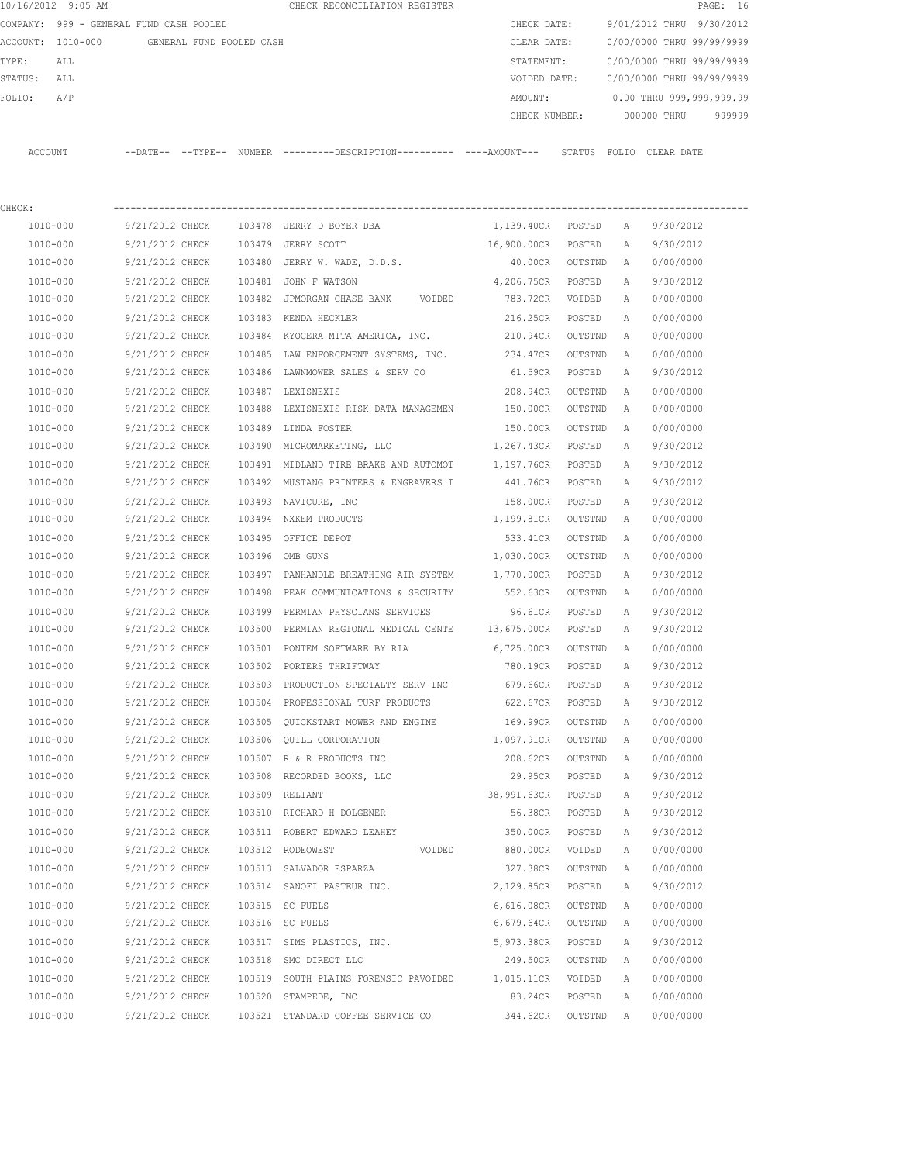|             | 10/16/2012 9:05 AM                         |                 |        | CHECK RECONCILIATION REGISTER                                                                |                     |         |              |                           | PAGE: 16 |
|-------------|--------------------------------------------|-----------------|--------|----------------------------------------------------------------------------------------------|---------------------|---------|--------------|---------------------------|----------|
|             | COMPANY: 999 - GENERAL FUND CASH POOLED    |                 |        |                                                                                              | CHECK DATE:         |         |              | 9/01/2012 THRU 9/30/2012  |          |
|             | ACCOUNT: 1010-000 GENERAL FUND POOLED CASH |                 |        |                                                                                              | CLEAR DATE:         |         |              | 0/00/0000 THRU 99/99/9999 |          |
| TYPE:       | ALL                                        |                 |        |                                                                                              | STATEMENT:          |         |              | 0/00/0000 THRU 99/99/9999 |          |
| STATUS: ALL |                                            |                 |        |                                                                                              | VOIDED DATE:        |         |              | 0/00/0000 THRU 99/99/9999 |          |
| FOLIO:      | A/P                                        |                 |        |                                                                                              | AMOUNT:             |         |              | 0.00 THRU 999,999,999.99  |          |
|             |                                            |                 |        |                                                                                              | CHECK NUMBER:       |         |              | 000000 THRU               | 999999   |
|             | ACCOUNT                                    |                 |        | --DATE-- --TYPE-- NUMBER ---------DESCRIPTION---------- ----AMOUNT--- STATUS FOLIO CLEARDATE |                     |         |              |                           |          |
| CHECK:      |                                            |                 |        |                                                                                              |                     |         |              |                           |          |
|             | 1010-000                                   | 9/21/2012 CHECK |        | 103478 JERRY D BOYER DBA                                                                     | 1,139.40CR POSTED A |         |              | 9/30/2012                 |          |
|             | 1010-000                                   | 9/21/2012 CHECK |        | 103479 JERRY SCOTT                                                                           | 16,900.00CR POSTED  |         | A            | 9/30/2012                 |          |
|             | 1010-000                                   | 9/21/2012 CHECK |        | 103480 JERRY W. WADE, D.D.S.                                                                 | 40.00CR             | OUTSTND | A            | 0/00/0000                 |          |
|             | 1010-000                                   | 9/21/2012 CHECK |        | 103481 JOHN F WATSON                                                                         | 4,206.75CR POSTED   |         | Α            | 9/30/2012                 |          |
|             | 1010-000                                   | 9/21/2012 CHECK |        | 103482 JPMORGAN CHASE BANK VOIDED                                                            | 783.72CR VOIDED     |         | Α            | 0/00/0000                 |          |
|             | 1010-000                                   | 9/21/2012 CHECK |        | 103483 KENDA HECKLER                                                                         | 216.25CR POSTED     |         | $\mathbb{A}$ | 0/00/0000                 |          |
|             | 1010-000                                   | 9/21/2012 CHECK |        | 103484 KYOCERA MITA AMERICA, INC.                                                            | 210.94CR OUTSTND    |         | A            | 0/00/0000                 |          |
|             | 1010-000                                   | 9/21/2012 CHECK |        | 103485 LAW ENFORCEMENT SYSTEMS, INC.                                                         | 234.47CR            | OUTSTND | A            | 0/00/0000                 |          |
|             | 1010-000                                   | 9/21/2012 CHECK |        | 103486 LAWNMOWER SALES & SERV CO                                                             | 61.59CR             | POSTED  | A            | 9/30/2012                 |          |
|             | 1010-000                                   | 9/21/2012 CHECK |        | 103487 LEXISNEXIS                                                                            | 208.94CR            | OUTSTND | A            | 0/00/0000                 |          |
|             | 1010-000                                   | 9/21/2012 CHECK |        | 103488 LEXISNEXIS RISK DATA MANAGEMEN 150.00CR                                               |                     | OUTSTND | A            | 0/00/0000                 |          |
|             | 1010-000                                   | 9/21/2012 CHECK |        | 103489 LINDA FOSTER                                                                          | 150.00CR            | OUTSTND | A            | 0/00/0000                 |          |
|             | 1010-000                                   | 9/21/2012 CHECK |        | 103490 MICROMARKETING, LLC                                                                   | 1,267.43CR POSTED   |         | Α            | 9/30/2012                 |          |
|             | 1010-000                                   | 9/21/2012 CHECK |        | 103491 MIDLAND TIRE BRAKE AND AUTOMOT 1,197.76CR POSTED                                      |                     |         | A            | 9/30/2012                 |          |
|             | 1010-000                                   | 9/21/2012 CHECK |        | 103492 MUSTANG PRINTERS & ENGRAVERS I                                                        | 441.76CR            | POSTED  | А            | 9/30/2012                 |          |
|             | 1010-000                                   | 9/21/2012 CHECK |        | 103493 NAVICURE, INC                                                                         | 158.00CR POSTED     |         | Α            | 9/30/2012                 |          |
|             | 1010-000                                   | 9/21/2012 CHECK |        | 103494 NXKEM PRODUCTS                                                                        | 1,199.81CR          | OUTSTND | A            | 0/00/0000                 |          |
|             | 1010-000                                   | 9/21/2012 CHECK |        | 103495 OFFICE DEPOT                                                                          | 533.41CR OUTSTND    |         | Α            | 0/00/0000                 |          |
|             | 1010-000                                   | 9/21/2012 CHECK |        | 103496 OMB GUNS                                                                              | 1,030.00CR          | OUTSTND | Α            | 0/00/0000                 |          |
|             | 1010-000                                   | 9/21/2012 CHECK |        | 103497 PANHANDLE BREATHING AIR SYSTEM                                                        | 1,770.00CR POSTED   |         | A            | 9/30/2012                 |          |
|             | 1010-000                                   | 9/21/2012 CHECK | 103498 | PEAK COMMUNICATIONS & SECURITY                                                               | 552.63CR            | OUTSTND | A            | 0/00/0000                 |          |
|             | 1010-000                                   | 9/21/2012 CHECK |        | 103499 PERMIAN PHYSCIANS SERVICES                                                            | 96.61CR             | POSTED  | A            | 9/30/2012                 |          |
|             | 1010-000                                   | 9/21/2012 CHECK |        | 103500 PERMIAN REGIONAL MEDICAL CENTE 13,675.00CR POSTED                                     |                     |         | Α            | 9/30/2012                 |          |
|             | 1010-000                                   | 9/21/2012 CHECK |        | 103501 PONTEM SOFTWARE BY RIA                                                                | 6,725.00CR          | OUTSTND | A            | 0/00/0000                 |          |
|             | 1010-000                                   | 9/21/2012 CHECK |        | 103502 PORTERS THRIFTWAY                                                                     | 780.19CR            | POSTED  | Α            | 9/30/2012                 |          |
|             | $1010 - 000$                               | 9/21/2012 CHECK |        | 103503 PRODUCTION SPECIALTY SERV INC                                                         | 679.66CR            | POSTED  | Α            | 9/30/2012                 |          |
|             | 1010-000                                   | 9/21/2012 CHECK |        | 103504 PROFESSIONAL TURF PRODUCTS                                                            | 622.67CR            | POSTED  | Α            | 9/30/2012                 |          |
|             | 1010-000                                   | 9/21/2012 CHECK |        | 103505 QUICKSTART MOWER AND ENGINE                                                           | 169.99CR            | OUTSTND | Α            | 0/00/0000                 |          |
|             | 1010-000                                   | 9/21/2012 CHECK |        | 103506 QUILL CORPORATION                                                                     | 1,097.91CR          | OUTSTND | Α            | 0/00/0000                 |          |
|             | 1010-000                                   | 9/21/2012 CHECK |        | 103507 R & R PRODUCTS INC                                                                    | 208.62CR            | OUTSTND | Α            | 0/00/0000                 |          |
|             | 1010-000                                   | 9/21/2012 CHECK |        | 103508 RECORDED BOOKS, LLC                                                                   | 29.95CR             | POSTED  | Α            | 9/30/2012                 |          |
|             | 1010-000                                   | 9/21/2012 CHECK |        | 103509 RELIANT                                                                               | 38,991.63CR         | POSTED  | Α            | 9/30/2012                 |          |
|             | 1010-000                                   | 9/21/2012 CHECK |        | 103510 RICHARD H DOLGENER                                                                    | 56.38CR             | POSTED  | Α            | 9/30/2012                 |          |
|             | $1010 - 000$                               | 9/21/2012 CHECK |        | 103511 ROBERT EDWARD LEAHEY                                                                  | 350.00CR            | POSTED  | Α            | 9/30/2012                 |          |
|             | 1010-000                                   | 9/21/2012 CHECK |        | 103512 RODEOWEST<br>VOIDED                                                                   | 880.00CR            | VOIDED  | Α            | 0/00/0000                 |          |
|             | 1010-000                                   | 9/21/2012 CHECK |        | 103513 SALVADOR ESPARZA                                                                      | 327.38CR            | OUTSTND | Α            | 0/00/0000                 |          |
|             | 1010-000                                   | 9/21/2012 CHECK |        | 103514 SANOFI PASTEUR INC.                                                                   | 2,129.85CR          | POSTED  | Α            | 9/30/2012                 |          |
|             | 1010-000                                   | 9/21/2012 CHECK |        | 103515 SC FUELS                                                                              | 6,616.08CR          | OUTSTND | Α            | 0/00/0000                 |          |
|             | 1010-000                                   | 9/21/2012 CHECK |        | 103516 SC FUELS                                                                              | 6,679.64CR          | OUTSTND | Α            | 0/00/0000                 |          |
|             | 1010-000                                   | 9/21/2012 CHECK |        | 103517 SIMS PLASTICS, INC.                                                                   | 5,973.38CR          | POSTED  | Α            | 9/30/2012                 |          |
|             | 1010-000                                   | 9/21/2012 CHECK |        | 103518 SMC DIRECT LLC                                                                        | 249.50CR            | OUTSTND | Α            | 0/00/0000                 |          |
|             | 1010-000                                   | 9/21/2012 CHECK |        | 103519 SOUTH PLAINS FORENSIC PAVOIDED                                                        | 1,015.11CR          | VOIDED  | Α            | 0/00/0000                 |          |
|             | 1010-000                                   | 9/21/2012 CHECK |        | 103520 STAMPEDE, INC                                                                         | 83.24CR             | POSTED  | Α            | 0/00/0000                 |          |
|             | 1010-000                                   | 9/21/2012 CHECK |        | 103521 STANDARD COFFEE SERVICE CO                                                            | 344.62CR OUTSTND A  |         |              | 0/00/0000                 |          |
|             |                                            |                 |        |                                                                                              |                     |         |              |                           |          |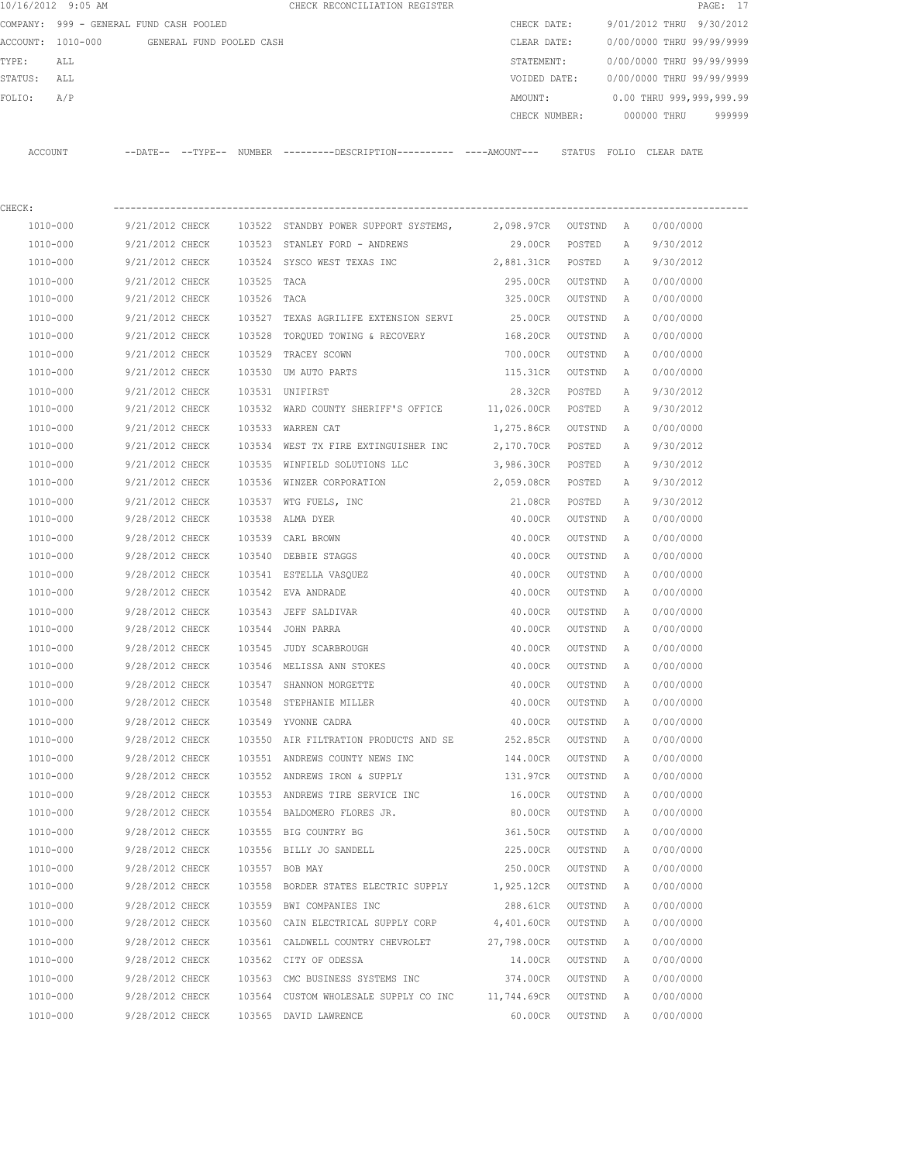| 10/16/2012 9:05 AM |                                         |             | CHECK RECONCILIATION REGISTER                                                               |               |         |   |                           | PAGE: 17  |
|--------------------|-----------------------------------------|-------------|---------------------------------------------------------------------------------------------|---------------|---------|---|---------------------------|-----------|
|                    | COMPANY: 999 - GENERAL FUND CASH POOLED |             |                                                                                             | CHECK DATE:   |         |   | 9/01/2012 THRU            | 9/30/2012 |
| ACCOUNT: 1010-000  | GENERAL FUND POOLED CASH                |             |                                                                                             | CLEAR DATE:   |         |   | 0/00/0000 THRU 99/99/9999 |           |
| TYPE:<br>ALL       |                                         |             |                                                                                             | STATEMENT:    |         |   | 0/00/0000 THRU 99/99/9999 |           |
| STATUS:<br>ALL     |                                         |             |                                                                                             | VOIDED DATE:  |         |   | 0/00/0000 THRU 99/99/9999 |           |
| A/P<br>FOLIO:      |                                         |             |                                                                                             | AMOUNT:       |         |   | 0.00 THRU 999,999,999.99  |           |
|                    |                                         |             |                                                                                             | CHECK NUMBER: |         |   | 000000 THRU               | 999999    |
| ACCOUNT            |                                         |             | --DATE-- --TYPE-- NUMBER --------DESCRIPTION---------- ---AMOUNT--- STATUS FOLIO CLEAR-DATE |               |         |   |                           |           |
| CHECK:             |                                         |             |                                                                                             |               |         |   |                           |           |
| 1010-000           | 9/21/2012 CHECK                         |             | 103522 STANDBY POWER SUPPORT SYSTEMS,                                                       | 2,098.97CR    | OUTSTND | A | 0/00/0000                 |           |
| 1010-000           | 9/21/2012 CHECK                         |             | 103523 STANLEY FORD - ANDREWS                                                               | 29.00CR       | POSTED  | A | 9/30/2012                 |           |
| 1010-000           | 9/21/2012 CHECK                         |             | 103524 SYSCO WEST TEXAS INC                                                                 | 2,881.31CR    | POSTED  | A | 9/30/2012                 |           |
| 1010-000           | 9/21/2012 CHECK                         | 103525 TACA |                                                                                             | 295.00CR      | OUTSTND | A | 0/00/0000                 |           |
| 1010-000           | 9/21/2012 CHECK                         | 103526 TACA |                                                                                             | 325.00CR      | OUTSTND | A | 0/00/0000                 |           |
| 1010-000           | 9/21/2012 CHECK                         | 103527      | TEXAS AGRILIFE EXTENSION SERVI                                                              | 25.00CR       | OUTSTND | A | 0/00/0000                 |           |
| 1010-000           | 9/21/2012 CHECK                         | 103528      | TORQUED TOWING & RECOVERY                                                                   | 168.20CR      | OUTSTND | A | 0/00/0000                 |           |
| 1010-000           | 9/21/2012 CHECK                         | 103529      | TRACEY SCOWN                                                                                | 700.00CR      | OUTSTND | A | 0/00/0000                 |           |
| 1010-000           | 9/21/2012 CHECK                         |             | 103530 UM AUTO PARTS                                                                        | 115.31CR      | OUTSTND | A | 0/00/0000                 |           |
| 1010-000           | 9/21/2012 CHECK                         |             | 103531 UNIFIRST                                                                             | 28.32CR       | POSTED  | Α | 9/30/2012                 |           |
| 1010-000           | 9/21/2012 CHECK                         |             | 103532 WARD COUNTY SHERIFF'S OFFICE 11,026.00CR                                             |               | POSTED  | A | 9/30/2012                 |           |
| 1010-000           | 9/21/2012 CHECK                         |             | 103533 WARREN CAT                                                                           | 1,275.86CR    | OUTSTND | A | 0/00/0000                 |           |
| 1010-000           | 9/21/2012 CHECK                         | 103534      | WEST TX FIRE EXTINGUISHER INC                                                               | 2,170.70CR    | POSTED  | Α | 9/30/2012                 |           |
| 1010-000           | 9/21/2012 CHECK                         |             | 103535 WINFIELD SOLUTIONS LLC                                                               | 3,986.30CR    | POSTED  | Α | 9/30/2012                 |           |
| 1010-000           | 9/21/2012 CHECK                         |             | 103536 WINZER CORPORATION                                                                   | 2,059.08CR    | POSTED  | A | 9/30/2012                 |           |
| 1010-000           | 9/21/2012 CHECK                         |             | 103537 WTG FUELS, INC                                                                       | 21.08CR       | POSTED  | Α | 9/30/2012                 |           |
| 1010-000           | 9/28/2012 CHECK                         | 103538      | ALMA DYER                                                                                   | 40.00CR       | OUTSTND | A | 0/00/0000                 |           |
| 1010-000           | 9/28/2012 CHECK                         | 103539      | CARL BROWN                                                                                  | 40.00CR       | OUTSTND | Α | 0/00/0000                 |           |
| 1010-000           | 9/28/2012 CHECK                         | 103540      | DEBBIE STAGGS                                                                               | 40.00CR       | OUTSTND | Α | 0/00/0000                 |           |
| 1010-000           | 9/28/2012 CHECK                         |             | 103541 ESTELLA VASQUEZ                                                                      | 40.00CR       | OUTSTND | Α | 0/00/0000                 |           |
| 1010-000           | 9/28/2012 CHECK                         |             | 103542 EVA ANDRADE                                                                          | 40.00CR       | OUTSTND | Α | 0/00/0000                 |           |
| 1010-000           | 9/28/2012 CHECK                         |             | 103543 JEFF SALDIVAR                                                                        | 40.00CR       | OUTSTND | A | 0/00/0000                 |           |
| 1010-000           | 9/28/2012 CHECK                         |             | 103544 JOHN PARRA                                                                           | 40.00CR       | OUTSTND | Α | 0/00/0000                 |           |
| 1010-000           | 9/28/2012 CHECK                         |             | 103545 JUDY SCARBROUGH                                                                      | 40.00CR       | OUTSTND | Α | 0/00/0000                 |           |
| 1010-000           | 9/28/2012 CHECK                         |             | 103546 MELISSA ANN STOKES                                                                   | 40.00CR       | OUTSTND | A | 0/00/0000                 |           |
| 1010-000           | 9/28/2012 CHECK                         |             | 103547 SHANNON MORGETTE                                                                     | 40.00CR       | OUTSTND | Α | 0/00/0000                 |           |
| 1010-000           | 9/28/2012 CHECK                         |             | 103548 STEPHANIE MILLER                                                                     | 40.00CR       | OUTSTND | Α | 0/00/0000                 |           |
| $1010 - 000$       | 9/28/2012 CHECK                         |             | 103549 YVONNE CADRA                                                                         | 40.00CR       | OUTSTND | Α | 0/00/0000                 |           |
| 1010-000           | 9/28/2012 CHECK                         |             | 103550 AIR FILTRATION PRODUCTS AND SE                                                       | 252.85CR      | OUTSTND | Α | 0/00/0000                 |           |
| $1010 - 000$       | 9/28/2012 CHECK                         |             | 103551 ANDREWS COUNTY NEWS INC                                                              | 144.00CR      | OUTSTND | Α | 0/00/0000                 |           |
| 1010-000           | 9/28/2012 CHECK                         |             | 103552 ANDREWS IRON & SUPPLY                                                                | 131.97CR      | OUTSTND | Α | 0/00/0000                 |           |
| 1010-000           | 9/28/2012 CHECK                         |             | 103553 ANDREWS TIRE SERVICE INC                                                             | 16.00CR       | OUTSTND | Α | 0/00/0000                 |           |
| 1010-000           | 9/28/2012 CHECK                         |             | 103554 BALDOMERO FLORES JR.                                                                 | 80.00CR       | OUTSTND | Α | 0/00/0000                 |           |
| $1010 - 000$       | 9/28/2012 CHECK                         |             | 103555 BIG COUNTRY BG                                                                       | 361.50CR      | OUTSTND | Α | 0/00/0000                 |           |
| 1010-000           | 9/28/2012 CHECK                         |             | 103556 BILLY JO SANDELL                                                                     | 225.00CR      | OUTSTND | Α | 0/00/0000                 |           |
| 1010-000           | 9/28/2012 CHECK                         |             | 103557 BOB MAY                                                                              | 250.00CR      | OUTSTND | Α | 0/00/0000                 |           |
| 1010-000           | 9/28/2012 CHECK                         |             | 103558 BORDER STATES ELECTRIC SUPPLY                                                        | 1,925.12CR    | OUTSTND | Α | 0/00/0000                 |           |
| 1010-000           | 9/28/2012 CHECK                         |             | 103559 BWI COMPANIES INC                                                                    | 288.61CR      | OUTSTND | Α | 0/00/0000                 |           |
| 1010-000           | 9/28/2012 CHECK                         |             | 103560 CAIN ELECTRICAL SUPPLY CORP                                                          | 4,401.60CR    | OUTSTND | Α | 0/00/0000                 |           |
| 1010-000           | 9/28/2012 CHECK                         |             | 103561 CALDWELL COUNTRY CHEVROLET                                                           | 27,798.00CR   | OUTSTND | Α | 0/00/0000                 |           |
| 1010-000           | 9/28/2012 CHECK                         |             | 103562 CITY OF ODESSA                                                                       | 14.00CR       | OUTSTND | Α | 0/00/0000                 |           |
| 1010-000           | 9/28/2012 CHECK                         |             | 103563 CMC BUSINESS SYSTEMS INC                                                             | 374.00CR      | OUTSTND | Α | 0/00/0000                 |           |
| 1010-000           | 9/28/2012 CHECK                         |             | 103564 CUSTOM WHOLESALE SUPPLY CO INC                                                       | 11,744.69CR   | OUTSTND | A | 0/00/0000                 |           |
| 1010-000           | 9/28/2012 CHECK                         |             | 103565 DAVID LAWRENCE                                                                       | 60.00CR       | OUTSTND | A | 0/00/0000                 |           |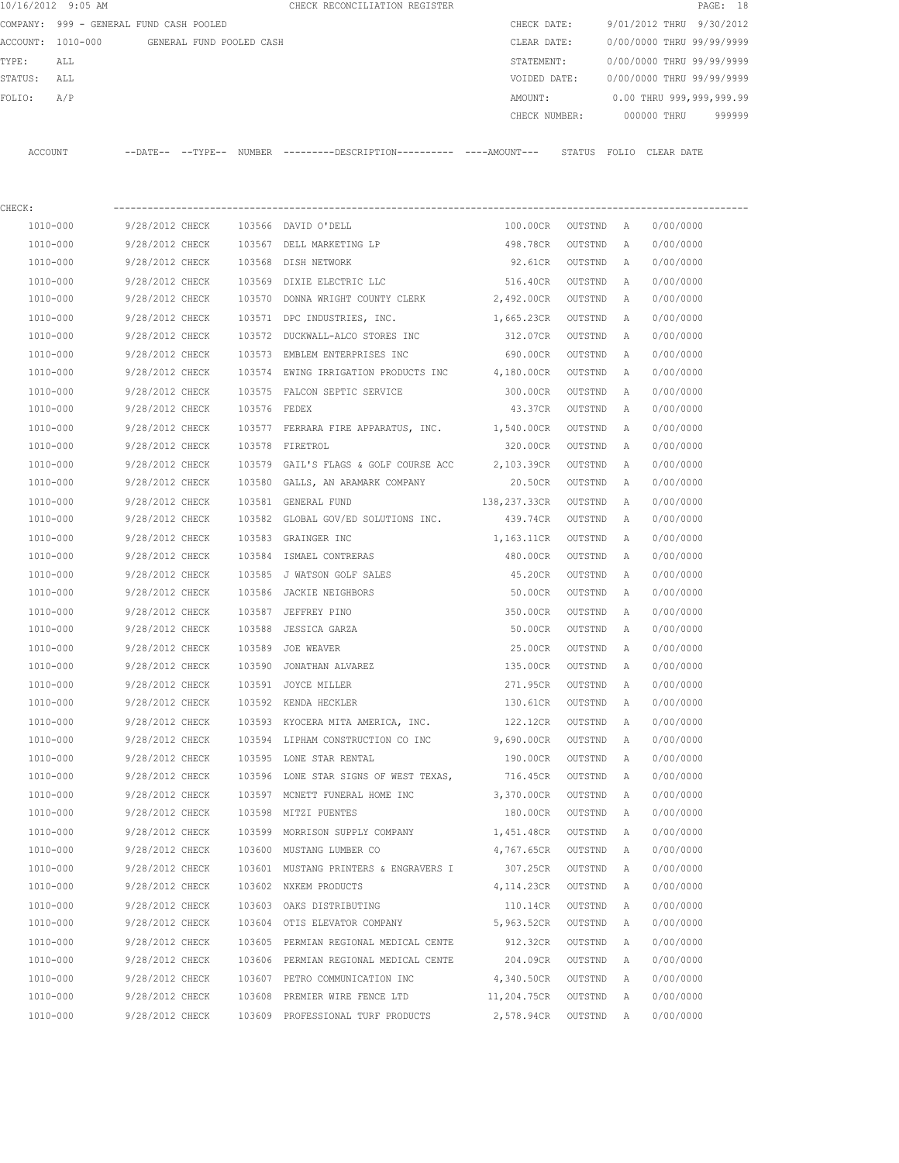|                   | 10/16/2012 9:05 AM                      |          |          |                          | CHECK RECONCILIATION REGISTER |               |        |                           |            | PAGE: 18 |        |
|-------------------|-----------------------------------------|----------|----------|--------------------------|-------------------------------|---------------|--------|---------------------------|------------|----------|--------|
|                   | COMPANY: 999 - GENERAL FUND CASH POOLED |          |          |                          |                               | CHECK DATE:   |        | 9/01/2012 THRU 9/30/2012  |            |          |        |
| ACCOUNT: 1010-000 |                                         |          |          | GENERAL FUND POOLED CASH |                               | CLEAR DATE:   |        | 0/00/0000 THRU 99/99/9999 |            |          |        |
| TYPE:             | ALL                                     |          |          |                          |                               | STATEMENT:    |        | 0/00/0000 THRU 99/99/9999 |            |          |        |
| STATUS:           | ALL                                     |          |          |                          |                               | VOIDED DATE:  |        | 0/00/0000 THRU 99/99/9999 |            |          |        |
| FOLIO:            | A/P                                     |          |          |                          |                               | AMOUNT:       |        | 0.00 THRU 999,999,999.99  |            |          |        |
|                   |                                         |          |          |                          |                               | CHECK NUMBER: |        | 000000 THRU               |            |          | 999999 |
|                   |                                         |          |          |                          |                               |               |        |                           |            |          |        |
| ACCOUNT           |                                         | --DATE-- | --TYPE-- | NUMBER                   |                               |               | STATUS | FOLTO                     | CLEAR DATE |          |        |

| CHECK:       |                 |              |                                                |                  |         |          |           |
|--------------|-----------------|--------------|------------------------------------------------|------------------|---------|----------|-----------|
| 1010-000     | 9/28/2012 CHECK |              | 103566 DAVID O'DELL                            | 100.00CR         | OUTSTND | <b>A</b> | 0/00/0000 |
| 1010-000     | 9/28/2012 CHECK |              | 103567 DELL MARKETING LP                       | 498.78CR         | OUTSTND | Α        | 0/00/0000 |
| 1010-000     | 9/28/2012 CHECK | 103568       | DISH NETWORK                                   | 92.61CR          | OUTSTND | Α        | 0/00/0000 |
| 1010-000     | 9/28/2012 CHECK |              | 103569 DIXIE ELECTRIC LLC                      | 516.40CR         | OUTSTND | Α        | 0/00/0000 |
| 1010-000     | 9/28/2012 CHECK | 103570       | DONNA WRIGHT COUNTY CLERK 2,492.00CR           |                  | OUTSTND | Α        | 0/00/0000 |
| 1010-000     | 9/28/2012 CHECK | 103571       | DPC INDUSTRIES, INC.                           | 1,665.23CR       | OUTSTND | Α        | 0/00/0000 |
| 1010-000     | 9/28/2012 CHECK | 103572       | DUCKWALL-ALCO STORES INC                       | 312.07CR         | OUTSTND | Α        | 0/00/0000 |
| 1010-000     | 9/28/2012 CHECK |              | 103573 EMBLEM ENTERPRISES INC                  | 690.00CR         | OUTSTND | Α        | 0/00/0000 |
| 1010-000     | 9/28/2012 CHECK |              | 103574 EWING IRRIGATION PRODUCTS INC           | 4,180.00CR       | OUTSTND | Α        | 0/00/0000 |
| 1010-000     | 9/28/2012 CHECK |              | 103575 FALCON SEPTIC SERVICE                   | 300.00CR         | OUTSTND | Α        | 0/00/0000 |
| 1010-000     | 9/28/2012 CHECK | 103576 FEDEX |                                                | 43.37CR          | OUTSTND | Α        | 0/00/0000 |
| 1010-000     | 9/28/2012 CHECK |              | 103577 FERRARA FIRE APPARATUS, INC. 1,540.00CR |                  | OUTSTND | Α        | 0/00/0000 |
| 1010-000     | 9/28/2012 CHECK | 103578       | FIRETROL                                       | 320.00CR         | OUTSTND | Α        | 0/00/0000 |
| 1010-000     | 9/28/2012 CHECK | 103579       | GAIL'S FLAGS & GOLF COURSE ACC 2,103.39CR      |                  | OUTSTND | A        | 0/00/0000 |
| 1010-000     | 9/28/2012 CHECK |              | 103580 GALLS, AN ARAMARK COMPANY               | 20.50CR OUTSTND  |         | Α        | 0/00/0000 |
| 1010-000     | 9/28/2012 CHECK |              | 103581 GENERAL FUND                            | 138,237.33CR     | OUTSTND | A        | 0/00/0000 |
| 1010-000     | 9/28/2012 CHECK |              | 103582 GLOBAL GOV/ED SOLUTIONS INC. 439.74CR   |                  | OUTSTND | Α        | 0/00/0000 |
| 1010-000     | 9/28/2012 CHECK |              | 103583 GRAINGER INC                            | 1,163.11CR       | OUTSTND | Α        | 0/00/0000 |
| 1010-000     | 9/28/2012 CHECK | 103584       | ISMAEL CONTRERAS                               | 480.00CR         | OUTSTND | Α        | 0/00/0000 |
| 1010-000     | 9/28/2012 CHECK |              | 103585 J WATSON GOLF SALES                     | 45.20CR          | OUTSTND | A        | 0/00/0000 |
| 1010-000     | 9/28/2012 CHECK |              | 103586 JACKIE NEIGHBORS                        | 50.00CR          | OUTSTND | Α        | 0/00/0000 |
| 1010-000     | 9/28/2012 CHECK |              | 103587 JEFFREY PINO                            | 350.00CR         | OUTSTND | Α        | 0/00/0000 |
| 1010-000     | 9/28/2012 CHECK | 103588       | JESSICA GARZA                                  | 50.00CR          | OUTSTND | Α        | 0/00/0000 |
| 1010-000     | 9/28/2012 CHECK | 103589       | JOE WEAVER                                     | 25.00CR          | OUTSTND | Α        | 0/00/0000 |
| 1010-000     | 9/28/2012 CHECK | 103590       | JONATHAN ALVAREZ                               | 135.00CR         | OUTSTND | Α        | 0/00/0000 |
| 1010-000     | 9/28/2012 CHECK | 103591       | JOYCE MILLER                                   | 271.95CR         | OUTSTND | Α        | 0/00/0000 |
| 1010-000     | 9/28/2012 CHECK |              | 103592 KENDA HECKLER                           | 130.61CR         | OUTSTND | Α        | 0/00/0000 |
| 1010-000     | 9/28/2012 CHECK |              | 103593 KYOCERA MITA AMERICA, INC.              | 122.12CR         | OUTSTND | Α        | 0/00/0000 |
| 1010-000     | 9/28/2012 CHECK |              | 103594 LIPHAM CONSTRUCTION CO INC 9,690.00CR   |                  | OUTSTND | Α        | 0/00/0000 |
| 1010-000     | 9/28/2012 CHECK |              | 103595 LONE STAR RENTAL                        | 190.00CR         | OUTSTND | Α        | 0/00/0000 |
| 1010-000     | 9/28/2012 CHECK |              | 103596 LONE STAR SIGNS OF WEST TEXAS,          | 716.45CR         | OUTSTND | Α        | 0/00/0000 |
| 1010-000     | 9/28/2012 CHECK |              | 103597 MCNETT FUNERAL HOME INC                 | 3,370.00CR       | OUTSTND | Α        | 0/00/0000 |
| 1010-000     | 9/28/2012 CHECK |              | 103598 MITZI PUENTES                           | 180.00CR OUTSTND |         | A        | 0/00/0000 |
| 1010-000     | 9/28/2012 CHECK |              | 103599 MORRISON SUPPLY COMPANY                 | 1,451.48CR       | OUTSTND | A        | 0/00/0000 |
| 1010-000     | 9/28/2012 CHECK |              | 103600 MUSTANG LUMBER CO                       | 4,767.65CR       | OUTSTND | A        | 0/00/0000 |
| 1010-000     | 9/28/2012 CHECK |              | 103601 MUSTANG PRINTERS & ENGRAVERS I          | 307.25CR         | OUTSTND | Α        | 0/00/0000 |
| 1010-000     | 9/28/2012 CHECK | 103602       | NXKEM PRODUCTS                                 | 4,114.23CR       | OUTSTND | Α        | 0/00/0000 |
| 1010-000     | 9/28/2012 CHECK |              | 103603 OAKS DISTRIBUTING                       | 110.14CR         | OUTSTND | Α        | 0/00/0000 |
| 1010-000     | 9/28/2012 CHECK |              | 103604 OTIS ELEVATOR COMPANY                   | 5,963.52CR       | OUTSTND | Α        | 0/00/0000 |
| 1010-000     | 9/28/2012 CHECK | 103605       | PERMIAN REGIONAL MEDICAL CENTE                 | 912.32CR         | OUTSTND | Α        | 0/00/0000 |
| 1010-000     | 9/28/2012 CHECK |              | 103606 PERMIAN REGIONAL MEDICAL CENTE          | 204.09CR         | OUTSTND | Α        | 0/00/0000 |
| 1010-000     | 9/28/2012 CHECK | 103607       | PETRO COMMUNICATION INC                        | 4,340.50CR       | OUTSTND | Α        | 0/00/0000 |
| 1010-000     | 9/28/2012 CHECK | 103608       | PREMIER WIRE FENCE LTD                         | 11,204.75CR      | OUTSTND | Α        | 0/00/0000 |
| $1010 - 000$ | 9/28/2012 CHECK |              | 103609 PROFESSIONAL TURF PRODUCTS              | 2,578.94CR       | OUTSTND | Α        | 0/00/0000 |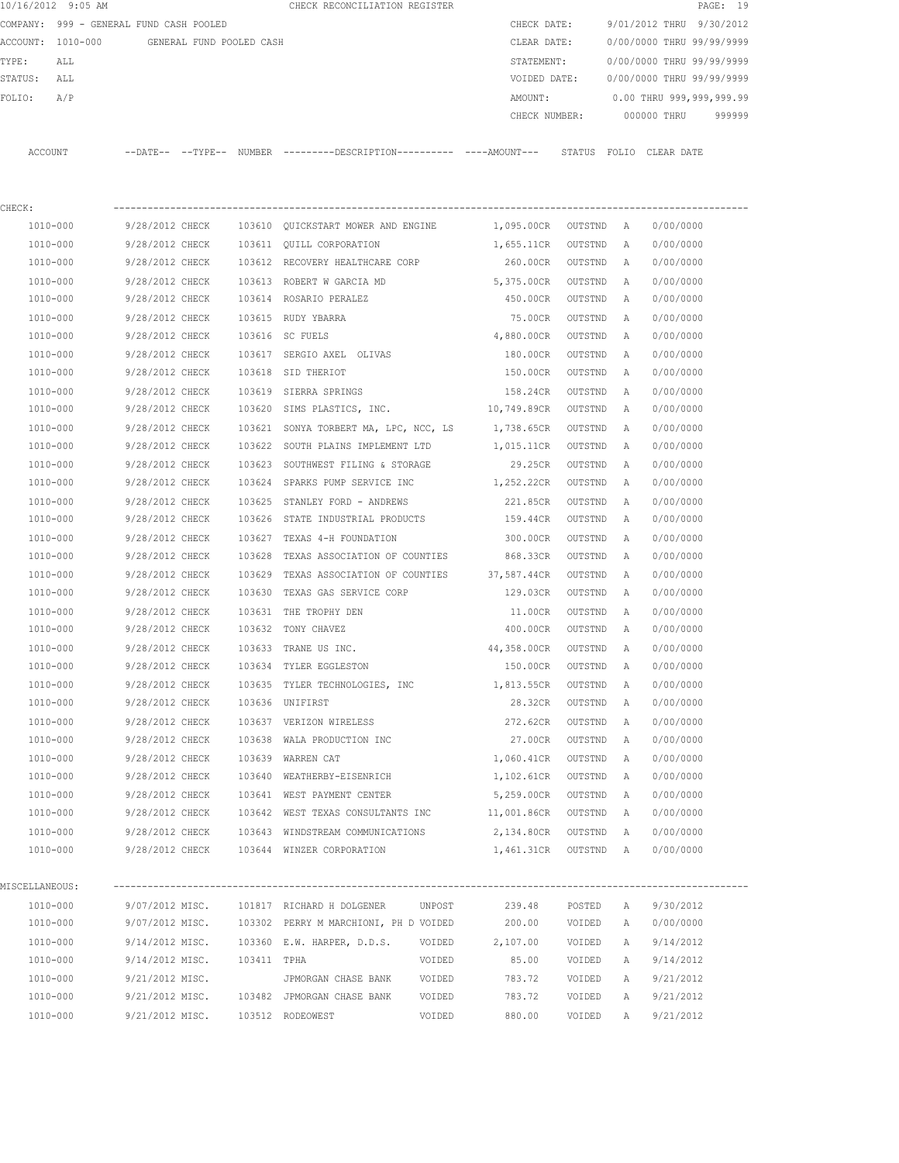|                | 10/16/2012 9:05 AM                         |                             |  |        | CHECK RECONCILIATION REGISTER                                                               |                      |                           |                           | PAGE: 19                 |  |
|----------------|--------------------------------------------|-----------------------------|--|--------|---------------------------------------------------------------------------------------------|----------------------|---------------------------|---------------------------|--------------------------|--|
|                | COMPANY: 999 - GENERAL FUND CASH POOLED    |                             |  |        |                                                                                             | CHECK DATE:          |                           |                           | 9/01/2012 THRU 9/30/2012 |  |
|                | ACCOUNT: 1010-000 GENERAL FUND POOLED CASH |                             |  |        |                                                                                             | CLEAR DATE:          |                           | 0/00/0000 THRU 99/99/9999 |                          |  |
| TYPE:<br>ALL   |                                            |                             |  |        | STATEMENT:                                                                                  |                      | 0/00/0000 THRU 99/99/9999 |                           |                          |  |
| STATUS: ALL    |                                            |                             |  |        |                                                                                             | VOIDED DATE:         |                           | 0/00/0000 THRU 99/99/9999 |                          |  |
| FOLIO:         | A/P                                        |                             |  |        |                                                                                             | AMOUNT:              |                           |                           | 0.00 THRU 999,999,999.99 |  |
|                |                                            |                             |  |        |                                                                                             | CHECK NUMBER:        |                           |                           | 000000 THRU<br>999999    |  |
|                |                                            |                             |  |        |                                                                                             |                      |                           |                           |                          |  |
|                | ACCOUNT                                    |                             |  |        | --DATE-- --TYPE-- NUMBER ---------DESCRIPTION--------- ----AMOUNT--- STATUS FOLIO CLEARDATE |                      |                           |                           |                          |  |
|                |                                            |                             |  |        |                                                                                             |                      |                           |                           |                          |  |
|                |                                            |                             |  |        |                                                                                             |                      |                           |                           |                          |  |
| CHECK:         |                                            |                             |  |        |                                                                                             |                      |                           |                           |                          |  |
|                | 1010-000                                   | 9/28/2012 CHECK             |  |        | 103610 QUICKSTART MOWER AND ENGINE 1,095.00CR OUTSTND A                                     |                      |                           |                           | 0/00/0000                |  |
|                | 1010-000                                   | 9/28/2012 CHECK             |  |        | 103611 QUILL CORPORATION                                                                    | 1,655.11CR           | OUTSTND                   | А                         | 0/00/0000                |  |
|                | 1010-000                                   | 9/28/2012 CHECK             |  |        | 103612 RECOVERY HEALTHCARE CORP                                                             | 260.00CR             | OUTSTND                   | А                         | 0/00/0000                |  |
|                | 1010-000                                   | 9/28/2012 CHECK             |  |        | 103613 ROBERT W GARCIA MD                                                                   | 5,375.00CR           | OUTSTND                   | Α                         | 0/00/0000                |  |
|                | 1010-000                                   | 9/28/2012 CHECK             |  |        | 103614 ROSARIO PERALEZ                                                                      | 450.00CR             | OUTSTND                   | A                         | 0/00/0000                |  |
|                | 1010-000                                   | 9/28/2012 CHECK             |  |        | 103615 RUDY YBARRA                                                                          | 75.00CR              | OUTSTND                   | A                         | 0/00/0000                |  |
|                | 1010-000                                   | 9/28/2012 CHECK             |  |        | 103616 SC FUELS                                                                             | 4,880.00CR           | OUTSTND                   | A                         | 0/00/0000                |  |
|                | 1010-000                                   | 9/28/2012 CHECK             |  |        | 103617 SERGIO AXEL OLIVAS                                                                   | 180.00CR             | OUTSTND                   | A                         | 0/00/0000                |  |
|                | 1010-000                                   | 9/28/2012 CHECK             |  |        | 103618 SID THERIOT                                                                          | 150.00CR             | OUTSTND                   | A                         | 0/00/0000                |  |
|                | 1010-000                                   | 9/28/2012 CHECK             |  |        | 103619 SIERRA SPRINGS                                                                       | 158.24CR             | OUTSTND                   | Α                         | 0/00/0000                |  |
|                | 1010-000                                   | 9/28/2012 CHECK             |  |        | 103620 SIMS PLASTICS, INC. 10,749.89CR                                                      |                      | OUTSTND                   | A                         | 0/00/0000                |  |
|                | 1010-000                                   | 9/28/2012 CHECK             |  |        | 103621 SONYA TORBERT MA, LPC, NCC, LS 1,738.65CR                                            |                      | OUTSTND                   | A                         | 0/00/0000                |  |
|                | 1010-000                                   | 9/28/2012 CHECK             |  |        | 103622 SOUTH PLAINS IMPLEMENT LTD                                                           | 1,015.11CR           | OUTSTND                   | A                         | 0/00/0000                |  |
|                | 1010-000                                   | 9/28/2012 CHECK             |  |        | 103623 SOUTHWEST FILING & STORAGE                                                           | 29.25CR              | OUTSTND                   | Α                         | 0/00/0000                |  |
|                | 1010-000                                   | 9/28/2012 CHECK             |  |        | 103624 SPARKS PUMP SERVICE INC                                                              | 1,252.22CR           | OUTSTND                   | А                         | 0/00/0000                |  |
|                | 1010-000                                   | 9/28/2012 CHECK             |  |        | 103625 STANLEY FORD - ANDREWS                                                               | 221.85CR             | OUTSTND                   | A                         | 0/00/0000                |  |
|                | 1010-000                                   | 9/28/2012 CHECK             |  |        | 103626 STATE INDUSTRIAL PRODUCTS                                                            | 159.44CR             | OUTSTND                   | A                         | 0/00/0000                |  |
|                | 1010-000                                   | 9/28/2012 CHECK             |  |        | 103627 TEXAS 4-H FOUNDATION                                                                 | 300.00CR             | OUTSTND                   | A                         | 0/00/0000                |  |
|                | 1010-000                                   | 9/28/2012 CHECK             |  | 103628 | TEXAS ASSOCIATION OF COUNTIES                                                               | 868.33CR             | OUTSTND                   | Α                         | 0/00/0000                |  |
|                | 1010-000                                   | 9/28/2012 CHECK             |  | 103629 | TEXAS ASSOCIATION OF COUNTIES 37,587.44CR                                                   |                      | OUTSTND                   | А                         | 0/00/0000                |  |
|                | 1010-000                                   | 9/28/2012 CHECK             |  | 103630 | TEXAS GAS SERVICE CORP                                                                      | 129.03CR             | OUTSTND                   | А                         | 0/00/0000                |  |
|                | 1010-000                                   | 9/28/2012 CHECK             |  | 103631 | THE TROPHY DEN                                                                              | 11.00CR              | OUTSTND                   | A                         | 0/00/0000                |  |
|                | 1010-000                                   | 9/28/2012 CHECK             |  |        | 103632 TONY CHAVEZ                                                                          | 400.00CR             | OUTSTND                   | A                         | 0/00/0000                |  |
|                | 1010-000                                   | 9/28/2012 CHECK             |  |        | 103633 TRANE US INC.                                                                        | 44,358.00CR          | OUTSTND                   | A                         | 0/00/0000                |  |
|                | 1010-000                                   | 9/28/2012 CHECK             |  |        | 103634 TYLER EGGLESTON                                                                      | 150.00CR             | OUTSTND                   | A                         | 0/00/0000                |  |
|                | 1010-000                                   | 9/28/2012 CHECK             |  |        | 103635 TYLER TECHNOLOGIES, INC                                                              | 1,813.55CR           | OUTSTND                   | Α                         | 0/00/0000                |  |
|                | 1010-000                                   | 9/28/2012 CHECK             |  |        | 103636 UNIFIRST                                                                             | 28.32CR              | OUTSTND                   | Α                         | 0/00/0000                |  |
|                | 1010-000                                   | 9/28/2012 CHECK             |  |        | 103637 VERIZON WIRELESS                                                                     | 272.62CR             | OUTSTND                   | Α                         | 0/00/0000                |  |
|                | 1010-000                                   | 9/28/2012 CHECK             |  |        | 103638 WALA PRODUCTION INC                                                                  | 27.00CR              | OUTSTND                   | $\mathbb{A}$              | 0/00/0000                |  |
|                | 1010-000                                   | 9/28/2012 CHECK             |  |        | 103639 WARREN CAT                                                                           | 1,060.41CR           | OUTSTND A                 |                           | 0/00/0000                |  |
|                | 1010-000                                   | 9/28/2012 CHECK             |  |        | 103640 WEATHERBY-EISENRICH                                                                  | 1,102.61CR           | OUTSTND                   | $\mathbb{A}$              | 0/00/0000                |  |
|                | 1010-000                                   | 9/28/2012 CHECK             |  |        | 103641 WEST PAYMENT CENTER                                                                  | 5,259.00CR           | OUTSTND                   | Α                         | 0/00/0000                |  |
|                | 1010-000                                   | 9/28/2012 CHECK             |  |        | 103642 WEST TEXAS CONSULTANTS INC                                                           | 11,001.86CR          | OUTSTND                   | A                         | 0/00/0000                |  |
|                | 1010-000                                   |                             |  |        | 9/28/2012 CHECK 103643 WINDSTREAM COMMUNICATIONS                                            | 2,134.80CR OUTSTND A |                           |                           | 0/00/0000                |  |
|                | 1010-000                                   |                             |  |        | 9/28/2012 CHECK 103644 WINZER CORPORATION                                                   | 1,461.31CR OUTSTND A |                           |                           | 0/00/0000                |  |
|                |                                            |                             |  |        |                                                                                             |                      |                           |                           |                          |  |
| MISCELLANEOUS: |                                            |                             |  |        |                                                                                             |                      |                           |                           |                          |  |
|                | 1010-000                                   |                             |  |        | 9/07/2012 MISC. 101817 RICHARD H DOLGENER<br>UNPOST                                         | 239.48               | POSTED                    | A                         | 9/30/2012                |  |
|                | 1010-000                                   |                             |  |        | 9/07/2012 MISC. 103302 PERRY M MARCHIONI, PH D VOIDED                                       | 200.00               | VOIDED                    | Α                         | 0/00/0000                |  |
|                | 1010-000                                   |                             |  |        | 9/14/2012 MISC. 103360 E.W. HARPER, D.D.S. VOIDED                                           | 2,107.00             | VOIDED                    | Α                         | 9/14/2012                |  |
|                | 1010-000                                   | 9/14/2012 MISC. 103411 TPHA |  |        | VOIDED                                                                                      | 85.00                | VOIDED                    | Α                         | 9/14/2012                |  |
|                | 1010-000                                   | 9/21/2012 MISC.             |  |        | JPMORGAN CHASE BANK VOIDED                                                                  | 783.72               | VOIDED                    | A                         | 9/21/2012                |  |
|                | 1010-000                                   |                             |  |        | 9/21/2012 MISC. 103482 JPMORGAN CHASE BANK<br>VOIDED                                        | 783.72               | VOIDED                    | A                         | 9/21/2012                |  |
|                | 1010-000                                   |                             |  |        | 9/21/2012 MISC. 103512 RODEOWEST<br>VOIDED                                                  | 880.00               | VOIDED                    | Α                         | 9/21/2012                |  |
|                |                                            |                             |  |        |                                                                                             |                      |                           |                           |                          |  |